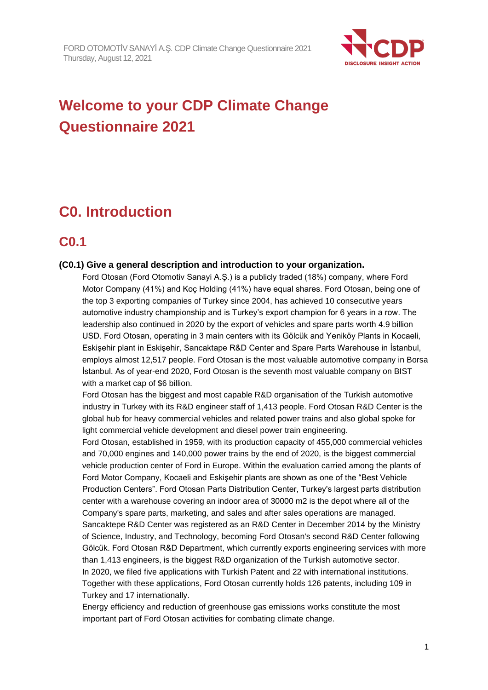

# **Welcome to your CDP Climate Change Questionnaire 2021**

# **C0. Introduction**

## **C0.1**

## **(C0.1) Give a general description and introduction to your organization.**

Ford Otosan (Ford Otomotiv Sanayi A.Ş.) is a publicly traded (18%) company, where Ford Motor Company (41%) and Koç Holding (41%) have equal shares. Ford Otosan, being one of the top 3 exporting companies of Turkey since 2004, has achieved 10 consecutive years automotive industry championship and is Turkey's export champion for 6 years in a row. The leadership also continued in 2020 by the export of vehicles and spare parts worth 4.9 billion USD. Ford Otosan, operating in 3 main centers with its Gölcük and Yeniköy Plants in Kocaeli, Eskişehir plant in Eskişehir, Sancaktape R&D Center and Spare Parts Warehouse in İstanbul, employs almost 12,517 people. Ford Otosan is the most valuable automotive company in Borsa İstanbul. As of year-end 2020, Ford Otosan is the seventh most valuable company on BIST with a market cap of \$6 billion.

Ford Otosan has the biggest and most capable R&D organisation of the Turkish automotive industry in Turkey with its R&D engineer staff of 1,413 people. Ford Otosan R&D Center is the global hub for heavy commercial vehicles and related power trains and also global spoke for light commercial vehicle development and diesel power train engineering.

Ford Otosan, established in 1959, with its production capacity of 455,000 commercial vehicles and 70,000 engines and 140,000 power trains by the end of 2020, is the biggest commercial vehicle production center of Ford in Europe. Within the evaluation carried among the plants of Ford Motor Company, Kocaeli and Eskişehir plants are shown as one of the "Best Vehicle Production Centers". Ford Otosan Parts Distribution Center, Turkey's largest parts distribution center with a warehouse covering an indoor area of 30000 m2 is the depot where all of the Company's spare parts, marketing, and sales and after sales operations are managed. Sancaktepe R&D Center was registered as an R&D Center in December 2014 by the Ministry of Science, Industry, and Technology, becoming Ford Otosan's second R&D Center following Gölcük. Ford Otosan R&D Department, which currently exports engineering services with more than 1,413 engineers, is the biggest R&D organization of the Turkish automotive sector. In 2020, we filed five applications with Turkish Patent and 22 with international institutions. Together with these applications, Ford Otosan currently holds 126 patents, including 109 in Turkey and 17 internationally.

Energy efficiency and reduction of greenhouse gas emissions works constitute the most important part of Ford Otosan activities for combating climate change.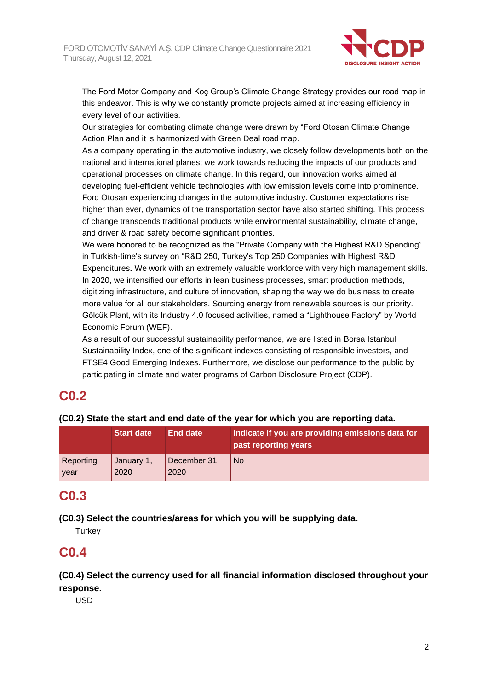

The Ford Motor Company and Koç Group's Climate Change Strategy provides our road map in this endeavor. This is why we constantly promote projects aimed at increasing efficiency in every level of our activities.

Our strategies for combating climate change were drawn by "Ford Otosan Climate Change Action Plan and it is harmonized with Green Deal road map.

As a company operating in the automotive industry, we closely follow developments both on the national and international planes; we work towards reducing the impacts of our products and operational processes on climate change. In this regard, our innovation works aimed at developing fuel-efficient vehicle technologies with low emission levels come into prominence. Ford Otosan experiencing changes in the automotive industry. Customer expectations rise higher than ever, dynamics of the transportation sector have also started shifting. This process of change transcends traditional products while environmental sustainability, climate change, and driver & road safety become significant priorities.

We were honored to be recognized as the "Private Company with the Highest R&D Spending" in Turkish-time's survey on "R&D 250, Turkey's Top 250 Companies with Highest R&D Expenditures**.** We work with an extremely valuable workforce with very high management skills. In 2020, we intensified our efforts in lean business processes, smart production methods, digitizing infrastructure, and culture of innovation, shaping the way we do business to create more value for all our stakeholders. Sourcing energy from renewable sources is our priority. Gölcük Plant, with its Industry 4.0 focused activities, named a "Lighthouse Factory" by World Economic Forum (WEF).

As a result of our successful sustainability performance, we are listed in Borsa Istanbul Sustainability Index, one of the significant indexes consisting of responsible investors, and FTSE4 Good Emerging Indexes. Furthermore, we disclose our performance to the public by participating in climate and water programs of Carbon Disclosure Project (CDP).

## **C0.2**

**(C0.2) State the start and end date of the year for which you are reporting data.**

|           | <b>Start date</b> | <b>End date</b> | Indicate if you are providing emissions data for<br>past reporting years |
|-----------|-------------------|-----------------|--------------------------------------------------------------------------|
| Reporting | January 1,        | December 31,    | <b>No</b>                                                                |
| year      | 2020              | 2020            |                                                                          |

## **C0.3**

**(C0.3) Select the countries/areas for which you will be supplying data.**

**Turkey** 

## **C0.4**

**(C0.4) Select the currency used for all financial information disclosed throughout your response.**

USD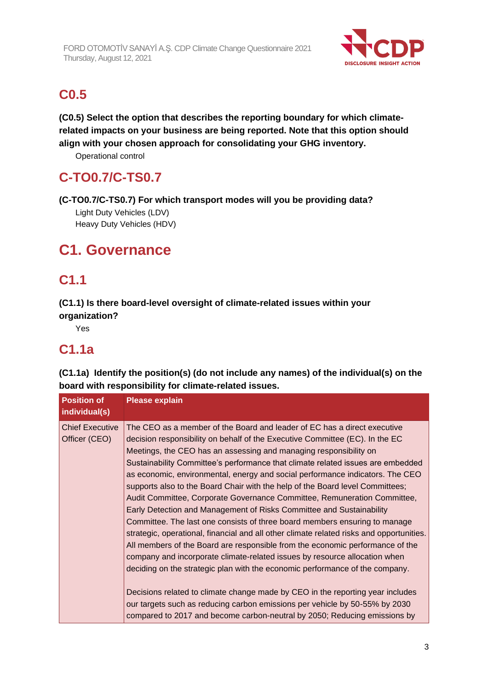

# **C0.5**

**(C0.5) Select the option that describes the reporting boundary for which climaterelated impacts on your business are being reported. Note that this option should align with your chosen approach for consolidating your GHG inventory.**

Operational control

# **C-TO0.7/C-TS0.7**

**(C-TO0.7/C-TS0.7) For which transport modes will you be providing data?**

Light Duty Vehicles (LDV) Heavy Duty Vehicles (HDV)

# **C1. Governance**

# **C1.1**

**(C1.1) Is there board-level oversight of climate-related issues within your organization?**

Yes

# **C1.1a**

**(C1.1a) Identify the position(s) (do not include any names) of the individual(s) on the board with responsibility for climate-related issues.**

| <b>Position of</b><br>individual(s)     | <b>Please explain</b>                                                                                                                                                                                                                                                                                                                                                                                                                                                                                                                                                                                                                                                                                                                                                                                                                                                                                                                                                                                                                                                                                                                                                                                                                                                                                         |
|-----------------------------------------|---------------------------------------------------------------------------------------------------------------------------------------------------------------------------------------------------------------------------------------------------------------------------------------------------------------------------------------------------------------------------------------------------------------------------------------------------------------------------------------------------------------------------------------------------------------------------------------------------------------------------------------------------------------------------------------------------------------------------------------------------------------------------------------------------------------------------------------------------------------------------------------------------------------------------------------------------------------------------------------------------------------------------------------------------------------------------------------------------------------------------------------------------------------------------------------------------------------------------------------------------------------------------------------------------------------|
| <b>Chief Executive</b><br>Officer (CEO) | The CEO as a member of the Board and leader of EC has a direct executive<br>decision responsibility on behalf of the Executive Committee (EC). In the EC<br>Meetings, the CEO has an assessing and managing responsibility on<br>Sustainability Committee's performance that climate related issues are embedded<br>as economic, environmental, energy and social performance indicators. The CEO<br>supports also to the Board Chair with the help of the Board level Committees;<br>Audit Committee, Corporate Governance Committee, Remuneration Committee,<br>Early Detection and Management of Risks Committee and Sustainability<br>Committee. The last one consists of three board members ensuring to manage<br>strategic, operational, financial and all other climate related risks and opportunities.<br>All members of the Board are responsible from the economic performance of the<br>company and incorporate climate-related issues by resource allocation when<br>deciding on the strategic plan with the economic performance of the company.<br>Decisions related to climate change made by CEO in the reporting year includes<br>our targets such as reducing carbon emissions per vehicle by 50-55% by 2030<br>compared to 2017 and become carbon-neutral by 2050; Reducing emissions by |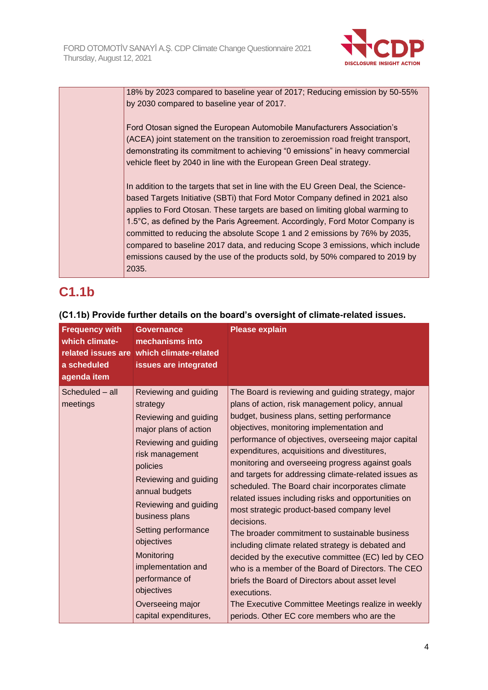

18% by 2023 compared to baseline year of 2017; Reducing emission by 50-55% by 2030 compared to baseline year of 2017.

Ford Otosan signed the European Automobile Manufacturers Association's (ACEA) joint statement on the transition to zeroemission road freight transport, demonstrating its commitment to achieving "0 emissions" in heavy commercial vehicle fleet by 2040 in line with the European Green Deal strategy.

In addition to the targets that set in line with the EU Green Deal, the Sciencebased Targets Initiative (SBTi) that Ford Motor Company defined in 2021 also applies to Ford Otosan. These targets are based on limiting global warming to 1.5°C, as defined by the Paris Agreement. Accordingly, Ford Motor Company is committed to reducing the absolute Scope 1 and 2 emissions by 76% by 2035, compared to baseline 2017 data, and reducing Scope 3 emissions, which include emissions caused by the use of the products sold, by 50% compared to 2019 by 2035.

# **C1.1b**

| <b>Frequency with</b><br>which climate-<br>related issues are<br>a scheduled<br>agenda item | <b>Governance</b><br>mechanisms into<br>which climate-related<br>issues are integrated                                                                                                                                                                                                                                                                                                  | <b>Please explain</b>                                                                                                                                                                                                                                                                                                                                                                                                                                                                                                                                                                                                                                                                                                                                                                                                                                                                                                                                                               |
|---------------------------------------------------------------------------------------------|-----------------------------------------------------------------------------------------------------------------------------------------------------------------------------------------------------------------------------------------------------------------------------------------------------------------------------------------------------------------------------------------|-------------------------------------------------------------------------------------------------------------------------------------------------------------------------------------------------------------------------------------------------------------------------------------------------------------------------------------------------------------------------------------------------------------------------------------------------------------------------------------------------------------------------------------------------------------------------------------------------------------------------------------------------------------------------------------------------------------------------------------------------------------------------------------------------------------------------------------------------------------------------------------------------------------------------------------------------------------------------------------|
| Scheduled - all<br>meetings                                                                 | Reviewing and guiding<br>strategy<br>Reviewing and guiding<br>major plans of action<br>Reviewing and guiding<br>risk management<br>policies<br>Reviewing and guiding<br>annual budgets<br>Reviewing and guiding<br>business plans<br>Setting performance<br>objectives<br>Monitoring<br>implementation and<br>performance of<br>objectives<br>Overseeing major<br>capital expenditures, | The Board is reviewing and guiding strategy, major<br>plans of action, risk management policy, annual<br>budget, business plans, setting performance<br>objectives, monitoring implementation and<br>performance of objectives, overseeing major capital<br>expenditures, acquisitions and divestitures,<br>monitoring and overseeing progress against goals<br>and targets for addressing climate-related issues as<br>scheduled. The Board chair incorporates climate<br>related issues including risks and opportunities on<br>most strategic product-based company level<br>decisions.<br>The broader commitment to sustainable business<br>including climate related strategy is debated and<br>decided by the executive committee (EC) led by CEO<br>who is a member of the Board of Directors. The CEO<br>briefs the Board of Directors about asset level<br>executions.<br>The Executive Committee Meetings realize in weekly<br>periods. Other EC core members who are the |

## **(C1.1b) Provide further details on the board's oversight of climate-related issues.**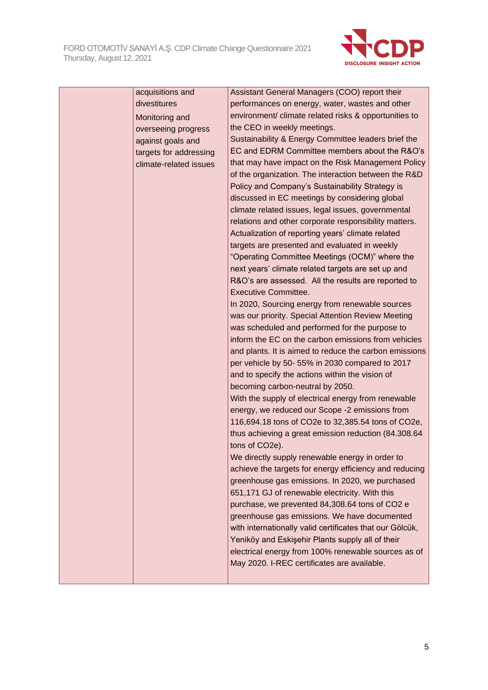

| acquisitions and       | Assistant General Managers (COO) report their                     |
|------------------------|-------------------------------------------------------------------|
| divestitures           | performances on energy, water, wastes and other                   |
| Monitoring and         | environment/ climate related risks & opportunities to             |
| overseeing progress    | the CEO in weekly meetings.                                       |
| against goals and      | Sustainability & Energy Committee leaders brief the               |
| targets for addressing | EC and EDRM Committee members about the R&O's                     |
| climate-related issues | that may have impact on the Risk Management Policy                |
|                        | of the organization. The interaction between the R&D              |
|                        | Policy and Company's Sustainability Strategy is                   |
|                        | discussed in EC meetings by considering global                    |
|                        | climate related issues, legal issues, governmental                |
|                        | relations and other corporate responsibility matters.             |
|                        | Actualization of reporting years' climate related                 |
|                        | targets are presented and evaluated in weekly                     |
|                        | "Operating Committee Meetings (OCM)" where the                    |
|                        | next years' climate related targets are set up and                |
|                        | R&O's are assessed. All the results are reported to               |
|                        | <b>Executive Committee.</b>                                       |
|                        | In 2020, Sourcing energy from renewable sources                   |
|                        | was our priority. Special Attention Review Meeting                |
|                        | was scheduled and performed for the purpose to                    |
|                        | inform the EC on the carbon emissions from vehicles               |
|                        | and plants. It is aimed to reduce the carbon emissions            |
|                        | per vehicle by 50-55% in 2030 compared to 2017                    |
|                        | and to specify the actions within the vision of                   |
|                        | becoming carbon-neutral by 2050.                                  |
|                        | With the supply of electrical energy from renewable               |
|                        | energy, we reduced our Scope -2 emissions from                    |
|                        | 116,694.18 tons of CO2e to 32,385.54 tons of CO2e,                |
|                        | thus achieving a great emission reduction (84.308.64              |
|                        | tons of CO2e).<br>We directly supply renewable energy in order to |
|                        | achieve the targets for energy efficiency and reducing            |
|                        | greenhouse gas emissions. In 2020, we purchased                   |
|                        | 651,171 GJ of renewable electricity. With this                    |
|                        | purchase, we prevented 84,308.64 tons of CO2 e                    |
|                        | greenhouse gas emissions. We have documented                      |
|                        | with internationally valid certificates that our Gölcük,          |
|                        | Yeniköy and Eskişehir Plants supply all of their                  |
|                        | electrical energy from 100% renewable sources as of               |
|                        | May 2020. I-REC certificates are available.                       |
|                        |                                                                   |
|                        |                                                                   |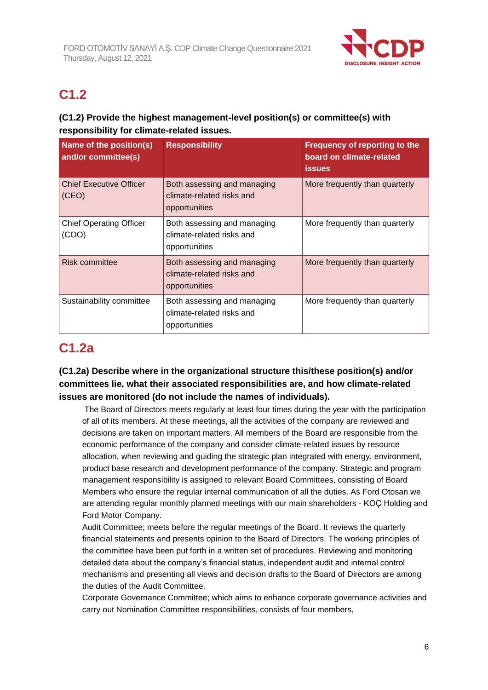

# **C1.2**

## **(C1.2) Provide the highest management-level position(s) or committee(s) with responsibility for climate-related issues.**

| Name of the position(s)<br>and/or committee(s) | <b>Responsibility</b>                                                     | Frequency of reporting to the<br>board on climate-related<br><b>issues</b> |
|------------------------------------------------|---------------------------------------------------------------------------|----------------------------------------------------------------------------|
| <b>Chief Executive Officer</b><br>(CEO)        | Both assessing and managing<br>climate-related risks and<br>opportunities | More frequently than quarterly                                             |
| <b>Chief Operating Officer</b><br>(COO)        | Both assessing and managing<br>climate-related risks and<br>opportunities | More frequently than quarterly                                             |
| Risk committee                                 | Both assessing and managing<br>climate-related risks and<br>opportunities | More frequently than quarterly                                             |
| Sustainability committee                       | Both assessing and managing<br>climate-related risks and<br>opportunities | More frequently than quarterly                                             |

# **C1.2a**

## **(C1.2a) Describe where in the organizational structure this/these position(s) and/or committees lie, what their associated responsibilities are, and how climate-related issues are monitored (do not include the names of individuals).**

The Board of Directors meets regularly at least four times during the year with the participation of all of its members. At these meetings, all the activities of the company are reviewed and decisions are taken on important matters. All members of the Board are responsible from the economic performance of the company and consider climate-related issues by resource allocation, when reviewing and guiding the strategic plan integrated with energy, environment, product base research and development performance of the company. Strategic and program management responsibility is assigned to relevant Board Committees, consisting of Board Members who ensure the regular internal communication of all the duties. As Ford Otosan we are attending regular monthly planned meetings with our main shareholders - KOÇ Holding and Ford Motor Company.

Audit Committee; meets before the regular meetings of the Board. It reviews the quarterly financial statements and presents opinion to the Board of Directors. The working principles of the committee have been put forth in a written set of procedures. Reviewing and monitoring detailed data about the company's financial status, independent audit and internal control mechanisms and presenting all views and decision drafts to the Board of Directors are among the duties of the Audit Committee.

Corporate Governance Committee; which aims to enhance corporate governance activities and carry out Nomination Committee responsibilities, consists of four members,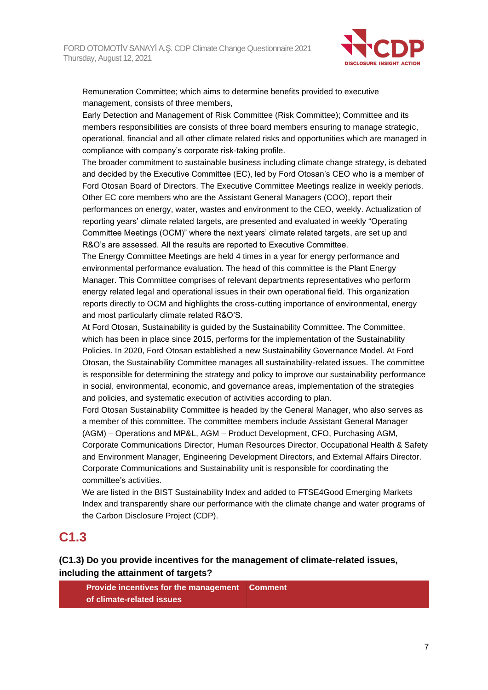

Remuneration Committee; which aims to determine benefits provided to executive management, consists of three members,

Early Detection and Management of Risk Committee (Risk Committee); Committee and its members responsibilities are consists of three board members ensuring to manage strategic, operational, financial and all other climate related risks and opportunities which are managed in compliance with company's corporate risk-taking profile.

The broader commitment to sustainable business including climate change strategy, is debated and decided by the Executive Committee (EC), led by Ford Otosan's CEO who is a member of Ford Otosan Board of Directors. The Executive Committee Meetings realize in weekly periods. Other EC core members who are the Assistant General Managers (COO), report their performances on energy, water, wastes and environment to the CEO, weekly. Actualization of reporting years' climate related targets, are presented and evaluated in weekly "Operating Committee Meetings (OCM)" where the next years' climate related targets, are set up and R&O's are assessed. All the results are reported to Executive Committee.

The Energy Committee Meetings are held 4 times in a year for energy performance and environmental performance evaluation. The head of this committee is the Plant Energy Manager. This Committee comprises of relevant departments representatives who perform energy related legal and operational issues in their own operational field. This organization reports directly to OCM and highlights the cross-cutting importance of environmental, energy and most particularly climate related R&O'S.

At Ford Otosan, Sustainability is guided by the Sustainability Committee. The Committee, which has been in place since 2015, performs for the implementation of the Sustainability Policies. In 2020, Ford Otosan established a new Sustainability Governance Model. At Ford Otosan, the Sustainability Committee manages all sustainability-related issues. The committee is responsible for determining the strategy and policy to improve our sustainability performance in social, environmental, economic, and governance areas, implementation of the strategies and policies, and systematic execution of activities according to plan.

Ford Otosan Sustainability Committee is headed by the General Manager, who also serves as a member of this committee. The committee members include Assistant General Manager (AGM) – Operations and MP&L, AGM – Product Development, CFO, Purchasing AGM, Corporate Communications Director, Human Resources Director, Occupational Health & Safety and Environment Manager, Engineering Development Directors, and External Affairs Director. Corporate Communications and Sustainability unit is responsible for coordinating the committee's activities.

We are listed in the BIST Sustainability Index and added to FTSE4Good Emerging Markets Index and transparently share our performance with the climate change and water programs of the Carbon Disclosure Project (CDP).

## **C1.3**

## **(C1.3) Do you provide incentives for the management of climate-related issues, including the attainment of targets?**

**Provide incentives for the management of climate-related issues Comment**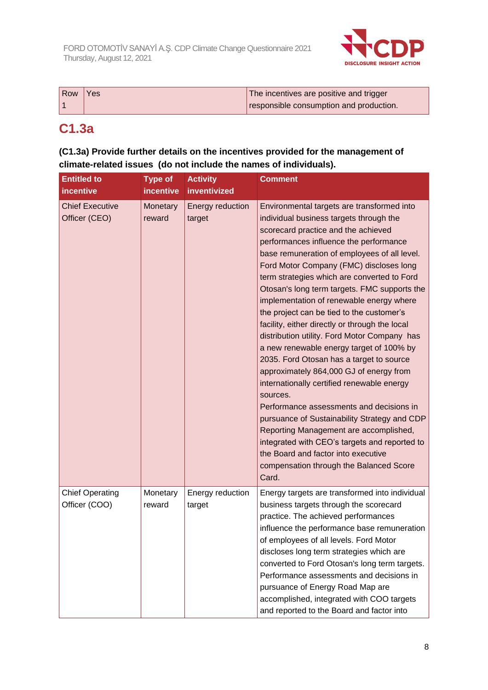

| Row | Yes | The incentives are positive and trigger |
|-----|-----|-----------------------------------------|
|     |     | responsible consumption and production. |

# **C1.3a**

## **(C1.3a) Provide further details on the incentives provided for the management of climate-related issues (do not include the names of individuals).**

| <b>Entitled to</b><br><i>incentive</i>  | <b>Type of</b><br><b>incentive</b> | <b>Activity</b><br>inventivized | <b>Comment</b>                                                                                                                                                                                                                                                                                                                                                                                                                                                                                                                                                                                                                                                                                                                                                                                                                                                                                                                                                                                                                             |
|-----------------------------------------|------------------------------------|---------------------------------|--------------------------------------------------------------------------------------------------------------------------------------------------------------------------------------------------------------------------------------------------------------------------------------------------------------------------------------------------------------------------------------------------------------------------------------------------------------------------------------------------------------------------------------------------------------------------------------------------------------------------------------------------------------------------------------------------------------------------------------------------------------------------------------------------------------------------------------------------------------------------------------------------------------------------------------------------------------------------------------------------------------------------------------------|
| <b>Chief Executive</b><br>Officer (CEO) | Monetary<br>reward                 | Energy reduction<br>target      | Environmental targets are transformed into<br>individual business targets through the<br>scorecard practice and the achieved<br>performances influence the performance<br>base remuneration of employees of all level.<br>Ford Motor Company (FMC) discloses long<br>term strategies which are converted to Ford<br>Otosan's long term targets. FMC supports the<br>implementation of renewable energy where<br>the project can be tied to the customer's<br>facility, either directly or through the local<br>distribution utility. Ford Motor Company has<br>a new renewable energy target of 100% by<br>2035. Ford Otosan has a target to source<br>approximately 864,000 GJ of energy from<br>internationally certified renewable energy<br>sources.<br>Performance assessments and decisions in<br>pursuance of Sustainability Strategy and CDP<br>Reporting Management are accomplished,<br>integrated with CEO's targets and reported to<br>the Board and factor into executive<br>compensation through the Balanced Score<br>Card. |
| <b>Chief Operating</b><br>Officer (COO) | Monetary<br>reward                 | Energy reduction<br>target      | Energy targets are transformed into individual<br>business targets through the scorecard<br>practice. The achieved performances<br>influence the performance base remuneration<br>of employees of all levels. Ford Motor<br>discloses long term strategies which are<br>converted to Ford Otosan's long term targets.<br>Performance assessments and decisions in<br>pursuance of Energy Road Map are<br>accomplished, integrated with COO targets<br>and reported to the Board and factor into                                                                                                                                                                                                                                                                                                                                                                                                                                                                                                                                            |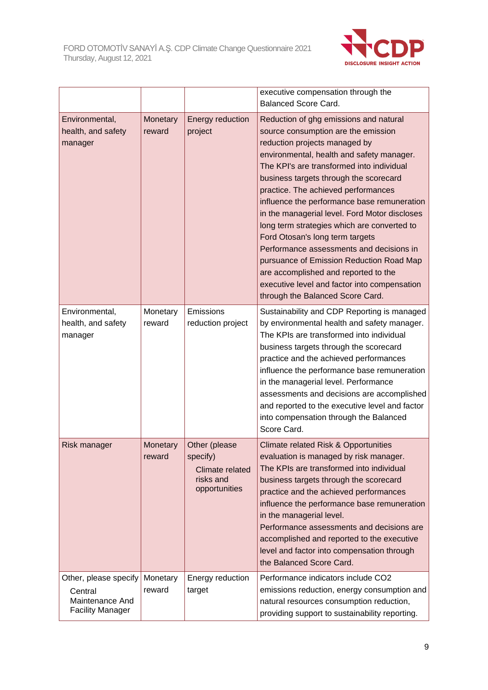

|                                                                                |                    |                                                                            | executive compensation through the<br><b>Balanced Score Card.</b>                                                                                                                                                                                                                                                                                                                                                                                                                                                                                                                                                                                                                               |
|--------------------------------------------------------------------------------|--------------------|----------------------------------------------------------------------------|-------------------------------------------------------------------------------------------------------------------------------------------------------------------------------------------------------------------------------------------------------------------------------------------------------------------------------------------------------------------------------------------------------------------------------------------------------------------------------------------------------------------------------------------------------------------------------------------------------------------------------------------------------------------------------------------------|
| Environmental,<br>health, and safety<br>manager                                | Monetary<br>reward | Energy reduction<br>project                                                | Reduction of ghg emissions and natural<br>source consumption are the emission<br>reduction projects managed by<br>environmental, health and safety manager.<br>The KPI's are transformed into individual<br>business targets through the scorecard<br>practice. The achieved performances<br>influence the performance base remuneration<br>in the managerial level. Ford Motor discloses<br>long term strategies which are converted to<br>Ford Otosan's long term targets<br>Performance assessments and decisions in<br>pursuance of Emission Reduction Road Map<br>are accomplished and reported to the<br>executive level and factor into compensation<br>through the Balanced Score Card. |
| Environmental,<br>health, and safety<br>manager                                | Monetary<br>reward | Emissions<br>reduction project                                             | Sustainability and CDP Reporting is managed<br>by environmental health and safety manager.<br>The KPIs are transformed into individual<br>business targets through the scorecard<br>practice and the achieved performances<br>influence the performance base remuneration<br>in the managerial level. Performance<br>assessments and decisions are accomplished<br>and reported to the executive level and factor<br>into compensation through the Balanced<br>Score Card.                                                                                                                                                                                                                      |
| Risk manager                                                                   | Monetary<br>reward | Other (please<br>specify)<br>Climate related<br>risks and<br>opportunities | <b>Climate related Risk &amp; Opportunities</b><br>evaluation is managed by risk manager.<br>The KPIs are transformed into individual<br>business targets through the scorecard<br>practice and the achieved performances<br>influence the performance base remuneration<br>in the managerial level.<br>Performance assessments and decisions are<br>accomplished and reported to the executive<br>level and factor into compensation through<br>the Balanced Score Card.                                                                                                                                                                                                                       |
| Other, please specify<br>Central<br>Maintenance And<br><b>Facility Manager</b> | Monetary<br>reward | Energy reduction<br>target                                                 | Performance indicators include CO2<br>emissions reduction, energy consumption and<br>natural resources consumption reduction,<br>providing support to sustainability reporting.                                                                                                                                                                                                                                                                                                                                                                                                                                                                                                                 |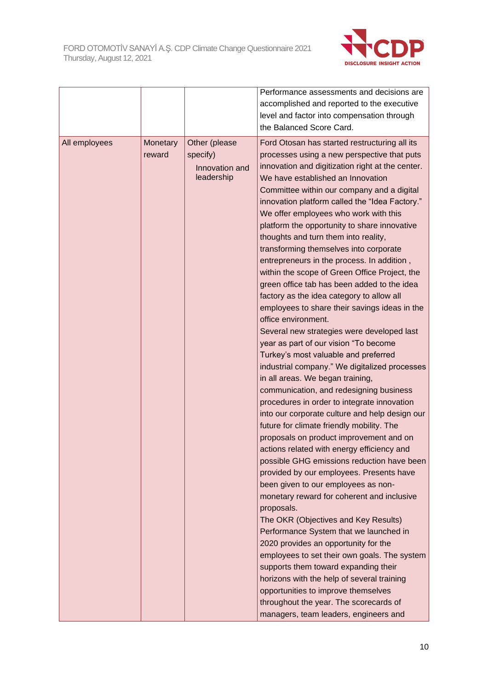

| All employees<br>Other (please<br><b>Monetary</b><br>Ford Otosan has started restructuring all its<br>specify)<br>processes using a new perspective that puts<br>reward<br>innovation and digitization right at the center.<br>Innovation and<br>leadership<br>We have established an Innovation<br>Committee within our company and a digital<br>innovation platform called the "Idea Factory."<br>We offer employees who work with this<br>platform the opportunity to share innovative<br>thoughts and turn them into reality,<br>transforming themselves into corporate<br>entrepreneurs in the process. In addition,<br>within the scope of Green Office Project, the<br>green office tab has been added to the idea<br>factory as the idea category to allow all<br>employees to share their savings ideas in the<br>office environment.<br>Several new strategies were developed last<br>year as part of our vision "To become<br>Turkey's most valuable and preferred<br>industrial company." We digitalized processes<br>in all areas. We began training,<br>communication, and redesigning business<br>procedures in order to integrate innovation<br>into our corporate culture and help design our<br>future for climate friendly mobility. The<br>proposals on product improvement and on<br>actions related with energy efficiency and<br>provided by our employees. Presents have<br>been given to our employees as non-<br>monetary reward for coherent and inclusive<br>proposals.<br>The OKR (Objectives and Key Results)<br>Performance System that we launched in |  | Performance assessments and decisions are<br>accomplished and reported to the executive<br>level and factor into compensation through<br>the Balanced Score Card. |
|---------------------------------------------------------------------------------------------------------------------------------------------------------------------------------------------------------------------------------------------------------------------------------------------------------------------------------------------------------------------------------------------------------------------------------------------------------------------------------------------------------------------------------------------------------------------------------------------------------------------------------------------------------------------------------------------------------------------------------------------------------------------------------------------------------------------------------------------------------------------------------------------------------------------------------------------------------------------------------------------------------------------------------------------------------------------------------------------------------------------------------------------------------------------------------------------------------------------------------------------------------------------------------------------------------------------------------------------------------------------------------------------------------------------------------------------------------------------------------------------------------------------------------------------------------------------------------------|--|-------------------------------------------------------------------------------------------------------------------------------------------------------------------|
| 2020 provides an opportunity for the<br>employees to set their own goals. The system<br>supports them toward expanding their<br>horizons with the help of several training<br>opportunities to improve themselves<br>throughout the year. The scorecards of<br>managers, team leaders, engineers and                                                                                                                                                                                                                                                                                                                                                                                                                                                                                                                                                                                                                                                                                                                                                                                                                                                                                                                                                                                                                                                                                                                                                                                                                                                                                  |  | possible GHG emissions reduction have been                                                                                                                        |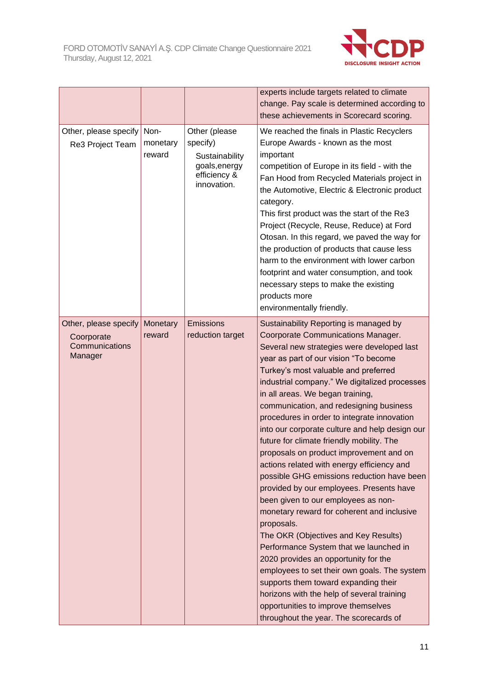

| Other, please specify<br>Re3 Project Team                        | Non-<br>monetary<br>reward | Other (please<br>specify)<br>Sustainability<br>goals, energy<br>efficiency &<br>innovation. | experts include targets related to climate<br>change. Pay scale is determined according to<br>these achievements in Scorecard scoring.<br>We reached the finals in Plastic Recyclers<br>Europe Awards - known as the most<br>important<br>competition of Europe in its field - with the<br>Fan Hood from Recycled Materials project in<br>the Automotive, Electric & Electronic product<br>category.<br>This first product was the start of the Re3<br>Project (Recycle, Reuse, Reduce) at Ford                                                                                                                                                                                                                                                                                                                                                                                                                                                                                                                                                                                                                                  |
|------------------------------------------------------------------|----------------------------|---------------------------------------------------------------------------------------------|----------------------------------------------------------------------------------------------------------------------------------------------------------------------------------------------------------------------------------------------------------------------------------------------------------------------------------------------------------------------------------------------------------------------------------------------------------------------------------------------------------------------------------------------------------------------------------------------------------------------------------------------------------------------------------------------------------------------------------------------------------------------------------------------------------------------------------------------------------------------------------------------------------------------------------------------------------------------------------------------------------------------------------------------------------------------------------------------------------------------------------|
|                                                                  |                            |                                                                                             | Otosan. In this regard, we paved the way for<br>the production of products that cause less<br>harm to the environment with lower carbon<br>footprint and water consumption, and took<br>necessary steps to make the existing<br>products more<br>environmentally friendly.                                                                                                                                                                                                                                                                                                                                                                                                                                                                                                                                                                                                                                                                                                                                                                                                                                                       |
| Other, please specify<br>Coorporate<br>Communications<br>Manager | Monetary<br>reward         | <b>Emissions</b><br>reduction target                                                        | Sustainability Reporting is managed by<br>Coorporate Communications Manager.<br>Several new strategies were developed last<br>year as part of our vision "To become<br>Turkey's most valuable and preferred<br>industrial company." We digitalized processes<br>in all areas. We began training,<br>communication, and redesigning business<br>procedures in order to integrate innovation<br>into our corporate culture and help design our<br>future for climate friendly mobility. The<br>proposals on product improvement and on<br>actions related with energy efficiency and<br>possible GHG emissions reduction have been<br>provided by our employees. Presents have<br>been given to our employees as non-<br>monetary reward for coherent and inclusive<br>proposals.<br>The OKR (Objectives and Key Results)<br>Performance System that we launched in<br>2020 provides an opportunity for the<br>employees to set their own goals. The system<br>supports them toward expanding their<br>horizons with the help of several training<br>opportunities to improve themselves<br>throughout the year. The scorecards of |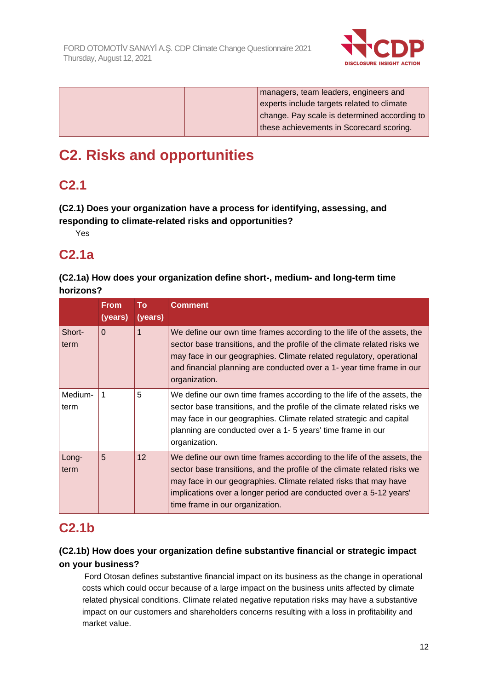

| managers, team leaders, engineers and        |
|----------------------------------------------|
| experts include targets related to climate   |
| change. Pay scale is determined according to |
| these achievements in Scorecard scoring.     |

# **C2. Risks and opportunities**

# **C2.1**

**(C2.1) Does your organization have a process for identifying, assessing, and responding to climate-related risks and opportunities?**

Yes

# **C2.1a**

## **(C2.1a) How does your organization define short-, medium- and long-term time horizons?**

|                 | <b>From</b><br>(years) | To<br>(years) | <b>Comment</b>                                                                                                                                                                                                                                                                                                                  |
|-----------------|------------------------|---------------|---------------------------------------------------------------------------------------------------------------------------------------------------------------------------------------------------------------------------------------------------------------------------------------------------------------------------------|
| Short-<br>term  | $\Omega$               |               | We define our own time frames according to the life of the assets, the<br>sector base transitions, and the profile of the climate related risks we<br>may face in our geographies. Climate related regulatory, operational<br>and financial planning are conducted over a 1- year time frame in our<br>organization.            |
| Medium-<br>term | 1                      | 5             | We define our own time frames according to the life of the assets, the<br>sector base transitions, and the profile of the climate related risks we<br>may face in our geographies. Climate related strategic and capital<br>planning are conducted over a 1-5 years' time frame in our<br>organization.                         |
| Long-<br>term   | 5                      | 12            | We define our own time frames according to the life of the assets, the<br>sector base transitions, and the profile of the climate related risks we<br>may face in our geographies. Climate related risks that may have<br>implications over a longer period are conducted over a 5-12 years'<br>time frame in our organization. |

# **C2.1b**

## **(C2.1b) How does your organization define substantive financial or strategic impact on your business?**

Ford Otosan defines substantive financial impact on its business as the change in operational costs which could occur because of a large impact on the business units affected by climate related physical conditions. Climate related negative reputation risks may have a substantive impact on our customers and shareholders concerns resulting with a loss in profitability and market value.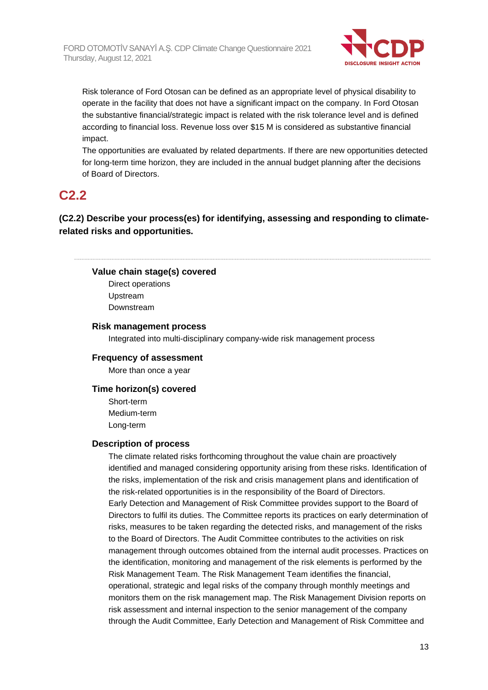

Risk tolerance of Ford Otosan can be defined as an appropriate level of physical disability to operate in the facility that does not have a significant impact on the company. In Ford Otosan the substantive financial/strategic impact is related with the risk tolerance level and is defined according to financial loss. Revenue loss over \$15 M is considered as substantive financial impact.

The opportunities are evaluated by related departments. If there are new opportunities detected for long-term time horizon, they are included in the annual budget planning after the decisions of Board of Directors.

## **C2.2**

**(C2.2) Describe your process(es) for identifying, assessing and responding to climaterelated risks and opportunities.**

### **Value chain stage(s) covered**

Direct operations Upstream Downstream

### **Risk management process**

Integrated into multi-disciplinary company-wide risk management process

## **Frequency of assessment**

More than once a year

#### **Time horizon(s) covered**

Short-term Medium-term Long-term

#### **Description of process**

The climate related risks forthcoming throughout the value chain are proactively identified and managed considering opportunity arising from these risks. Identification of the risks, implementation of the risk and crisis management plans and identification of the risk-related opportunities is in the responsibility of the Board of Directors. Early Detection and Management of Risk Committee provides support to the Board of Directors to fulfil its duties. The Committee reports its practices on early determination of risks, measures to be taken regarding the detected risks, and management of the risks to the Board of Directors. The Audit Committee contributes to the activities on risk management through outcomes obtained from the internal audit processes. Practices on the identification, monitoring and management of the risk elements is performed by the Risk Management Team. The Risk Management Team identifies the financial, operational, strategic and legal risks of the company through monthly meetings and monitors them on the risk management map. The Risk Management Division reports on risk assessment and internal inspection to the senior management of the company through the Audit Committee, Early Detection and Management of Risk Committee and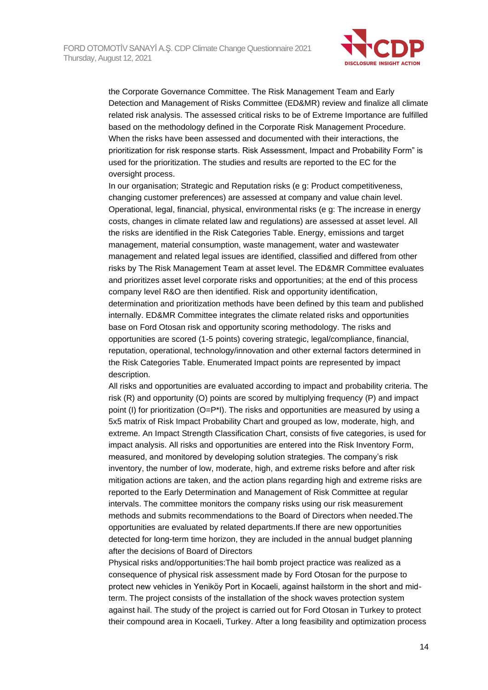

the Corporate Governance Committee. The Risk Management Team and Early Detection and Management of Risks Committee (ED&MR) review and finalize all climate related risk analysis. The assessed critical risks to be of Extreme Importance are fulfilled based on the methodology defined in the Corporate Risk Management Procedure. When the risks have been assessed and documented with their interactions, the prioritization for risk response starts. Risk Assessment, Impact and Probability Form" is used for the prioritization. The studies and results are reported to the EC for the oversight process.

In our organisation; Strategic and Reputation risks (e g: Product competitiveness, changing customer preferences) are assessed at company and value chain level. Operational, legal, financial, physical, environmental risks (e g: The increase in energy costs, changes in climate related law and regulations) are assessed at asset level. All the risks are identified in the Risk Categories Table. Energy, emissions and target management, material consumption, waste management, water and wastewater management and related legal issues are identified, classified and differed from other risks by The Risk Management Team at asset level. The ED&MR Committee evaluates and prioritizes asset level corporate risks and opportunities; at the end of this process company level R&O are then identified. Risk and opportunity identification, determination and prioritization methods have been defined by this team and published internally. ED&MR Committee integrates the climate related risks and opportunities base on Ford Otosan risk and opportunity scoring methodology. The risks and opportunities are scored (1-5 points) covering strategic, legal/compliance, financial, reputation, operational, technology/innovation and other external factors determined in the Risk Categories Table. Enumerated Impact points are represented by impact description.

All risks and opportunities are evaluated according to impact and probability criteria. The risk (R) and opportunity (O) points are scored by multiplying frequency (P) and impact point (I) for prioritization  $(Q=P^*I)$ . The risks and opportunities are measured by using a 5x5 matrix of Risk Impact Probability Chart and grouped as low, moderate, high, and extreme. An Impact Strength Classification Chart, consists of five categories, is used for impact analysis. All risks and opportunities are entered into the Risk Inventory Form, measured, and monitored by developing solution strategies. The company's risk inventory, the number of low, moderate, high, and extreme risks before and after risk mitigation actions are taken, and the action plans regarding high and extreme risks are reported to the Early Determination and Management of Risk Committee at regular intervals. The committee monitors the company risks using our risk measurement methods and submits recommendations to the Board of Directors when needed.The opportunities are evaluated by related departments.If there are new opportunities detected for long-term time horizon, they are included in the annual budget planning after the decisions of Board of Directors

Physical risks and/opportunities:The hail bomb project practice was realized as a consequence of physical risk assessment made by Ford Otosan for the purpose to protect new vehicles in Yeniköy Port in Kocaeli, against hailstorm in the short and midterm. The project consists of the installation of the shock waves protection system against hail. The study of the project is carried out for Ford Otosan in Turkey to protect their compound area in Kocaeli, Turkey. After a long feasibility and optimization process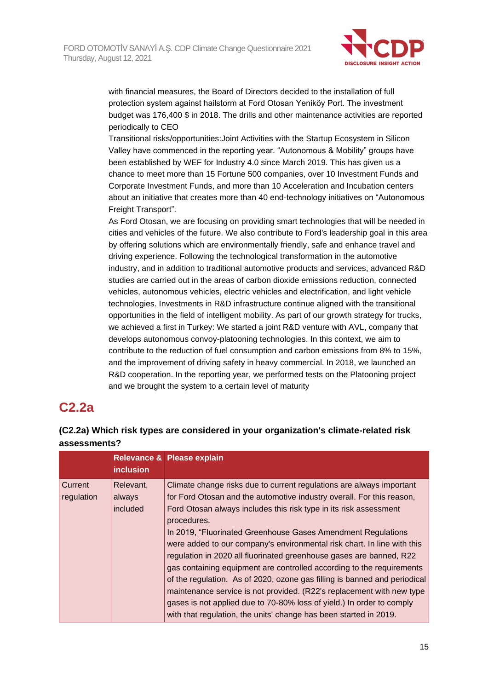

with financial measures, the Board of Directors decided to the installation of full protection system against hailstorm at Ford Otosan Yeniköy Port. The investment budget was 176,400 \$ in 2018. The drills and other maintenance activities are reported periodically to CEO

Transitional risks/opportunities:Joint Activities with the Startup Ecosystem in Silicon Valley have commenced in the reporting year. "Autonomous & Mobility" groups have been established by WEF for Industry 4.0 since March 2019. This has given us a chance to meet more than 15 Fortune 500 companies, over 10 Investment Funds and Corporate Investment Funds, and more than 10 Acceleration and Incubation centers about an initiative that creates more than 40 end-technology initiatives on "Autonomous Freight Transport".

As Ford Otosan, we are focusing on providing smart technologies that will be needed in cities and vehicles of the future. We also contribute to Ford's leadership goal in this area by offering solutions which are environmentally friendly, safe and enhance travel and driving experience. Following the technological transformation in the automotive industry, and in addition to traditional automotive products and services, advanced R&D studies are carried out in the areas of carbon dioxide emissions reduction, connected vehicles, autonomous vehicles, electric vehicles and electrification, and light vehicle technologies. Investments in R&D infrastructure continue aligned with the transitional opportunities in the field of intelligent mobility. As part of our growth strategy for trucks, we achieved a first in Turkey: We started a joint R&D venture with AVL, company that develops autonomous convoy-platooning technologies. In this context, we aim to contribute to the reduction of fuel consumption and carbon emissions from 8% to 15%, and the improvement of driving safety in heavy commercial. In 2018, we launched an R&D cooperation. In the reporting year, we performed tests on the Platooning project and we brought the system to a certain level of maturity

## **C2.2a**

## **(C2.2a) Which risk types are considered in your organization's climate-related risk assessments?**

|                       | <b>inclusion</b>                | Relevance & Please explain                                                                                                                                                                                                                                                                                                                                                                                                                                                                                                                                                                                                                                                                                                                                                                                                       |
|-----------------------|---------------------------------|----------------------------------------------------------------------------------------------------------------------------------------------------------------------------------------------------------------------------------------------------------------------------------------------------------------------------------------------------------------------------------------------------------------------------------------------------------------------------------------------------------------------------------------------------------------------------------------------------------------------------------------------------------------------------------------------------------------------------------------------------------------------------------------------------------------------------------|
| Current<br>regulation | Relevant,<br>always<br>included | Climate change risks due to current regulations are always important<br>for Ford Otosan and the automotive industry overall. For this reason,<br>Ford Otosan always includes this risk type in its risk assessment<br>procedures.<br>In 2019, "Fluorinated Greenhouse Gases Amendment Regulations<br>were added to our company's environmental risk chart. In line with this<br>regulation in 2020 all fluorinated greenhouse gases are banned, R22<br>gas containing equipment are controlled according to the requirements<br>of the regulation. As of 2020, ozone gas filling is banned and periodical<br>maintenance service is not provided. (R22's replacement with new type<br>gases is not applied due to 70-80% loss of yield.) In order to comply<br>with that regulation, the units' change has been started in 2019. |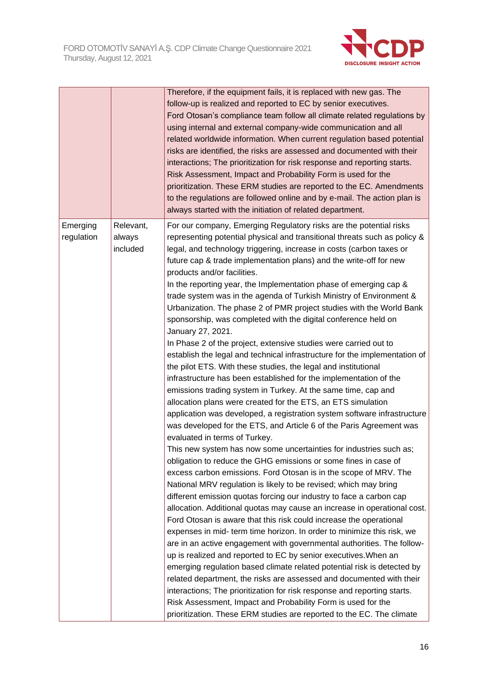

|                        |                                 | Therefore, if the equipment fails, it is replaced with new gas. The<br>follow-up is realized and reported to EC by senior executives.<br>Ford Otosan's compliance team follow all climate related regulations by<br>using internal and external company-wide communication and all<br>related worldwide information. When current regulation based potential<br>risks are identified, the risks are assessed and documented with their<br>interactions; The prioritization for risk response and reporting starts.<br>Risk Assessment, Impact and Probability Form is used for the<br>prioritization. These ERM studies are reported to the EC. Amendments<br>to the regulations are followed online and by e-mail. The action plan is<br>always started with the initiation of related department.                                                                                                                                                                                                                                                                                                                                                                                                                                                                                                                                                                                                                                                                                                                                                                                                                                                                                                                                                                                                                                                                                                                                                                                                                                                                                                                                                                                                                                                                                                                                                            |
|------------------------|---------------------------------|----------------------------------------------------------------------------------------------------------------------------------------------------------------------------------------------------------------------------------------------------------------------------------------------------------------------------------------------------------------------------------------------------------------------------------------------------------------------------------------------------------------------------------------------------------------------------------------------------------------------------------------------------------------------------------------------------------------------------------------------------------------------------------------------------------------------------------------------------------------------------------------------------------------------------------------------------------------------------------------------------------------------------------------------------------------------------------------------------------------------------------------------------------------------------------------------------------------------------------------------------------------------------------------------------------------------------------------------------------------------------------------------------------------------------------------------------------------------------------------------------------------------------------------------------------------------------------------------------------------------------------------------------------------------------------------------------------------------------------------------------------------------------------------------------------------------------------------------------------------------------------------------------------------------------------------------------------------------------------------------------------------------------------------------------------------------------------------------------------------------------------------------------------------------------------------------------------------------------------------------------------------------------------------------------------------------------------------------------------------|
| Emerging<br>regulation | Relevant,<br>always<br>included | For our company, Emerging Regulatory risks are the potential risks<br>representing potential physical and transitional threats such as policy &<br>legal, and technology triggering, increase in costs (carbon taxes or<br>future cap & trade implementation plans) and the write-off for new<br>products and/or facilities.<br>In the reporting year, the Implementation phase of emerging cap &<br>trade system was in the agenda of Turkish Ministry of Environment &<br>Urbanization. The phase 2 of PMR project studies with the World Bank<br>sponsorship, was completed with the digital conference held on<br>January 27, 2021.<br>In Phase 2 of the project, extensive studies were carried out to<br>establish the legal and technical infrastructure for the implementation of<br>the pilot ETS. With these studies, the legal and institutional<br>infrastructure has been established for the implementation of the<br>emissions trading system in Turkey. At the same time, cap and<br>allocation plans were created for the ETS, an ETS simulation<br>application was developed, a registration system software infrastructure<br>was developed for the ETS, and Article 6 of the Paris Agreement was<br>evaluated in terms of Turkey.<br>This new system has now some uncertainties for industries such as;<br>obligation to reduce the GHG emissions or some fines in case of<br>excess carbon emissions. Ford Otosan is in the scope of MRV. The<br>National MRV regulation is likely to be revised; which may bring<br>different emission quotas forcing our industry to face a carbon cap<br>allocation. Additional quotas may cause an increase in operational cost.<br>Ford Otosan is aware that this risk could increase the operational<br>expenses in mid- term time horizon. In order to minimize this risk, we<br>are in an active engagement with governmental authorities. The follow-<br>up is realized and reported to EC by senior executives. When an<br>emerging regulation based climate related potential risk is detected by<br>related department, the risks are assessed and documented with their<br>interactions; The prioritization for risk response and reporting starts.<br>Risk Assessment, Impact and Probability Form is used for the<br>prioritization. These ERM studies are reported to the EC. The climate |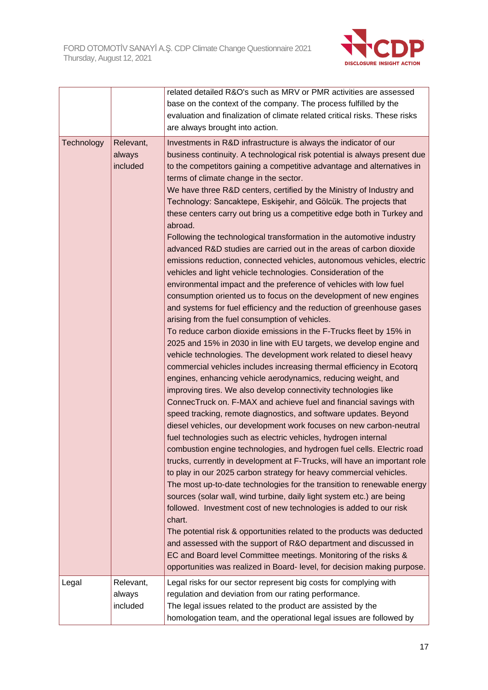

|            |                                 | related detailed R&O's such as MRV or PMR activities are assessed<br>base on the context of the company. The process fulfilled by the<br>evaluation and finalization of climate related critical risks. These risks<br>are always brought into action.                                                                                                                                                                                                                                                                                                                                                                                                                                                                                                                                                                                                                                                                                                                                                                                                                                                                                                                                                                                                                                                                                                                                                                                                                                                                                                                                                                                                                                                                                                                                                                                                                                                                                                                                                                                                                                                                                                                                                                                                                                                                                                                                                                                                                                                                                                |
|------------|---------------------------------|-------------------------------------------------------------------------------------------------------------------------------------------------------------------------------------------------------------------------------------------------------------------------------------------------------------------------------------------------------------------------------------------------------------------------------------------------------------------------------------------------------------------------------------------------------------------------------------------------------------------------------------------------------------------------------------------------------------------------------------------------------------------------------------------------------------------------------------------------------------------------------------------------------------------------------------------------------------------------------------------------------------------------------------------------------------------------------------------------------------------------------------------------------------------------------------------------------------------------------------------------------------------------------------------------------------------------------------------------------------------------------------------------------------------------------------------------------------------------------------------------------------------------------------------------------------------------------------------------------------------------------------------------------------------------------------------------------------------------------------------------------------------------------------------------------------------------------------------------------------------------------------------------------------------------------------------------------------------------------------------------------------------------------------------------------------------------------------------------------------------------------------------------------------------------------------------------------------------------------------------------------------------------------------------------------------------------------------------------------------------------------------------------------------------------------------------------------------------------------------------------------------------------------------------------------|
| Technology | Relevant,<br>always<br>included | Investments in R&D infrastructure is always the indicator of our<br>business continuity. A technological risk potential is always present due<br>to the competitors gaining a competitive advantage and alternatives in<br>terms of climate change in the sector.<br>We have three R&D centers, certified by the Ministry of Industry and<br>Technology: Sancaktepe, Eskişehir, and Gölcük. The projects that<br>these centers carry out bring us a competitive edge both in Turkey and<br>abroad.<br>Following the technological transformation in the automotive industry<br>advanced R&D studies are carried out in the areas of carbon dioxide<br>emissions reduction, connected vehicles, autonomous vehicles, electric<br>vehicles and light vehicle technologies. Consideration of the<br>environmental impact and the preference of vehicles with low fuel<br>consumption oriented us to focus on the development of new engines<br>and systems for fuel efficiency and the reduction of greenhouse gases<br>arising from the fuel consumption of vehicles.<br>To reduce carbon dioxide emissions in the F-Trucks fleet by 15% in<br>2025 and 15% in 2030 in line with EU targets, we develop engine and<br>vehicle technologies. The development work related to diesel heavy<br>commercial vehicles includes increasing thermal efficiency in Ecotorq<br>engines, enhancing vehicle aerodynamics, reducing weight, and<br>improving tires. We also develop connectivity technologies like<br>ConnecTruck on. F-MAX and achieve fuel and financial savings with<br>speed tracking, remote diagnostics, and software updates. Beyond<br>diesel vehicles, our development work focuses on new carbon-neutral<br>fuel technologies such as electric vehicles, hydrogen internal<br>combustion engine technologies, and hydrogen fuel cells. Electric road<br>trucks, currently in development at F-Trucks, will have an important role<br>to play in our 2025 carbon strategy for heavy commercial vehicles.<br>The most up-to-date technologies for the transition to renewable energy<br>sources (solar wall, wind turbine, daily light system etc.) are being<br>followed. Investment cost of new technologies is added to our risk<br>chart.<br>The potential risk & opportunities related to the products was deducted<br>and assessed with the support of R&O department and discussed in<br>EC and Board level Committee meetings. Monitoring of the risks &<br>opportunities was realized in Board- level, for decision making purpose. |
| Legal      | Relevant,<br>always<br>included | Legal risks for our sector represent big costs for complying with<br>regulation and deviation from our rating performance.<br>The legal issues related to the product are assisted by the<br>homologation team, and the operational legal issues are followed by                                                                                                                                                                                                                                                                                                                                                                                                                                                                                                                                                                                                                                                                                                                                                                                                                                                                                                                                                                                                                                                                                                                                                                                                                                                                                                                                                                                                                                                                                                                                                                                                                                                                                                                                                                                                                                                                                                                                                                                                                                                                                                                                                                                                                                                                                      |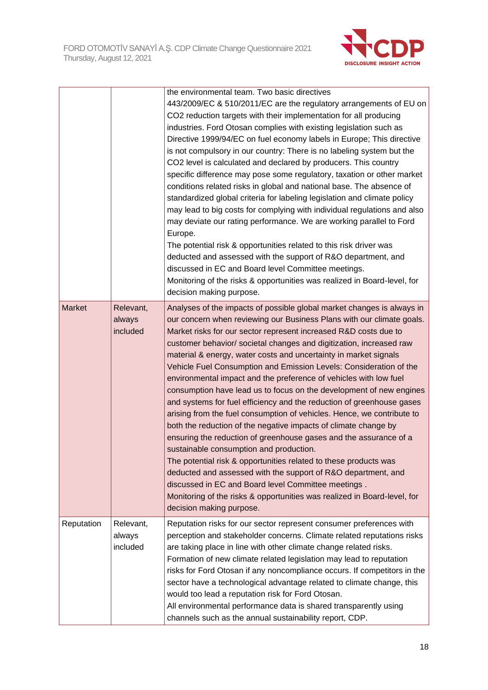

|               |                                 | the environmental team. Two basic directives<br>443/2009/EC & 510/2011/EC are the regulatory arrangements of EU on<br>CO2 reduction targets with their implementation for all producing<br>industries. Ford Otosan complies with existing legislation such as<br>Directive 1999/94/EC on fuel economy labels in Europe; This directive<br>is not compulsory in our country: There is no labeling system but the<br>CO2 level is calculated and declared by producers. This country<br>specific difference may pose some regulatory, taxation or other market<br>conditions related risks in global and national base. The absence of<br>standardized global criteria for labeling legislation and climate policy<br>may lead to big costs for complying with individual regulations and also<br>may deviate our rating performance. We are working parallel to Ford<br>Europe.<br>The potential risk & opportunities related to this risk driver was<br>deducted and assessed with the support of R&O department, and<br>discussed in EC and Board level Committee meetings.<br>Monitoring of the risks & opportunities was realized in Board-level, for<br>decision making purpose.                                       |
|---------------|---------------------------------|----------------------------------------------------------------------------------------------------------------------------------------------------------------------------------------------------------------------------------------------------------------------------------------------------------------------------------------------------------------------------------------------------------------------------------------------------------------------------------------------------------------------------------------------------------------------------------------------------------------------------------------------------------------------------------------------------------------------------------------------------------------------------------------------------------------------------------------------------------------------------------------------------------------------------------------------------------------------------------------------------------------------------------------------------------------------------------------------------------------------------------------------------------------------------------------------------------------------------|
| <b>Market</b> | Relevant,<br>always<br>included | Analyses of the impacts of possible global market changes is always in<br>our concern when reviewing our Business Plans with our climate goals.<br>Market risks for our sector represent increased R&D costs due to<br>customer behavior/ societal changes and digitization, increased raw<br>material & energy, water costs and uncertainty in market signals<br>Vehicle Fuel Consumption and Emission Levels: Consideration of the<br>environmental impact and the preference of vehicles with low fuel<br>consumption have lead us to focus on the development of new engines<br>and systems for fuel efficiency and the reduction of greenhouse gases<br>arising from the fuel consumption of vehicles. Hence, we contribute to<br>both the reduction of the negative impacts of climate change by<br>ensuring the reduction of greenhouse gases and the assurance of a<br>sustainable consumption and production.<br>The potential risk & opportunities related to these products was<br>deducted and assessed with the support of R&O department, and<br>discussed in EC and Board level Committee meetings.<br>Monitoring of the risks & opportunities was realized in Board-level, for<br>decision making purpose. |
| Reputation    | Relevant,<br>always<br>included | Reputation risks for our sector represent consumer preferences with<br>perception and stakeholder concerns. Climate related reputations risks<br>are taking place in line with other climate change related risks.<br>Formation of new climate related legislation may lead to reputation<br>risks for Ford Otosan if any noncompliance occurs. If competitors in the<br>sector have a technological advantage related to climate change, this<br>would too lead a reputation risk for Ford Otosan.<br>All environmental performance data is shared transparently using<br>channels such as the annual sustainability report, CDP.                                                                                                                                                                                                                                                                                                                                                                                                                                                                                                                                                                                         |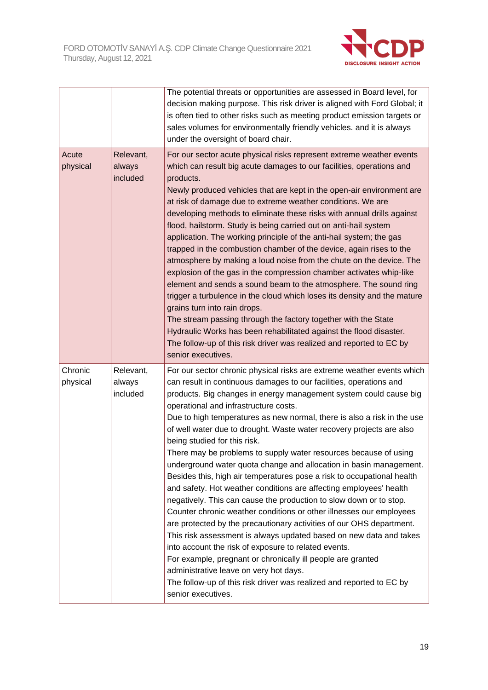

|                     |                                 | The potential threats or opportunities are assessed in Board level, for<br>decision making purpose. This risk driver is aligned with Ford Global; it<br>is often tied to other risks such as meeting product emission targets or<br>sales volumes for environmentally friendly vehicles. and it is always<br>under the oversight of board chair.                                                                                                                                                                                                                                                                                                                                                                                                                                                                                                                                                                                                                                                                                                                                                                                                                                                                                                                                                  |
|---------------------|---------------------------------|---------------------------------------------------------------------------------------------------------------------------------------------------------------------------------------------------------------------------------------------------------------------------------------------------------------------------------------------------------------------------------------------------------------------------------------------------------------------------------------------------------------------------------------------------------------------------------------------------------------------------------------------------------------------------------------------------------------------------------------------------------------------------------------------------------------------------------------------------------------------------------------------------------------------------------------------------------------------------------------------------------------------------------------------------------------------------------------------------------------------------------------------------------------------------------------------------------------------------------------------------------------------------------------------------|
| Acute<br>physical   | Relevant,<br>always<br>included | For our sector acute physical risks represent extreme weather events<br>which can result big acute damages to our facilities, operations and<br>products.<br>Newly produced vehicles that are kept in the open-air environment are<br>at risk of damage due to extreme weather conditions. We are<br>developing methods to eliminate these risks with annual drills against<br>flood, hailstorm. Study is being carried out on anti-hail system<br>application. The working principle of the anti-hail system; the gas<br>trapped in the combustion chamber of the device, again rises to the<br>atmosphere by making a loud noise from the chute on the device. The<br>explosion of the gas in the compression chamber activates whip-like<br>element and sends a sound beam to the atmosphere. The sound ring<br>trigger a turbulence in the cloud which loses its density and the mature<br>grains turn into rain drops.<br>The stream passing through the factory together with the State<br>Hydraulic Works has been rehabilitated against the flood disaster.<br>The follow-up of this risk driver was realized and reported to EC by<br>senior executives.                                                                                                                                 |
| Chronic<br>physical | Relevant,<br>always<br>included | For our sector chronic physical risks are extreme weather events which<br>can result in continuous damages to our facilities, operations and<br>products. Big changes in energy management system could cause big<br>operational and infrastructure costs.<br>Due to high temperatures as new normal, there is also a risk in the use<br>of well water due to drought. Waste water recovery projects are also<br>being studied for this risk.<br>There may be problems to supply water resources because of using<br>underground water quota change and allocation in basin management.<br>Besides this, high air temperatures pose a risk to occupational health<br>and safety. Hot weather conditions are affecting employees' health<br>negatively. This can cause the production to slow down or to stop.<br>Counter chronic weather conditions or other illnesses our employees<br>are protected by the precautionary activities of our OHS department.<br>This risk assessment is always updated based on new data and takes<br>into account the risk of exposure to related events.<br>For example, pregnant or chronically ill people are granted<br>administrative leave on very hot days.<br>The follow-up of this risk driver was realized and reported to EC by<br>senior executives. |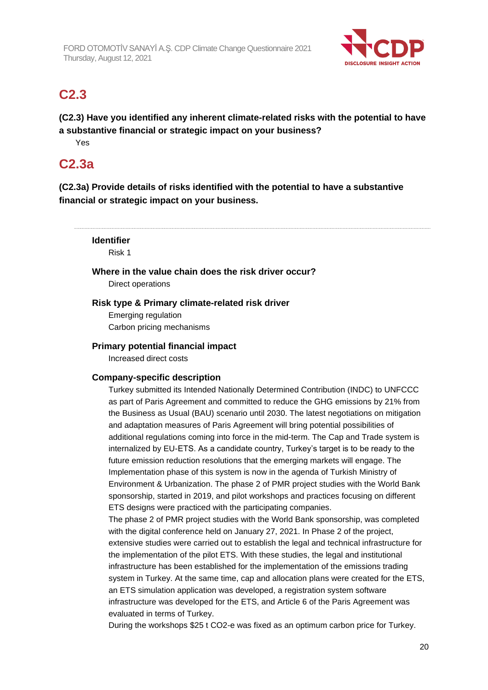

# **C2.3**

**(C2.3) Have you identified any inherent climate-related risks with the potential to have a substantive financial or strategic impact on your business?**

Yes

## **C2.3a**

**(C2.3a) Provide details of risks identified with the potential to have a substantive financial or strategic impact on your business.**

**Identifier** Risk 1 **Where in the value chain does the risk driver occur?** Direct operations **Risk type & Primary climate-related risk driver**

Emerging regulation Carbon pricing mechanisms

## **Primary potential financial impact**

Increased direct costs

## **Company-specific description**

Turkey submitted its Intended Nationally Determined Contribution (INDC) to UNFCCC as part of Paris Agreement and committed to reduce the GHG emissions by 21% from the Business as Usual (BAU) scenario until 2030. The latest negotiations on mitigation and adaptation measures of Paris Agreement will bring potential possibilities of additional regulations coming into force in the mid-term. The Cap and Trade system is internalized by EU-ETS. As a candidate country, Turkey's target is to be ready to the future emission reduction resolutions that the emerging markets will engage. The Implementation phase of this system is now in the agenda of Turkish Ministry of Environment & Urbanization. The phase 2 of PMR project studies with the World Bank sponsorship, started in 2019, and pilot workshops and practices focusing on different ETS designs were practiced with the participating companies.

The phase 2 of PMR project studies with the World Bank sponsorship, was completed with the digital conference held on January 27, 2021. In Phase 2 of the project, extensive studies were carried out to establish the legal and technical infrastructure for the implementation of the pilot ETS. With these studies, the legal and institutional infrastructure has been established for the implementation of the emissions trading system in Turkey. At the same time, cap and allocation plans were created for the ETS, an ETS simulation application was developed, a registration system software infrastructure was developed for the ETS, and Article 6 of the Paris Agreement was evaluated in terms of Turkey.

During the workshops \$25 t CO2-e was fixed as an optimum carbon price for Turkey.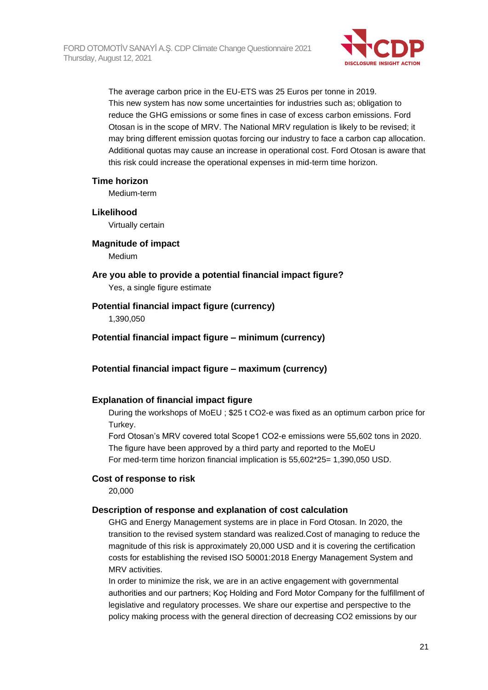

The average carbon price in the EU-ETS was 25 Euros per tonne in 2019. This new system has now some uncertainties for industries such as; obligation to reduce the GHG emissions or some fines in case of excess carbon emissions. Ford Otosan is in the scope of MRV. The National MRV regulation is likely to be revised; it may bring different emission quotas forcing our industry to face a carbon cap allocation. Additional quotas may cause an increase in operational cost. Ford Otosan is aware that this risk could increase the operational expenses in mid-term time horizon.

### **Time horizon**

Medium-term

#### **Likelihood**

Virtually certain

#### **Magnitude of impact**

Medium

## **Are you able to provide a potential financial impact figure?**

Yes, a single figure estimate

## **Potential financial impact figure (currency)**

1,390,050

## **Potential financial impact figure – minimum (currency)**

## **Potential financial impact figure – maximum (currency)**

## **Explanation of financial impact figure**

During the workshops of MoEU ; \$25 t CO2-e was fixed as an optimum carbon price for Turkey.

Ford Otosan's MRV covered total Scope1 CO2-e emissions were 55,602 tons in 2020. The figure have been approved by a third party and reported to the MoEU For med-term time horizon financial implication is 55,602\*25= 1,390,050 USD.

#### **Cost of response to risk**

20,000

## **Description of response and explanation of cost calculation**

GHG and Energy Management systems are in place in Ford Otosan. In 2020, the transition to the revised system standard was realized.Cost of managing to reduce the magnitude of this risk is approximately 20,000 USD and it is covering the certification costs for establishing the revised ISO 50001:2018 Energy Management System and MRV activities.

In order to minimize the risk, we are in an active engagement with governmental authorities and our partners; Koç Holding and Ford Motor Company for the fulfillment of legislative and regulatory processes. We share our expertise and perspective to the policy making process with the general direction of decreasing CO2 emissions by our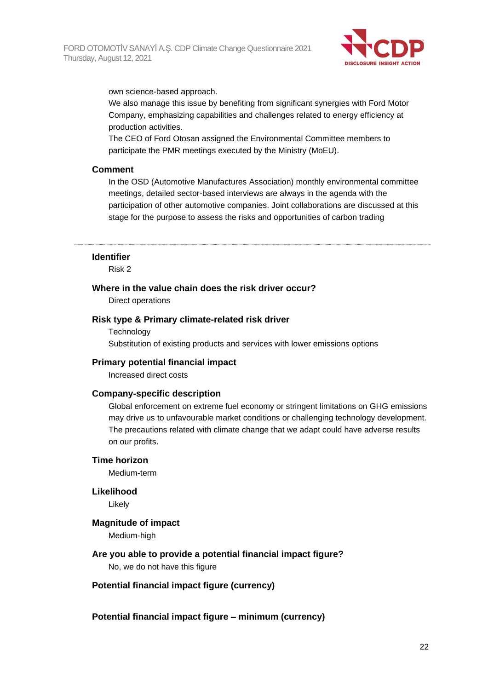

own science-based approach.

We also manage this issue by benefiting from significant synergies with Ford Motor Company, emphasizing capabilities and challenges related to energy efficiency at production activities.

The CEO of Ford Otosan assigned the Environmental Committee members to participate the PMR meetings executed by the Ministry (MoEU).

#### **Comment**

In the OSD (Automotive Manufactures Association) monthly environmental committee meetings, detailed sector-based interviews are always in the agenda with the participation of other automotive companies. Joint collaborations are discussed at this stage for the purpose to assess the risks and opportunities of carbon trading

#### **Identifier**

Risk 2

#### **Where in the value chain does the risk driver occur?**

Direct operations

#### **Risk type & Primary climate-related risk driver**

**Technology** Substitution of existing products and services with lower emissions options

#### **Primary potential financial impact**

Increased direct costs

#### **Company-specific description**

Global enforcement on extreme fuel economy or stringent limitations on GHG emissions may drive us to unfavourable market conditions or challenging technology development. The precautions related with climate change that we adapt could have adverse results on our profits.

#### **Time horizon**

Medium-term

#### **Likelihood**

Likely

#### **Magnitude of impact**

Medium-high

## **Are you able to provide a potential financial impact figure?**

No, we do not have this figure

#### **Potential financial impact figure (currency)**

**Potential financial impact figure – minimum (currency)**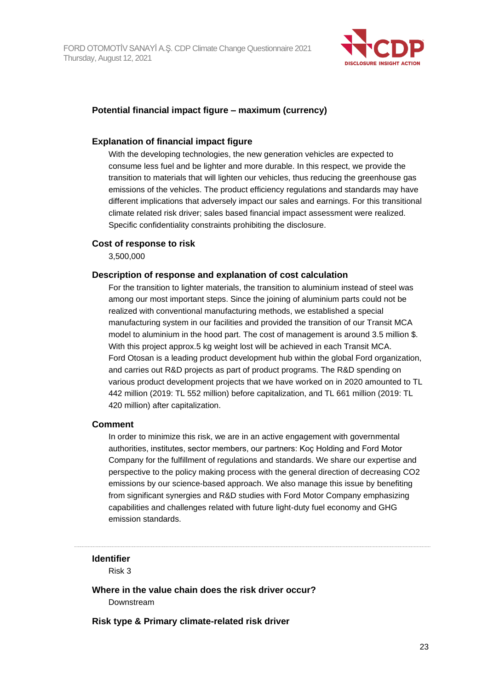

## **Potential financial impact figure – maximum (currency)**

### **Explanation of financial impact figure**

With the developing technologies, the new generation vehicles are expected to consume less fuel and be lighter and more durable. In this respect, we provide the transition to materials that will lighten our vehicles, thus reducing the greenhouse gas emissions of the vehicles. The product efficiency regulations and standards may have different implications that adversely impact our sales and earnings. For this transitional climate related risk driver; sales based financial impact assessment were realized. Specific confidentiality constraints prohibiting the disclosure.

### **Cost of response to risk**

3,500,000

#### **Description of response and explanation of cost calculation**

For the transition to lighter materials, the transition to aluminium instead of steel was among our most important steps. Since the joining of aluminium parts could not be realized with conventional manufacturing methods, we established a special manufacturing system in our facilities and provided the transition of our Transit MCA model to aluminium in the hood part. The cost of management is around 3.5 million \$. With this project approx.5 kg weight lost will be achieved in each Transit MCA. Ford Otosan is a leading product development hub within the global Ford organization, and carries out R&D projects as part of product programs. The R&D spending on various product development projects that we have worked on in 2020 amounted to TL 442 million (2019: TL 552 million) before capitalization, and TL 661 million (2019: TL 420 million) after capitalization.

#### **Comment**

In order to minimize this risk, we are in an active engagement with governmental authorities, institutes, sector members, our partners: Koç Holding and Ford Motor Company for the fulfillment of regulations and standards. We share our expertise and perspective to the policy making process with the general direction of decreasing CO2 emissions by our science-based approach. We also manage this issue by benefiting from significant synergies and R&D studies with Ford Motor Company emphasizing capabilities and challenges related with future light-duty fuel economy and GHG emission standards.

#### **Identifier**

Risk 3

**Where in the value chain does the risk driver occur?** Downstream

**Risk type & Primary climate-related risk driver**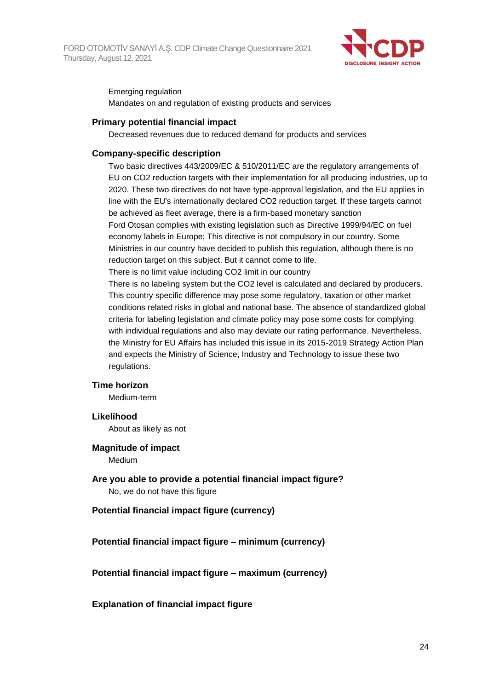

Emerging regulation Mandates on and regulation of existing products and services

### **Primary potential financial impact**

Decreased revenues due to reduced demand for products and services

### **Company-specific description**

Two basic directives 443/2009/EC & 510/2011/EC are the regulatory arrangements of EU on CO2 reduction targets with their implementation for all producing industries, up to 2020. These two directives do not have type-approval legislation, and the EU applies in line with the EU's internationally declared CO2 reduction target. If these targets cannot be achieved as fleet average, there is a firm-based monetary sanction Ford Otosan complies with existing legislation such as Directive 1999/94/EC on fuel economy labels in Europe; This directive is not compulsory in our country. Some Ministries in our country have decided to publish this regulation, although there is no reduction target on this subject. But it cannot come to life.

There is no limit value including CO2 limit in our country

There is no labeling system but the CO2 level is calculated and declared by producers. This country specific difference may pose some regulatory, taxation or other market conditions related risks in global and national base. The absence of standardized global criteria for labeling legislation and climate policy may pose some costs for complying with individual regulations and also may deviate our rating performance. Nevertheless, the Ministry for EU Affairs has included this issue in its 2015-2019 Strategy Action Plan and expects the Ministry of Science, Industry and Technology to issue these two regulations.

#### **Time horizon**

Medium-term

#### **Likelihood**

About as likely as not

#### **Magnitude of impact**

Medium

**Are you able to provide a potential financial impact figure?** No, we do not have this figure

## **Potential financial impact figure (currency)**

**Potential financial impact figure – minimum (currency)**

**Potential financial impact figure – maximum (currency)**

## **Explanation of financial impact figure**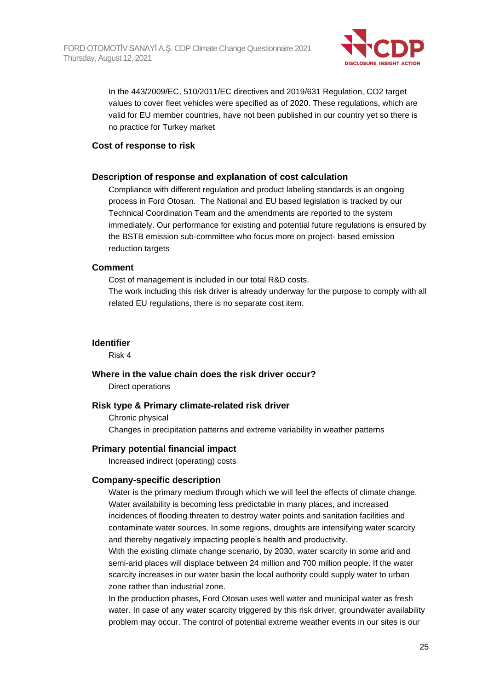

In the 443/2009/EC, 510/2011/EC directives and 2019/631 Regulation, CO2 target values to cover fleet vehicles were specified as of 2020. These regulations, which are valid for EU member countries, have not been published in our country yet so there is no practice for Turkey market

#### **Cost of response to risk**

### **Description of response and explanation of cost calculation**

Compliance with different regulation and product labeling standards is an ongoing process in Ford Otosan. The National and EU based legislation is tracked by our Technical Coordination Team and the amendments are reported to the system immediately. Our performance for existing and potential future regulations is ensured by the BSTB emission sub-committee who focus more on project- based emission reduction targets

### **Comment**

Cost of management is included in our total R&D costs.

The work including this risk driver is already underway for the purpose to comply with all related EU regulations, there is no separate cost item.

#### **Identifier**

Risk 4

#### **Where in the value chain does the risk driver occur?**

Direct operations

#### **Risk type & Primary climate-related risk driver**

Chronic physical Changes in precipitation patterns and extreme variability in weather patterns

#### **Primary potential financial impact**

Increased indirect (operating) costs

#### **Company-specific description**

Water is the primary medium through which we will feel the effects of climate change. Water availability is becoming less predictable in many places, and increased incidences of flooding threaten to destroy water points and sanitation facilities and contaminate water sources. In some regions, droughts are intensifying water scarcity and thereby negatively impacting people's health and productivity.

With the existing climate change scenario, by 2030, water scarcity in some arid and semi-arid places will displace between 24 million and 700 million people. If the water scarcity increases in our water basin the local authority could supply water to urban zone rather than industrial zone.

In the production phases, Ford Otosan uses well water and municipal water as fresh water. In case of any water scarcity triggered by this risk driver, groundwater availability problem may occur. The control of potential extreme weather events in our sites is our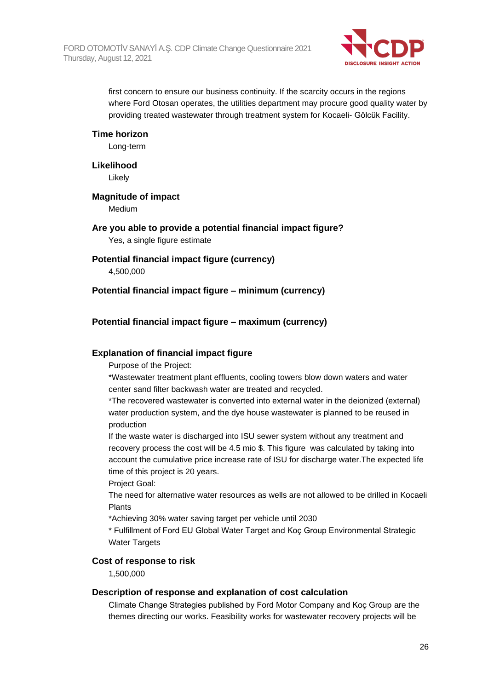

first concern to ensure our business continuity. If the scarcity occurs in the regions where Ford Otosan operates, the utilities department may procure good quality water by providing treated wastewater through treatment system for Kocaeli- Gölcük Facility.

### **Time horizon**

Long-term

#### **Likelihood**

Likely

### **Magnitude of impact**

Medium

## **Are you able to provide a potential financial impact figure?** Yes, a single figure estimate

## **Potential financial impact figure (currency)**

4,500,000

## **Potential financial impact figure – minimum (currency)**

## **Potential financial impact figure – maximum (currency)**

## **Explanation of financial impact figure**

Purpose of the Project:

\*Wastewater treatment plant effluents, cooling towers blow down waters and water center sand filter backwash water are treated and recycled.

\*The recovered wastewater is converted into external water in the deionized (external) water production system, and the dye house wastewater is planned to be reused in production

If the waste water is discharged into ISU sewer system without any treatment and recovery process the cost will be 4.5 mio \$. This figure was calculated by taking into account the cumulative price increase rate of ISU for discharge water.The expected life time of this project is 20 years.

Project Goal:

The need for alternative water resources as wells are not allowed to be drilled in Kocaeli Plants

\*Achieving 30% water saving target per vehicle until 2030

\* Fulfillment of Ford EU Global Water Target and Koç Group Environmental Strategic Water Targets

#### **Cost of response to risk**

1,500,000

#### **Description of response and explanation of cost calculation**

Climate Change Strategies published by Ford Motor Company and Koç Group are the themes directing our works. Feasibility works for wastewater recovery projects will be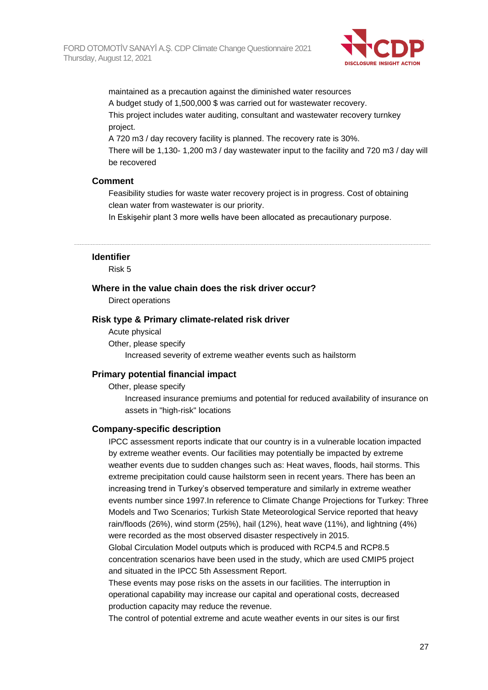

maintained as a precaution against the diminished water resources A budget study of 1,500,000 \$ was carried out for wastewater recovery. This project includes water auditing, consultant and wastewater recovery turnkey project.

A 720 m3 / day recovery facility is planned. The recovery rate is 30%. There will be 1,130- 1,200 m3 / day wastewater input to the facility and 720 m3 / day will be recovered

### **Comment**

Feasibility studies for waste water recovery project is in progress. Cost of obtaining clean water from wastewater is our priority.

In Eskişehir plant 3 more wells have been allocated as precautionary purpose.

#### **Identifier**

Risk 5

#### **Where in the value chain does the risk driver occur?**

Direct operations

#### **Risk type & Primary climate-related risk driver**

Acute physical Other, please specify Increased severity of extreme weather events such as hailstorm

#### **Primary potential financial impact**

Other, please specify

Increased insurance premiums and potential for reduced availability of insurance on assets in "high-risk" locations

#### **Company-specific description**

IPCC assessment reports indicate that our country is in a vulnerable location impacted by extreme weather events. Our facilities may potentially be impacted by extreme weather events due to sudden changes such as: Heat waves, floods, hail storms. This extreme precipitation could cause hailstorm seen in recent years. There has been an increasing trend in Turkey's observed temperature and similarly in extreme weather events number since 1997.In reference to Climate Change Projections for Turkey: Three Models and Two Scenarios; Turkish State Meteorological Service reported that heavy rain/floods (26%), wind storm (25%), hail (12%), heat wave (11%), and lightning (4%) were recorded as the most observed disaster respectively in 2015.

Global Circulation Model outputs which is produced with RCP4.5 and RCP8.5 concentration scenarios have been used in the study, which are used CMIP5 project and situated in the IPCC 5th Assessment Report.

These events may pose risks on the assets in our facilities. The interruption in operational capability may increase our capital and operational costs, decreased production capacity may reduce the revenue.

The control of potential extreme and acute weather events in our sites is our first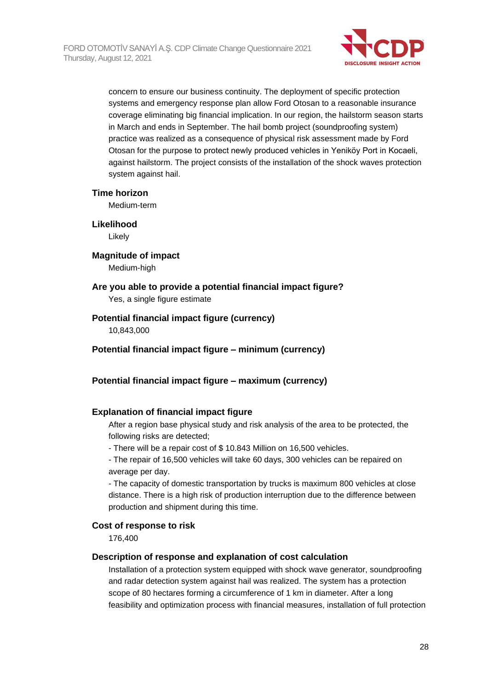

concern to ensure our business continuity. The deployment of specific protection systems and emergency response plan allow Ford Otosan to a reasonable insurance coverage eliminating big financial implication. In our region, the hailstorm season starts in March and ends in September. The hail bomb project (soundproofing system) practice was realized as a consequence of physical risk assessment made by Ford Otosan for the purpose to protect newly produced vehicles in Yeniköy Port in Kocaeli, against hailstorm. The project consists of the installation of the shock waves protection system against hail.

### **Time horizon**

Medium-term

## **Likelihood**

Likely

## **Magnitude of impact**

Medium-high

## **Are you able to provide a potential financial impact figure?**

Yes, a single figure estimate

## **Potential financial impact figure (currency)**

10,843,000

### **Potential financial impact figure – minimum (currency)**

## **Potential financial impact figure – maximum (currency)**

## **Explanation of financial impact figure**

After a region base physical study and risk analysis of the area to be protected, the following risks are detected;

- There will be a repair cost of \$ 10.843 Million on 16,500 vehicles.

- The repair of 16,500 vehicles will take 60 days, 300 vehicles can be repaired on average per day.

- The capacity of domestic transportation by trucks is maximum 800 vehicles at close distance. There is a high risk of production interruption due to the difference between production and shipment during this time.

### **Cost of response to risk**

176,400

#### **Description of response and explanation of cost calculation**

Installation of a protection system equipped with shock wave generator, soundproofing and radar detection system against hail was realized. The system has a protection scope of 80 hectares forming a circumference of 1 km in diameter. After a long feasibility and optimization process with financial measures, installation of full protection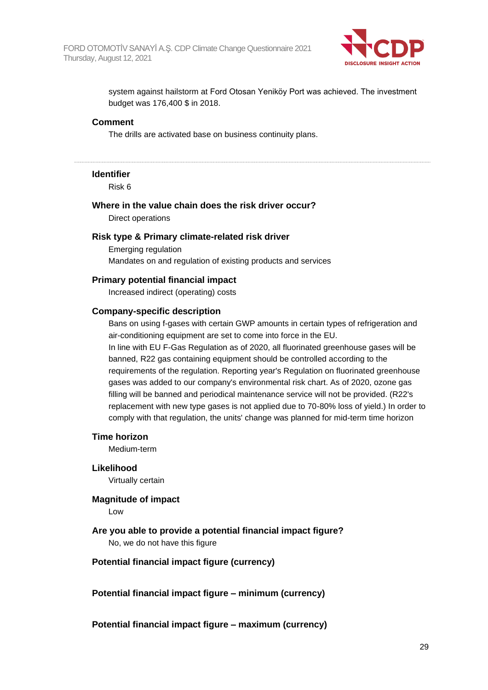

system against hailstorm at Ford Otosan Yeniköy Port was achieved. The investment budget was 176,400 \$ in 2018.

#### **Comment**

The drills are activated base on business continuity plans.

#### **Identifier**

Risk 6

## **Where in the value chain does the risk driver occur?** Direct operations

#### **Risk type & Primary climate-related risk driver**

Emerging regulation Mandates on and regulation of existing products and services

#### **Primary potential financial impact**

Increased indirect (operating) costs

#### **Company-specific description**

Bans on using f-gases with certain GWP amounts in certain types of refrigeration and air-conditioning equipment are set to come into force in the EU.

In line with EU F-Gas Regulation as of 2020, all fluorinated greenhouse gases will be banned, R22 gas containing equipment should be controlled according to the requirements of the regulation. Reporting year's Regulation on fluorinated greenhouse gases was added to our company's environmental risk chart. As of 2020, ozone gas filling will be banned and periodical maintenance service will not be provided. (R22's replacement with new type gases is not applied due to 70-80% loss of yield.) In order to comply with that regulation, the units' change was planned for mid-term time horizon

#### **Time horizon**

Medium-term

#### **Likelihood**

Virtually certain

#### **Magnitude of impact**

Low

**Are you able to provide a potential financial impact figure?** No, we do not have this figure

#### **Potential financial impact figure (currency)**

**Potential financial impact figure – minimum (currency)**

**Potential financial impact figure – maximum (currency)**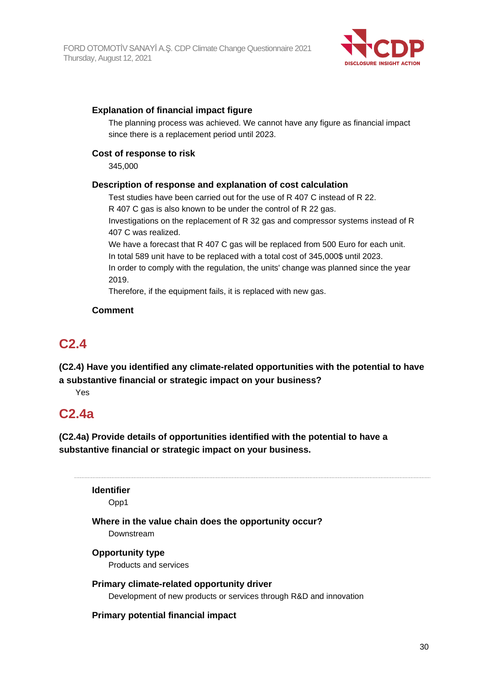

## **Explanation of financial impact figure**

The planning process was achieved. We cannot have any figure as financial impact since there is a replacement period until 2023.

## **Cost of response to risk**

345,000

## **Description of response and explanation of cost calculation**

Test studies have been carried out for the use of R 407 C instead of R 22. R 407 C gas is also known to be under the control of R 22 gas.

Investigations on the replacement of R 32 gas and compressor systems instead of R 407 C was realized.

We have a forecast that R 407 C gas will be replaced from 500 Euro for each unit. In total 589 unit have to be replaced with a total cost of 345,000\$ until 2023. In order to comply with the regulation, the units' change was planned since the year

2019.

Therefore, if the equipment fails, it is replaced with new gas.

## **Comment**

## **C2.4**

**(C2.4) Have you identified any climate-related opportunities with the potential to have a substantive financial or strategic impact on your business?**

Yes

# **C2.4a**

**(C2.4a) Provide details of opportunities identified with the potential to have a substantive financial or strategic impact on your business.**

**Identifier**

Opp1

## **Where in the value chain does the opportunity occur?** Downstream

## **Opportunity type**

Products and services

## **Primary climate-related opportunity driver**

Development of new products or services through R&D and innovation

## **Primary potential financial impact**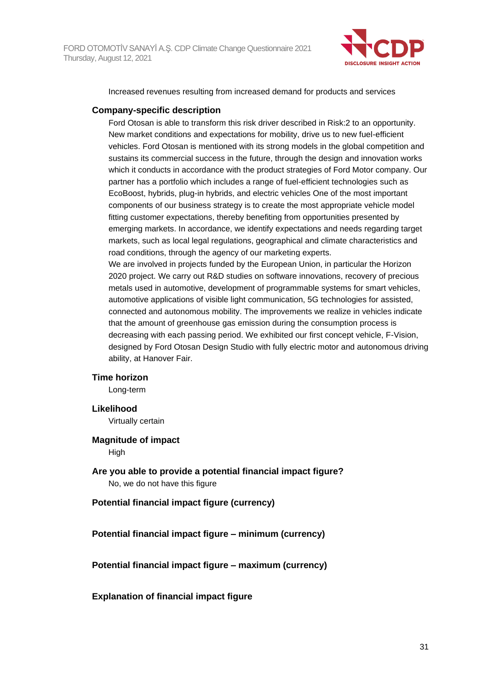

Increased revenues resulting from increased demand for products and services

### **Company-specific description**

Ford Otosan is able to transform this risk driver described in Risk:2 to an opportunity. New market conditions and expectations for mobility, drive us to new fuel-efficient vehicles. Ford Otosan is mentioned with its strong models in the global competition and sustains its commercial success in the future, through the design and innovation works which it conducts in accordance with the product strategies of Ford Motor company. Our partner has a portfolio which includes a range of fuel-efficient technologies such as EcoBoost, hybrids, plug-in hybrids, and electric vehicles One of the most important components of our business strategy is to create the most appropriate vehicle model fitting customer expectations, thereby benefiting from opportunities presented by emerging markets. In accordance, we identify expectations and needs regarding target markets, such as local legal regulations, geographical and climate characteristics and road conditions, through the agency of our marketing experts.

We are involved in projects funded by the European Union, in particular the Horizon 2020 project. We carry out R&D studies on software innovations, recovery of precious metals used in automotive, development of programmable systems for smart vehicles, automotive applications of visible light communication, 5G technologies for assisted, connected and autonomous mobility. The improvements we realize in vehicles indicate that the amount of greenhouse gas emission during the consumption process is decreasing with each passing period. We exhibited our first concept vehicle, F-Vision, designed by Ford Otosan Design Studio with fully electric motor and autonomous driving ability, at Hanover Fair.

#### **Time horizon**

Long-term

#### **Likelihood**

Virtually certain

#### **Magnitude of impact**

High

**Are you able to provide a potential financial impact figure?** No, we do not have this figure

**Potential financial impact figure (currency)**

**Potential financial impact figure – minimum (currency)**

**Potential financial impact figure – maximum (currency)**

#### **Explanation of financial impact figure**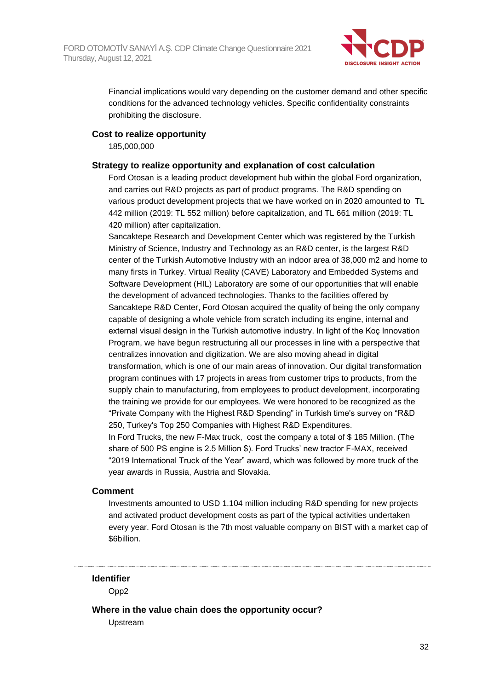

Financial implications would vary depending on the customer demand and other specific conditions for the advanced technology vehicles. Specific confidentiality constraints prohibiting the disclosure.

### **Cost to realize opportunity**

185,000,000

#### **Strategy to realize opportunity and explanation of cost calculation**

Ford Otosan is a leading product development hub within the global Ford organization, and carries out R&D projects as part of product programs. The R&D spending on various product development projects that we have worked on in 2020 amounted to TL 442 million (2019: TL 552 million) before capitalization, and TL 661 million (2019: TL 420 million) after capitalization.

Sancaktepe Research and Development Center which was registered by the Turkish Ministry of Science, Industry and Technology as an R&D center, is the largest R&D center of the Turkish Automotive Industry with an indoor area of 38,000 m2 and home to many firsts in Turkey. Virtual Reality (CAVE) Laboratory and Embedded Systems and Software Development (HIL) Laboratory are some of our opportunities that will enable the development of advanced technologies. Thanks to the facilities offered by Sancaktepe R&D Center, Ford Otosan acquired the quality of being the only company capable of designing a whole vehicle from scratch including its engine, internal and external visual design in the Turkish automotive industry. In light of the Koç Innovation Program, we have begun restructuring all our processes in line with a perspective that centralizes innovation and digitization. We are also moving ahead in digital transformation, which is one of our main areas of innovation. Our digital transformation program continues with 17 projects in areas from customer trips to products, from the supply chain to manufacturing, from employees to product development, incorporating the training we provide for our employees. We were honored to be recognized as the "Private Company with the Highest R&D Spending" in Turkish time's survey on "R&D 250, Turkey's Top 250 Companies with Highest R&D Expenditures. In Ford Trucks, the new F-Max truck, cost the company a total of \$ 185 Million. (The

share of 500 PS engine is 2.5 Million \$). Ford Trucks' new tractor F-MAX, received "2019 International Truck of the Year" award, which was followed by more truck of the year awards in Russia, Austria and Slovakia.

#### **Comment**

Investments amounted to USD 1.104 million including R&D spending for new projects and activated product development costs as part of the typical activities undertaken every year. Ford Otosan is the 7th most valuable company on BIST with a market cap of \$6billion.

## **Identifier**

Opp2

**Where in the value chain does the opportunity occur?**

Upstream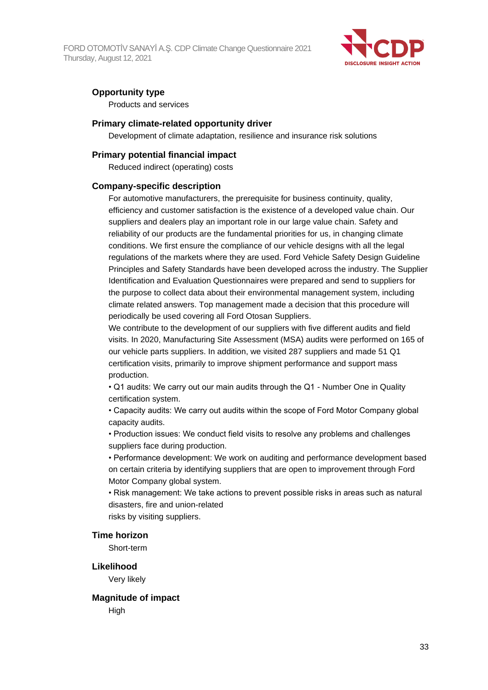FORD OTOMOTİV SANAYİ A.Ş. CDP Climate Change Questionnaire 2021 Thursday, August 12, 2021



## **Opportunity type**

Products and services

#### **Primary climate-related opportunity driver**

Development of climate adaptation, resilience and insurance risk solutions

### **Primary potential financial impact**

Reduced indirect (operating) costs

#### **Company-specific description**

For automotive manufacturers, the prerequisite for business continuity, quality, efficiency and customer satisfaction is the existence of a developed value chain. Our suppliers and dealers play an important role in our large value chain. Safety and reliability of our products are the fundamental priorities for us, in changing climate conditions. We first ensure the compliance of our vehicle designs with all the legal regulations of the markets where they are used. Ford Vehicle Safety Design Guideline Principles and Safety Standards have been developed across the industry. The Supplier Identification and Evaluation Questionnaires were prepared and send to suppliers for the purpose to collect data about their environmental management system, including climate related answers. Top management made a decision that this procedure will periodically be used covering all Ford Otosan Suppliers.

We contribute to the development of our suppliers with five different audits and field visits. In 2020, Manufacturing Site Assessment (MSA) audits were performed on 165 of our vehicle parts suppliers. In addition, we visited 287 suppliers and made 51 Q1 certification visits, primarily to improve shipment performance and support mass production.

• Q1 audits: We carry out our main audits through the Q1 - Number One in Quality certification system.

• Capacity audits: We carry out audits within the scope of Ford Motor Company global capacity audits.

• Production issues: We conduct field visits to resolve any problems and challenges suppliers face during production.

• Performance development: We work on auditing and performance development based on certain criteria by identifying suppliers that are open to improvement through Ford Motor Company global system.

• Risk management: We take actions to prevent possible risks in areas such as natural disasters, fire and union-related risks by visiting suppliers.

#### **Time horizon**

Short-term

**Likelihood** Very likely

**Magnitude of impact High**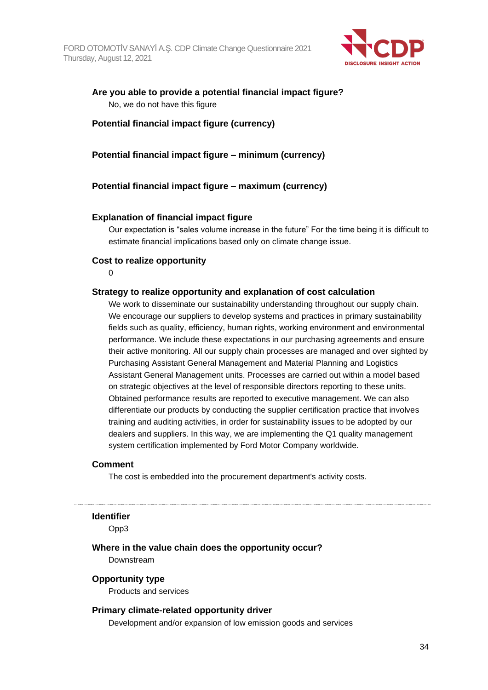

## **Are you able to provide a potential financial impact figure?** No, we do not have this figure

## **Potential financial impact figure (currency)**

**Potential financial impact figure – minimum (currency)**

## **Potential financial impact figure – maximum (currency)**

### **Explanation of financial impact figure**

Our expectation is "sales volume increase in the future" For the time being it is difficult to estimate financial implications based only on climate change issue.

### **Cost to realize opportunity**

0

### **Strategy to realize opportunity and explanation of cost calculation**

We work to disseminate our sustainability understanding throughout our supply chain. We encourage our suppliers to develop systems and practices in primary sustainability fields such as quality, efficiency, human rights, working environment and environmental performance. We include these expectations in our purchasing agreements and ensure their active monitoring. All our supply chain processes are managed and over sighted by Purchasing Assistant General Management and Material Planning and Logistics Assistant General Management units. Processes are carried out within a model based on strategic objectives at the level of responsible directors reporting to these units. Obtained performance results are reported to executive management. We can also differentiate our products by conducting the supplier certification practice that involves training and auditing activities, in order for sustainability issues to be adopted by our dealers and suppliers. In this way, we are implementing the Q1 quality management system certification implemented by Ford Motor Company worldwide.

#### **Comment**

The cost is embedded into the procurement department's activity costs.

#### **Identifier**

Opp3

## **Where in the value chain does the opportunity occur?**

Downstream

#### **Opportunity type**

Products and services

## **Primary climate-related opportunity driver**

Development and/or expansion of low emission goods and services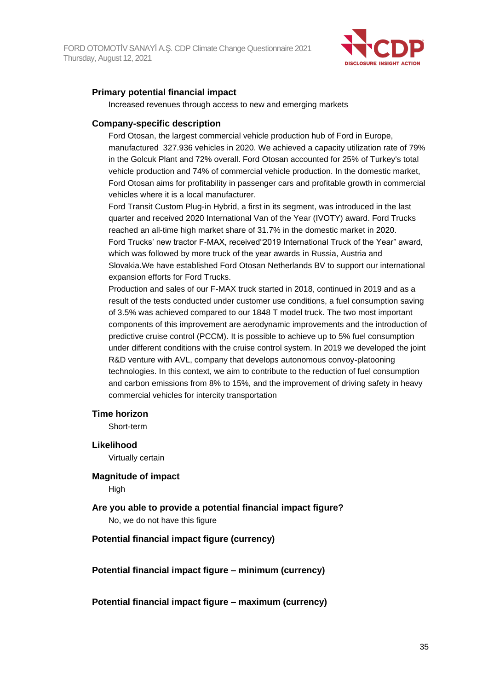

## **Primary potential financial impact**

Increased revenues through access to new and emerging markets

### **Company-specific description**

Ford Otosan, the largest commercial vehicle production hub of Ford in Europe, manufactured 327.936 vehicles in 2020. We achieved a capacity utilization rate of 79% in the Golcuk Plant and 72% overall. Ford Otosan accounted for 25% of Turkey's total vehicle production and 74% of commercial vehicle production. In the domestic market, Ford Otosan aims for profitability in passenger cars and profitable growth in commercial vehicles where it is a local manufacturer.

Ford Transit Custom Plug-in Hybrid, a first in its segment, was introduced in the last quarter and received 2020 International Van of the Year (IVOTY) award. Ford Trucks reached an all-time high market share of 31.7% in the domestic market in 2020. Ford Trucks' new tractor F-MAX, received"2019 International Truck of the Year" award, which was followed by more truck of the year awards in Russia, Austria and Slovakia.We have established Ford Otosan Netherlands BV to support our international expansion efforts for Ford Trucks.

Production and sales of our F-MAX truck started in 2018, continued in 2019 and as a result of the tests conducted under customer use conditions, a fuel consumption saving of 3.5% was achieved compared to our 1848 T model truck. The two most important components of this improvement are aerodynamic improvements and the introduction of predictive cruise control (PCCM). It is possible to achieve up to 5% fuel consumption under different conditions with the cruise control system. In 2019 we developed the joint R&D venture with AVL, company that develops autonomous convoy-platooning technologies. In this context, we aim to contribute to the reduction of fuel consumption and carbon emissions from 8% to 15%, and the improvement of driving safety in heavy commercial vehicles for intercity transportation

#### **Time horizon**

Short-term

## **Likelihood**

Virtually certain

#### **Magnitude of impact**

High

## **Are you able to provide a potential financial impact figure?** No, we do not have this figure

## **Potential financial impact figure (currency)**

**Potential financial impact figure – minimum (currency)**

**Potential financial impact figure – maximum (currency)**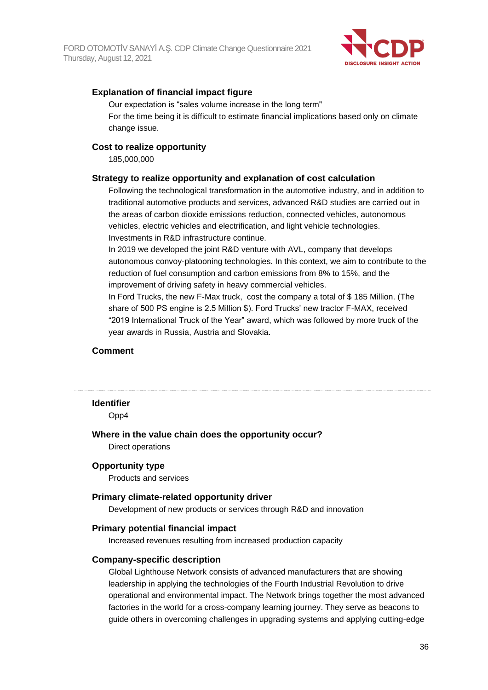

## **Explanation of financial impact figure**

Our expectation is "sales volume increase in the long term" For the time being it is difficult to estimate financial implications based only on climate change issue.

### **Cost to realize opportunity**

185,000,000

### **Strategy to realize opportunity and explanation of cost calculation**

Following the technological transformation in the automotive industry, and in addition to traditional automotive products and services, advanced R&D studies are carried out in the areas of carbon dioxide emissions reduction, connected vehicles, autonomous vehicles, electric vehicles and electrification, and light vehicle technologies. Investments in R&D infrastructure continue.

In 2019 we developed the joint R&D venture with AVL, company that develops autonomous convoy-platooning technologies. In this context, we aim to contribute to the reduction of fuel consumption and carbon emissions from 8% to 15%, and the improvement of driving safety in heavy commercial vehicles.

In Ford Trucks, the new F-Max truck, cost the company a total of \$ 185 Million. (The share of 500 PS engine is 2.5 Million \$). Ford Trucks' new tractor F-MAX, received "2019 International Truck of the Year" award, which was followed by more truck of the year awards in Russia, Austria and Slovakia.

#### **Comment**

#### **Identifier**

Opp4

#### **Where in the value chain does the opportunity occur?**

Direct operations

#### **Opportunity type**

Products and services

#### **Primary climate-related opportunity driver**

Development of new products or services through R&D and innovation

#### **Primary potential financial impact**

Increased revenues resulting from increased production capacity

#### **Company-specific description**

Global Lighthouse Network consists of advanced manufacturers that are showing leadership in applying the technologies of the Fourth Industrial Revolution to drive operational and environmental impact. The Network brings together the most advanced factories in the world for a cross-company learning journey. They serve as beacons to guide others in overcoming challenges in upgrading systems and applying cutting-edge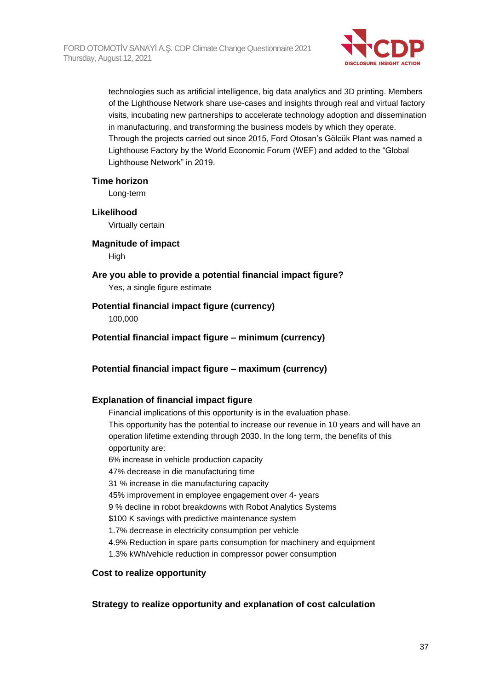

technologies such as artificial intelligence, big data analytics and 3D printing. Members of the Lighthouse Network share use-cases and insights through real and virtual factory visits, incubating new partnerships to accelerate technology adoption and dissemination in manufacturing, and transforming the business models by which they operate. Through the projects carried out since 2015, Ford Otosan's Gölcük Plant was named a Lighthouse Factory by the World Economic Forum (WEF) and added to the "Global Lighthouse Network" in 2019.

### **Time horizon**

Long-term

### **Likelihood**

Virtually certain

#### **Magnitude of impact**

High

# **Are you able to provide a potential financial impact figure?**

Yes, a single figure estimate

## **Potential financial impact figure (currency)**

100,000

## **Potential financial impact figure – minimum (currency)**

## **Potential financial impact figure – maximum (currency)**

#### **Explanation of financial impact figure**

Financial implications of this opportunity is in the evaluation phase.

This opportunity has the potential to increase our revenue in 10 years and will have an operation lifetime extending through 2030. In the long term, the benefits of this opportunity are:

6% increase in vehicle production capacity

47% decrease in die manufacturing time

31 % increase in die manufacturing capacity

45% improvement in employee engagement over 4- years

9 % decline in robot breakdowns with Robot Analytics Systems

\$100 K savings with predictive maintenance system

1.7% decrease in electricity consumption per vehicle

4.9% Reduction in spare parts consumption for machinery and equipment

1.3% kWh/vehicle reduction in compressor power consumption

## **Cost to realize opportunity**

#### **Strategy to realize opportunity and explanation of cost calculation**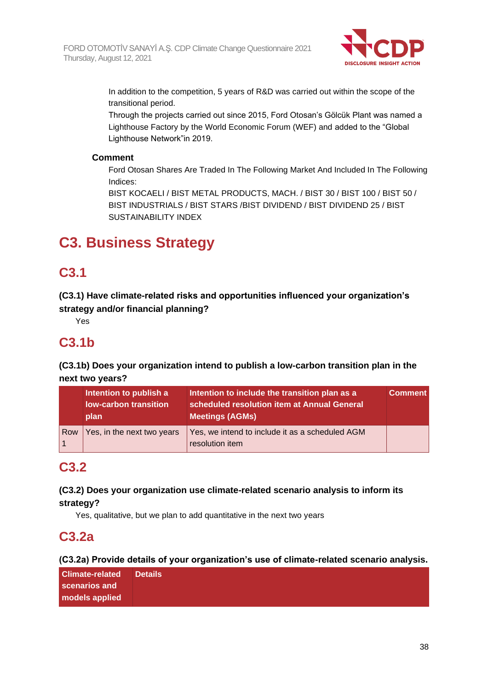

In addition to the competition, 5 years of R&D was carried out within the scope of the transitional period.

Through the projects carried out since 2015, Ford Otosan's Gölcük Plant was named a Lighthouse Factory by the World Economic Forum (WEF) and added to the "Global Lighthouse Network"in 2019.

## **Comment**

Ford Otosan Shares Are Traded In The Following Market And Included In The Following Indices:

BIST KOCAELI / BIST METAL PRODUCTS, MACH. / BIST 30 / BIST 100 / BIST 50 / BIST INDUSTRIALS / BIST STARS /BIST DIVIDEND / BIST DIVIDEND 25 / BIST SUSTAINABILITY INDEX

# **C3. Business Strategy**

# **C3.1**

**(C3.1) Have climate-related risks and opportunities influenced your organization's strategy and/or financial planning?**

Yes

# **C3.1b**

**(C3.1b) Does your organization intend to publish a low-carbon transition plan in the next two years?**

|     | Intention to publish a<br>low-carbon transition<br>plan | Intention to include the transition plan as a<br>scheduled resolution item at Annual General<br><b>Meetings (AGMs)</b> | <b>Comment</b> |
|-----|---------------------------------------------------------|------------------------------------------------------------------------------------------------------------------------|----------------|
| Row | Yes, in the next two years                              | Yes, we intend to include it as a scheduled AGM<br>resolution item                                                     |                |

## **C3.2**

**(C3.2) Does your organization use climate-related scenario analysis to inform its strategy?**

Yes, qualitative, but we plan to add quantitative in the next two years

# **C3.2a**

**(C3.2a) Provide details of your organization's use of climate-related scenario analysis.**

| <b>Climate-related</b> | <b>Details</b> |
|------------------------|----------------|
| scenarios and          |                |
| models applied         |                |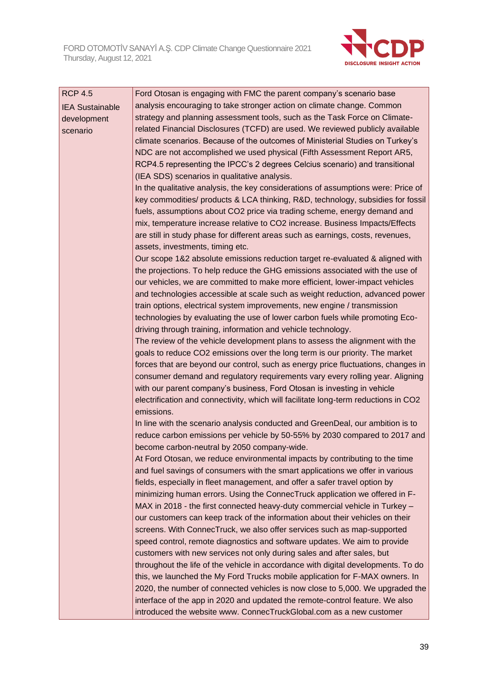

| <b>RCP 4.5</b>         | Ford Otosan is engaging with FMC the parent company's scenario base                                                                                            |  |
|------------------------|----------------------------------------------------------------------------------------------------------------------------------------------------------------|--|
| <b>IEA Sustainable</b> | analysis encouraging to take stronger action on climate change. Common                                                                                         |  |
| development            | strategy and planning assessment tools, such as the Task Force on Climate-                                                                                     |  |
| scenario               | related Financial Disclosures (TCFD) are used. We reviewed publicly available                                                                                  |  |
|                        | climate scenarios. Because of the outcomes of Ministerial Studies on Turkey's                                                                                  |  |
|                        | NDC are not accomplished we used physical (Fifth Assessment Report AR5,                                                                                        |  |
|                        | RCP4.5 representing the IPCC's 2 degrees Celcius scenario) and transitional                                                                                    |  |
|                        | (IEA SDS) scenarios in qualitative analysis.                                                                                                                   |  |
|                        | In the qualitative analysis, the key considerations of assumptions were: Price of                                                                              |  |
|                        | key commodities/ products & LCA thinking, R&D, technology, subsidies for fossil                                                                                |  |
|                        | fuels, assumptions about CO2 price via trading scheme, energy demand and                                                                                       |  |
|                        | mix, temperature increase relative to CO2 increase. Business Impacts/Effects                                                                                   |  |
|                        | are still in study phase for different areas such as earnings, costs, revenues,                                                                                |  |
|                        | assets, investments, timing etc.                                                                                                                               |  |
|                        | Our scope 1&2 absolute emissions reduction target re-evaluated & aligned with                                                                                  |  |
|                        | the projections. To help reduce the GHG emissions associated with the use of                                                                                   |  |
|                        | our vehicles, we are committed to make more efficient, lower-impact vehicles                                                                                   |  |
|                        | and technologies accessible at scale such as weight reduction, advanced power                                                                                  |  |
|                        | train options, electrical system improvements, new engine / transmission                                                                                       |  |
|                        | technologies by evaluating the use of lower carbon fuels while promoting Eco-                                                                                  |  |
|                        | driving through training, information and vehicle technology.                                                                                                  |  |
|                        | The review of the vehicle development plans to assess the alignment with the                                                                                   |  |
|                        | goals to reduce CO2 emissions over the long term is our priority. The market                                                                                   |  |
|                        | forces that are beyond our control, such as energy price fluctuations, changes in                                                                              |  |
|                        | consumer demand and regulatory requirements vary every rolling year. Aligning                                                                                  |  |
|                        | with our parent company's business, Ford Otosan is investing in vehicle<br>electrification and connectivity, which will facilitate long-term reductions in CO2 |  |
|                        | emissions.                                                                                                                                                     |  |
|                        | In line with the scenario analysis conducted and GreenDeal, our ambition is to                                                                                 |  |
|                        | reduce carbon emissions per vehicle by 50-55% by 2030 compared to 2017 and                                                                                     |  |
|                        | become carbon-neutral by 2050 company-wide.                                                                                                                    |  |
|                        | At Ford Otosan, we reduce environmental impacts by contributing to the time                                                                                    |  |
|                        | and fuel savings of consumers with the smart applications we offer in various                                                                                  |  |
|                        | fields, especially in fleet management, and offer a safer travel option by                                                                                     |  |
|                        | minimizing human errors. Using the ConnecTruck application we offered in F-                                                                                    |  |
|                        | MAX in 2018 - the first connected heavy-duty commercial vehicle in Turkey -                                                                                    |  |
|                        | our customers can keep track of the information about their vehicles on their                                                                                  |  |
|                        | screens. With ConnecTruck, we also offer services such as map-supported                                                                                        |  |
|                        | speed control, remote diagnostics and software updates. We aim to provide                                                                                      |  |
|                        | customers with new services not only during sales and after sales, but                                                                                         |  |
|                        | throughout the life of the vehicle in accordance with digital developments. To do                                                                              |  |
|                        | this, we launched the My Ford Trucks mobile application for F-MAX owners. In                                                                                   |  |
|                        | 2020, the number of connected vehicles is now close to 5,000. We upgraded the                                                                                  |  |
|                        | interface of the app in 2020 and updated the remote-control feature. We also                                                                                   |  |
|                        | introduced the website www. ConnecTruckGlobal.com as a new customer                                                                                            |  |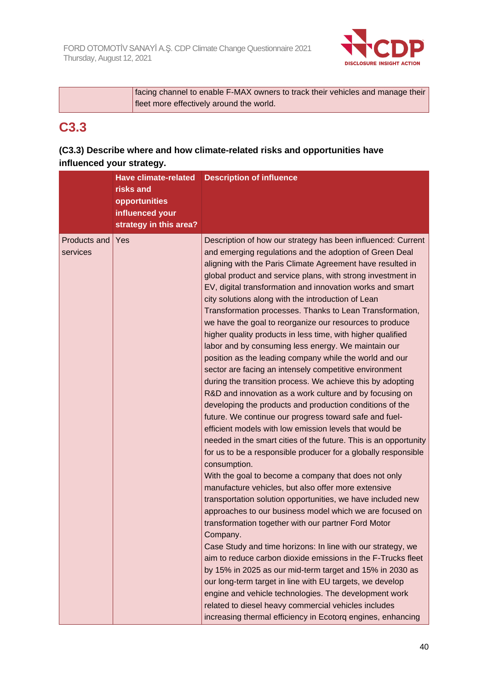

| facing channel to enable F-MAX owners to track their vehicles and manage their |  |
|--------------------------------------------------------------------------------|--|
| fleet more effectively around the world.                                       |  |

# **C3.3**

## **(C3.3) Describe where and how climate-related risks and opportunities have influenced your strategy.**

|              | <b>Have climate-related</b> | <b>Description of influence</b>                                  |
|--------------|-----------------------------|------------------------------------------------------------------|
|              | risks and                   |                                                                  |
|              | opportunities               |                                                                  |
|              | influenced your             |                                                                  |
|              | strategy in this area?      |                                                                  |
| Products and | Yes                         | Description of how our strategy has been influenced: Current     |
| services     |                             | and emerging regulations and the adoption of Green Deal          |
|              |                             | aligning with the Paris Climate Agreement have resulted in       |
|              |                             | global product and service plans, with strong investment in      |
|              |                             | EV, digital transformation and innovation works and smart        |
|              |                             | city solutions along with the introduction of Lean               |
|              |                             | Transformation processes. Thanks to Lean Transformation,         |
|              |                             | we have the goal to reorganize our resources to produce          |
|              |                             | higher quality products in less time, with higher qualified      |
|              |                             | labor and by consuming less energy. We maintain our              |
|              |                             | position as the leading company while the world and our          |
|              |                             | sector are facing an intensely competitive environment           |
|              |                             | during the transition process. We achieve this by adopting       |
|              |                             | R&D and innovation as a work culture and by focusing on          |
|              |                             | developing the products and production conditions of the         |
|              |                             | future. We continue our progress toward safe and fuel-           |
|              |                             | efficient models with low emission levels that would be          |
|              |                             | needed in the smart cities of the future. This is an opportunity |
|              |                             | for us to be a responsible producer for a globally responsible   |
|              |                             | consumption.                                                     |
|              |                             | With the goal to become a company that does not only             |
|              |                             | manufacture vehicles, but also offer more extensive              |
|              |                             | transportation solution opportunities, we have included new      |
|              |                             | approaches to our business model which we are focused on         |
|              |                             | transformation together with our partner Ford Motor              |
|              |                             | Company.                                                         |
|              |                             | Case Study and time horizons: In line with our strategy, we      |
|              |                             | aim to reduce carbon dioxide emissions in the F-Trucks fleet     |
|              |                             | by 15% in 2025 as our mid-term target and 15% in 2030 as         |
|              |                             | our long-term target in line with EU targets, we develop         |
|              |                             | engine and vehicle technologies. The development work            |
|              |                             | related to diesel heavy commercial vehicles includes             |
|              |                             | increasing thermal efficiency in Ecotorq engines, enhancing      |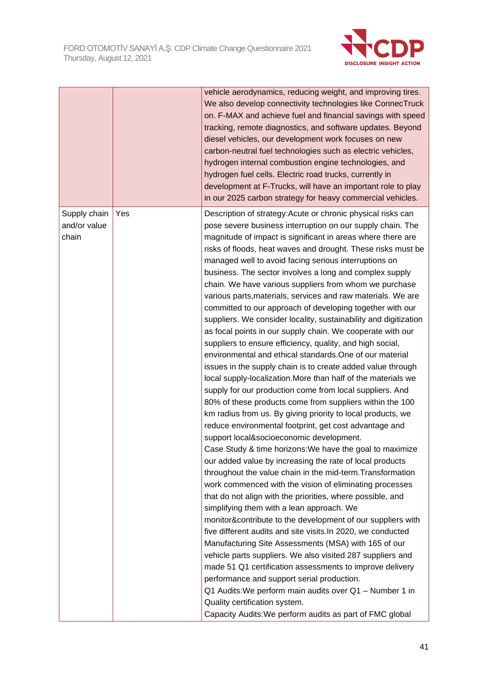

|                                       |     | vehicle aerodynamics, reducing weight, and improving tires.<br>We also develop connectivity technologies like ConnecTruck<br>on. F-MAX and achieve fuel and financial savings with speed<br>tracking, remote diagnostics, and software updates. Beyond<br>diesel vehicles, our development work focuses on new<br>carbon-neutral fuel technologies such as electric vehicles,<br>hydrogen internal combustion engine technologies, and<br>hydrogen fuel cells. Electric road trucks, currently in<br>development at F-Trucks, will have an important role to play<br>in our 2025 carbon strategy for heavy commercial vehicles.                                                                                                                                                                                                                                                                                                                                                                                                                                                                                                                                                                                                                                                                                                                                                                                                                                                                                                                                                                                                                                                                                                                                                                                                                                                                                                                                                                                                                                                                                                                 |
|---------------------------------------|-----|-------------------------------------------------------------------------------------------------------------------------------------------------------------------------------------------------------------------------------------------------------------------------------------------------------------------------------------------------------------------------------------------------------------------------------------------------------------------------------------------------------------------------------------------------------------------------------------------------------------------------------------------------------------------------------------------------------------------------------------------------------------------------------------------------------------------------------------------------------------------------------------------------------------------------------------------------------------------------------------------------------------------------------------------------------------------------------------------------------------------------------------------------------------------------------------------------------------------------------------------------------------------------------------------------------------------------------------------------------------------------------------------------------------------------------------------------------------------------------------------------------------------------------------------------------------------------------------------------------------------------------------------------------------------------------------------------------------------------------------------------------------------------------------------------------------------------------------------------------------------------------------------------------------------------------------------------------------------------------------------------------------------------------------------------------------------------------------------------------------------------------------------------|
| Supply chain<br>and/or value<br>chain | Yes | Description of strategy: Acute or chronic physical risks can<br>pose severe business interruption on our supply chain. The<br>magnitude of impact is significant in areas where there are<br>risks of floods, heat waves and drought. These risks must be<br>managed well to avoid facing serious interruptions on<br>business. The sector involves a long and complex supply<br>chain. We have various suppliers from whom we purchase<br>various parts, materials, services and raw materials. We are<br>committed to our approach of developing together with our<br>suppliers. We consider locality, sustainability and digitization<br>as focal points in our supply chain. We cooperate with our<br>suppliers to ensure efficiency, quality, and high social,<br>environmental and ethical standards. One of our material<br>issues in the supply chain is to create added value through<br>local supply-localization. More than half of the materials we<br>supply for our production come from local suppliers. And<br>80% of these products come from suppliers within the 100<br>km radius from us. By giving priority to local products, we<br>reduce environmental footprint, get cost advantage and<br>support local&socioeconomic development.<br>Case Study & time horizons: We have the goal to maximize<br>our added value by increasing the rate of local products<br>throughout the value chain in the mid-term. Transformation<br>work commenced with the vision of eliminating processes<br>that do not align with the priorities, where possible, and<br>simplifying them with a lean approach. We<br>monitor&contribute to the development of our suppliers with<br>five different audits and site visits. In 2020, we conducted<br>Manufacturing Site Assessments (MSA) with 165 of our<br>vehicle parts suppliers. We also visited 287 suppliers and<br>made 51 Q1 certification assessments to improve delivery<br>performance and support serial production.<br>Q1 Audits: We perform main audits over Q1 - Number 1 in<br>Quality certification system.<br>Capacity Audits: We perform audits as part of FMC global |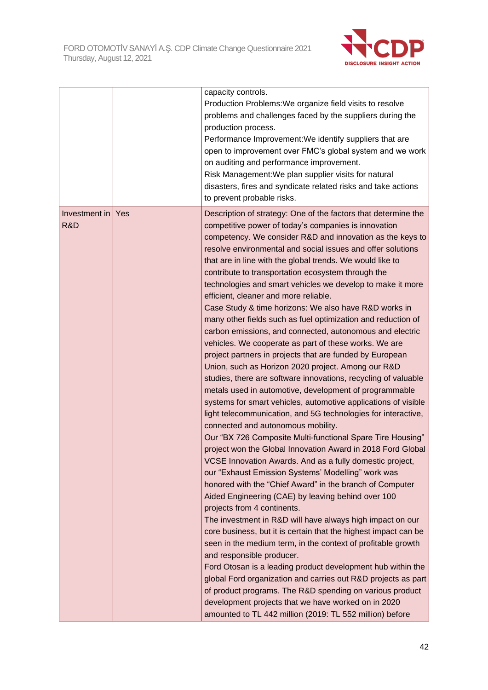

|                      |     | capacity controls.<br>Production Problems: We organize field visits to resolve<br>problems and challenges faced by the suppliers during the<br>production process.<br>Performance Improvement: We identify suppliers that are<br>open to improvement over FMC's global system and we work<br>on auditing and performance improvement.<br>Risk Management: We plan supplier visits for natural<br>disasters, fires and syndicate related risks and take actions<br>to prevent probable risks.                                                                                                                                                                                                                                                                                                                                                                                                                                                                                                                                                                                                                                                                                                                                                                                                                                                                                                                                                                                                                                                                                                                                                                                                                                                                                                                                                                                                                                                                                                                                                                                                  |
|----------------------|-----|-----------------------------------------------------------------------------------------------------------------------------------------------------------------------------------------------------------------------------------------------------------------------------------------------------------------------------------------------------------------------------------------------------------------------------------------------------------------------------------------------------------------------------------------------------------------------------------------------------------------------------------------------------------------------------------------------------------------------------------------------------------------------------------------------------------------------------------------------------------------------------------------------------------------------------------------------------------------------------------------------------------------------------------------------------------------------------------------------------------------------------------------------------------------------------------------------------------------------------------------------------------------------------------------------------------------------------------------------------------------------------------------------------------------------------------------------------------------------------------------------------------------------------------------------------------------------------------------------------------------------------------------------------------------------------------------------------------------------------------------------------------------------------------------------------------------------------------------------------------------------------------------------------------------------------------------------------------------------------------------------------------------------------------------------------------------------------------------------|
| Investment in<br>R&D | Yes | Description of strategy: One of the factors that determine the<br>competitive power of today's companies is innovation<br>competency. We consider R&D and innovation as the keys to<br>resolve environmental and social issues and offer solutions<br>that are in line with the global trends. We would like to<br>contribute to transportation ecosystem through the<br>technologies and smart vehicles we develop to make it more<br>efficient, cleaner and more reliable.<br>Case Study & time horizons: We also have R&D works in<br>many other fields such as fuel optimization and reduction of<br>carbon emissions, and connected, autonomous and electric<br>vehicles. We cooperate as part of these works. We are<br>project partners in projects that are funded by European<br>Union, such as Horizon 2020 project. Among our R&D<br>studies, there are software innovations, recycling of valuable<br>metals used in automotive, development of programmable<br>systems for smart vehicles, automotive applications of visible<br>light telecommunication, and 5G technologies for interactive,<br>connected and autonomous mobility.<br>Our "BX 726 Composite Multi-functional Spare Tire Housing"<br>project won the Global Innovation Award in 2018 Ford Global<br>VCSE Innovation Awards. And as a fully domestic project,<br>our "Exhaust Emission Systems' Modelling" work was<br>honored with the "Chief Award" in the branch of Computer<br>Aided Engineering (CAE) by leaving behind over 100<br>projects from 4 continents.<br>The investment in R&D will have always high impact on our<br>core business, but it is certain that the highest impact can be<br>seen in the medium term, in the context of profitable growth<br>and responsible producer.<br>Ford Otosan is a leading product development hub within the<br>global Ford organization and carries out R&D projects as part<br>of product programs. The R&D spending on various product<br>development projects that we have worked on in 2020<br>amounted to TL 442 million (2019: TL 552 million) before |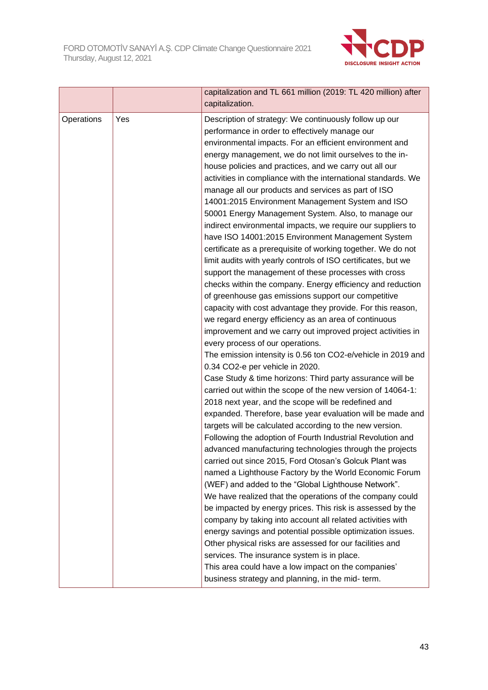

|            |     | capitalization and TL 661 million (2019: TL 420 million) after<br>capitalization.                                                                                                                                                                                                                                                                                                                                                                                                                                                                                                                                                                                                                                                                                                                                                                                                                                                                                                                                                                                                                                                                                                                                                                                                                                                                                                                                                                                                                                                                                                                                                                                                                                                                                                                                                                     |
|------------|-----|-------------------------------------------------------------------------------------------------------------------------------------------------------------------------------------------------------------------------------------------------------------------------------------------------------------------------------------------------------------------------------------------------------------------------------------------------------------------------------------------------------------------------------------------------------------------------------------------------------------------------------------------------------------------------------------------------------------------------------------------------------------------------------------------------------------------------------------------------------------------------------------------------------------------------------------------------------------------------------------------------------------------------------------------------------------------------------------------------------------------------------------------------------------------------------------------------------------------------------------------------------------------------------------------------------------------------------------------------------------------------------------------------------------------------------------------------------------------------------------------------------------------------------------------------------------------------------------------------------------------------------------------------------------------------------------------------------------------------------------------------------------------------------------------------------------------------------------------------------|
| Operations | Yes | Description of strategy: We continuously follow up our<br>performance in order to effectively manage our<br>environmental impacts. For an efficient environment and<br>energy management, we do not limit ourselves to the in-<br>house policies and practices, and we carry out all our<br>activities in compliance with the international standards. We<br>manage all our products and services as part of ISO<br>14001:2015 Environment Management System and ISO<br>50001 Energy Management System. Also, to manage our<br>indirect environmental impacts, we require our suppliers to<br>have ISO 14001:2015 Environment Management System<br>certificate as a prerequisite of working together. We do not<br>limit audits with yearly controls of ISO certificates, but we<br>support the management of these processes with cross<br>checks within the company. Energy efficiency and reduction<br>of greenhouse gas emissions support our competitive<br>capacity with cost advantage they provide. For this reason,<br>we regard energy efficiency as an area of continuous<br>improvement and we carry out improved project activities in<br>every process of our operations.<br>The emission intensity is 0.56 ton CO2-e/vehicle in 2019 and<br>0.34 CO2-e per vehicle in 2020.<br>Case Study & time horizons: Third party assurance will be<br>carried out within the scope of the new version of 14064-1:<br>2018 next year, and the scope will be redefined and<br>expanded. Therefore, base year evaluation will be made and<br>targets will be calculated according to the new version.<br>Following the adoption of Fourth Industrial Revolution and<br>advanced manufacturing technologies through the projects<br>carried out since 2015, Ford Otosan's Golcuk Plant was<br>named a Lighthouse Factory by the World Economic Forum |
|            |     | (WEF) and added to the "Global Lighthouse Network".<br>We have realized that the operations of the company could<br>be impacted by energy prices. This risk is assessed by the<br>company by taking into account all related activities with<br>energy savings and potential possible optimization issues.<br>Other physical risks are assessed for our facilities and<br>services. The insurance system is in place.                                                                                                                                                                                                                                                                                                                                                                                                                                                                                                                                                                                                                                                                                                                                                                                                                                                                                                                                                                                                                                                                                                                                                                                                                                                                                                                                                                                                                                 |
|            |     | This area could have a low impact on the companies'<br>business strategy and planning, in the mid- term.                                                                                                                                                                                                                                                                                                                                                                                                                                                                                                                                                                                                                                                                                                                                                                                                                                                                                                                                                                                                                                                                                                                                                                                                                                                                                                                                                                                                                                                                                                                                                                                                                                                                                                                                              |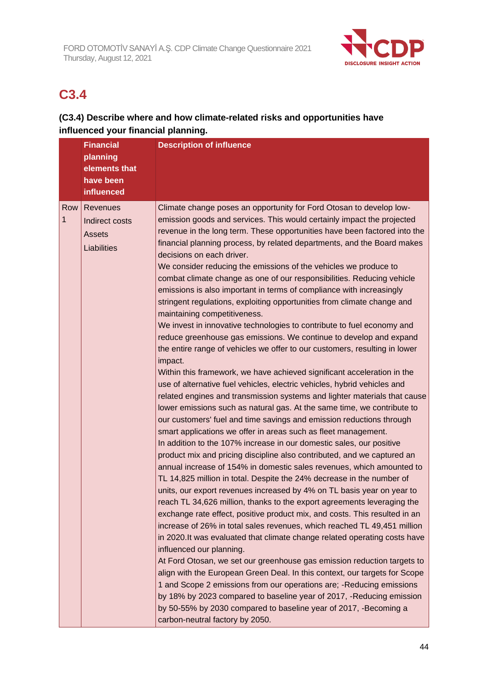

# **C3.4**

## **(C3.4) Describe where and how climate-related risks and opportunities have influenced your financial planning.**

| <b>Financial</b>                                    | <b>Description of influence</b>                                                                                                                                                                                                                                                                                                                                                                                                                                                                                                                                                                                                                                                                                                                                                                                                                                                                                                                                                                                                                                                                                                                                                                                                                                                                                                                                                                                                                                                                                                                                                                                                                                                                                                                                                                                                                                                                                                                                                                                                                                                                                                                                                                                                                                                                                                                                                                               |  |
|-----------------------------------------------------|---------------------------------------------------------------------------------------------------------------------------------------------------------------------------------------------------------------------------------------------------------------------------------------------------------------------------------------------------------------------------------------------------------------------------------------------------------------------------------------------------------------------------------------------------------------------------------------------------------------------------------------------------------------------------------------------------------------------------------------------------------------------------------------------------------------------------------------------------------------------------------------------------------------------------------------------------------------------------------------------------------------------------------------------------------------------------------------------------------------------------------------------------------------------------------------------------------------------------------------------------------------------------------------------------------------------------------------------------------------------------------------------------------------------------------------------------------------------------------------------------------------------------------------------------------------------------------------------------------------------------------------------------------------------------------------------------------------------------------------------------------------------------------------------------------------------------------------------------------------------------------------------------------------------------------------------------------------------------------------------------------------------------------------------------------------------------------------------------------------------------------------------------------------------------------------------------------------------------------------------------------------------------------------------------------------------------------------------------------------------------------------------------------------|--|
| planning                                            |                                                                                                                                                                                                                                                                                                                                                                                                                                                                                                                                                                                                                                                                                                                                                                                                                                                                                                                                                                                                                                                                                                                                                                                                                                                                                                                                                                                                                                                                                                                                                                                                                                                                                                                                                                                                                                                                                                                                                                                                                                                                                                                                                                                                                                                                                                                                                                                                               |  |
| elements that                                       |                                                                                                                                                                                                                                                                                                                                                                                                                                                                                                                                                                                                                                                                                                                                                                                                                                                                                                                                                                                                                                                                                                                                                                                                                                                                                                                                                                                                                                                                                                                                                                                                                                                                                                                                                                                                                                                                                                                                                                                                                                                                                                                                                                                                                                                                                                                                                                                                               |  |
| have been                                           |                                                                                                                                                                                                                                                                                                                                                                                                                                                                                                                                                                                                                                                                                                                                                                                                                                                                                                                                                                                                                                                                                                                                                                                                                                                                                                                                                                                                                                                                                                                                                                                                                                                                                                                                                                                                                                                                                                                                                                                                                                                                                                                                                                                                                                                                                                                                                                                                               |  |
| <b>influenced</b>                                   |                                                                                                                                                                                                                                                                                                                                                                                                                                                                                                                                                                                                                                                                                                                                                                                                                                                                                                                                                                                                                                                                                                                                                                                                                                                                                                                                                                                                                                                                                                                                                                                                                                                                                                                                                                                                                                                                                                                                                                                                                                                                                                                                                                                                                                                                                                                                                                                                               |  |
| Revenues<br>Indirect costs<br>Assets<br>Liabilities | Climate change poses an opportunity for Ford Otosan to develop low-<br>emission goods and services. This would certainly impact the projected<br>revenue in the long term. These opportunities have been factored into the<br>financial planning process, by related departments, and the Board makes<br>decisions on each driver.<br>We consider reducing the emissions of the vehicles we produce to<br>combat climate change as one of our responsibilities. Reducing vehicle<br>emissions is also important in terms of compliance with increasingly<br>stringent regulations, exploiting opportunities from climate change and<br>maintaining competitiveness.<br>We invest in innovative technologies to contribute to fuel economy and<br>reduce greenhouse gas emissions. We continue to develop and expand<br>the entire range of vehicles we offer to our customers, resulting in lower<br>impact.<br>Within this framework, we have achieved significant acceleration in the<br>use of alternative fuel vehicles, electric vehicles, hybrid vehicles and<br>related engines and transmission systems and lighter materials that cause<br>lower emissions such as natural gas. At the same time, we contribute to<br>our customers' fuel and time savings and emission reductions through<br>smart applications we offer in areas such as fleet management.<br>In addition to the 107% increase in our domestic sales, our positive<br>product mix and pricing discipline also contributed, and we captured an<br>annual increase of 154% in domestic sales revenues, which amounted to<br>TL 14,825 million in total. Despite the 24% decrease in the number of<br>units, our export revenues increased by 4% on TL basis year on year to<br>reach TL 34,626 million, thanks to the export agreements leveraging the<br>exchange rate effect, positive product mix, and costs. This resulted in an<br>increase of 26% in total sales revenues, which reached TL 49,451 million<br>in 2020. It was evaluated that climate change related operating costs have<br>influenced our planning.<br>At Ford Otosan, we set our greenhouse gas emission reduction targets to<br>align with the European Green Deal. In this context, our targets for Scope<br>1 and Scope 2 emissions from our operations are; - Reducing emissions<br>by 18% by 2023 compared to baseline year of 2017, -Reducing emission |  |
|                                                     |                                                                                                                                                                                                                                                                                                                                                                                                                                                                                                                                                                                                                                                                                                                                                                                                                                                                                                                                                                                                                                                                                                                                                                                                                                                                                                                                                                                                                                                                                                                                                                                                                                                                                                                                                                                                                                                                                                                                                                                                                                                                                                                                                                                                                                                                                                                                                                                                               |  |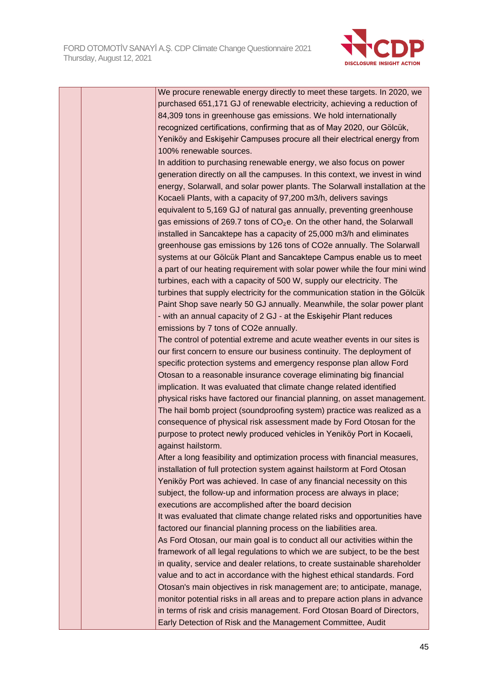

|  | We procure renewable energy directly to meet these targets. In 2020, we      |
|--|------------------------------------------------------------------------------|
|  | purchased 651,171 GJ of renewable electricity, achieving a reduction of      |
|  | 84,309 tons in greenhouse gas emissions. We hold internationally             |
|  | recognized certifications, confirming that as of May 2020, our Gölcük,       |
|  | Yeniköy and Eskişehir Campuses procure all their electrical energy from      |
|  | 100% renewable sources.                                                      |
|  | In addition to purchasing renewable energy, we also focus on power           |
|  | generation directly on all the campuses. In this context, we invest in wind  |
|  | energy, Solarwall, and solar power plants. The Solarwall installation at the |
|  | Kocaeli Plants, with a capacity of 97,200 m3/h, delivers savings             |
|  | equivalent to 5,169 GJ of natural gas annually, preventing greenhouse        |
|  | gas emissions of 269.7 tons of $CO2e$ . On the other hand, the Solarwall     |
|  | installed in Sancaktepe has a capacity of 25,000 m3/h and eliminates         |
|  | greenhouse gas emissions by 126 tons of CO2e annually. The Solarwall         |
|  | systems at our Gölcük Plant and Sancaktepe Campus enable us to meet          |
|  | a part of our heating requirement with solar power while the four mini wind  |
|  | turbines, each with a capacity of 500 W, supply our electricity. The         |
|  | turbines that supply electricity for the communication station in the Gölcük |
|  | Paint Shop save nearly 50 GJ annually. Meanwhile, the solar power plant      |
|  | - with an annual capacity of 2 GJ - at the Eskişehir Plant reduces           |
|  | emissions by 7 tons of CO2e annually.                                        |
|  | The control of potential extreme and acute weather events in our sites is    |
|  | our first concern to ensure our business continuity. The deployment of       |
|  | specific protection systems and emergency response plan allow Ford           |
|  | Otosan to a reasonable insurance coverage eliminating big financial          |
|  | implication. It was evaluated that climate change related identified         |
|  | physical risks have factored our financial planning, on asset management.    |
|  |                                                                              |
|  | The hail bomb project (soundproofing system) practice was realized as a      |
|  | consequence of physical risk assessment made by Ford Otosan for the          |
|  | purpose to protect newly produced vehicles in Yeniköy Port in Kocaeli,       |
|  | against hailstorm.                                                           |
|  | After a long feasibility and optimization process with financial measures,   |
|  | installation of full protection system against hailstorm at Ford Otosan      |
|  | Yeniköy Port was achieved. In case of any financial necessity on this        |
|  | subject, the follow-up and information process are always in place;          |
|  | executions are accomplished after the board decision                         |
|  | It was evaluated that climate change related risks and opportunities have    |
|  | factored our financial planning process on the liabilities area.             |
|  | As Ford Otosan, our main goal is to conduct all our activities within the    |
|  | framework of all legal regulations to which we are subject, to be the best   |
|  | in quality, service and dealer relations, to create sustainable shareholder  |
|  | value and to act in accordance with the highest ethical standards. Ford      |
|  | Otosan's main objectives in risk management are; to anticipate, manage,      |
|  | monitor potential risks in all areas and to prepare action plans in advance  |
|  | in terms of risk and crisis management. Ford Otosan Board of Directors,      |
|  | Early Detection of Risk and the Management Committee, Audit                  |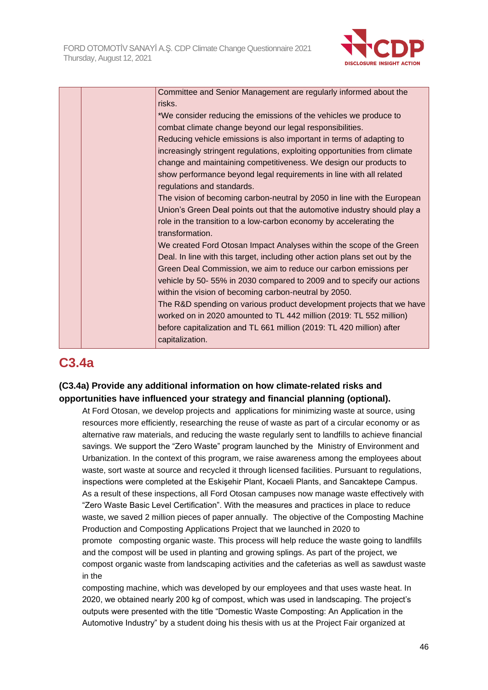

| Committee and Senior Management are regularly informed about the            |
|-----------------------------------------------------------------------------|
| risks.                                                                      |
| *We consider reducing the emissions of the vehicles we produce to           |
| combat climate change beyond our legal responsibilities.                    |
| Reducing vehicle emissions is also important in terms of adapting to        |
| increasingly stringent regulations, exploiting opportunities from climate   |
| change and maintaining competitiveness. We design our products to           |
| show performance beyond legal requirements in line with all related         |
| regulations and standards.                                                  |
| The vision of becoming carbon-neutral by 2050 in line with the European     |
| Union's Green Deal points out that the automotive industry should play a    |
| role in the transition to a low-carbon economy by accelerating the          |
| transformation.                                                             |
| We created Ford Otosan Impact Analyses within the scope of the Green        |
| Deal. In line with this target, including other action plans set out by the |
| Green Deal Commission, we aim to reduce our carbon emissions per            |
| vehicle by 50-55% in 2030 compared to 2009 and to specify our actions       |
| within the vision of becoming carbon-neutral by 2050.                       |
| The R&D spending on various product development projects that we have       |
| worked on in 2020 amounted to TL 442 million (2019: TL 552 million)         |
| before capitalization and TL 661 million (2019: TL 420 million) after       |
| capitalization.                                                             |
|                                                                             |

# **C3.4a**

## **(C3.4a) Provide any additional information on how climate-related risks and opportunities have influenced your strategy and financial planning (optional).**

At Ford Otosan, we develop projects and applications for minimizing waste at source, using resources more efficiently, researching the reuse of waste as part of a circular economy or as alternative raw materials, and reducing the waste regularly sent to landfills to achieve financial savings. We support the "Zero Waste" program launched by the Ministry of Environment and Urbanization. In the context of this program, we raise awareness among the employees about waste, sort waste at source and recycled it through licensed facilities. Pursuant to regulations, inspections were completed at the Eskişehir Plant, Kocaeli Plants, and Sancaktepe Campus. As a result of these inspections, all Ford Otosan campuses now manage waste effectively with "Zero Waste Basic Level Certification". With the measures and practices in place to reduce waste, we saved 2 million pieces of paper annually. The objective of the Composting Machine Production and Composting Applications Project that we launched in 2020 to promote composting organic waste. This process will help reduce the waste going to landfills and the compost will be used in planting and growing splings. As part of the project, we compost organic waste from landscaping activities and the cafeterias as well as sawdust waste in the

composting machine, which was developed by our employees and that uses waste heat. In 2020, we obtained nearly 200 kg of compost, which was used in landscaping. The project's outputs were presented with the title "Domestic Waste Composting: An Application in the Automotive Industry" by a student doing his thesis with us at the Project Fair organized at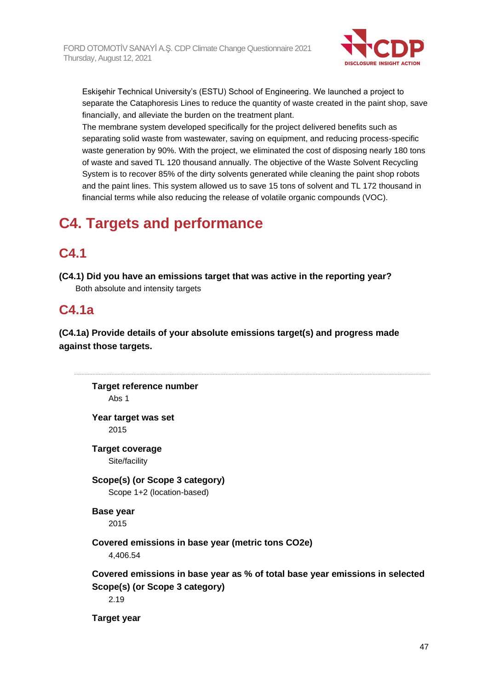

Eskişehir Technical University's (ESTU) School of Engineering. We launched a project to separate the Cataphoresis Lines to reduce the quantity of waste created in the paint shop, save financially, and alleviate the burden on the treatment plant.

The membrane system developed specifically for the project delivered benefits such as separating solid waste from wastewater, saving on equipment, and reducing process-specific waste generation by 90%. With the project, we eliminated the cost of disposing nearly 180 tons of waste and saved TL 120 thousand annually. The objective of the Waste Solvent Recycling System is to recover 85% of the dirty solvents generated while cleaning the paint shop robots and the paint lines. This system allowed us to save 15 tons of solvent and TL 172 thousand in financial terms while also reducing the release of volatile organic compounds (VOC).

# **C4. Targets and performance**

## **C4.1**

**(C4.1) Did you have an emissions target that was active in the reporting year?** Both absolute and intensity targets

# **C4.1a**

**(C4.1a) Provide details of your absolute emissions target(s) and progress made against those targets.**

**Target reference number** Abs 1 **Year target was set** 2015 **Target coverage** Site/facility **Scope(s) (or Scope 3 category)** Scope 1+2 (location-based) **Base year** 2015 **Covered emissions in base year (metric tons CO2e)** 4,406.54 **Covered emissions in base year as % of total base year emissions in selected Scope(s) (or Scope 3 category)** 2.19 **Target year**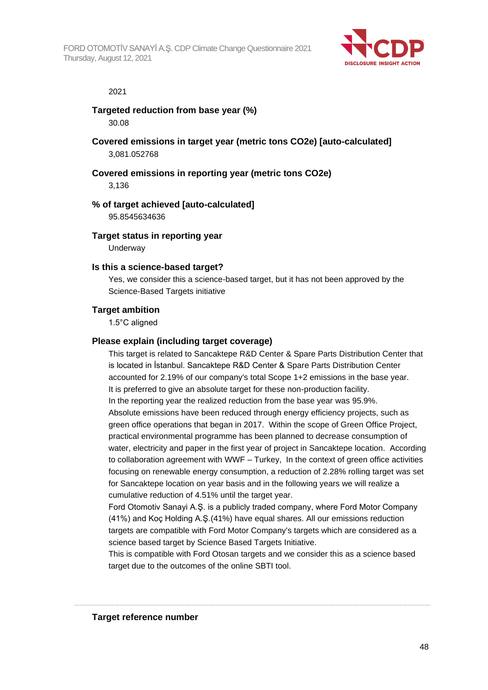

#### 2021

## **Targeted reduction from base year (%)**

30.08

**Covered emissions in target year (metric tons CO2e) [auto-calculated]** 3,081.052768

## **Covered emissions in reporting year (metric tons CO2e)**

3,136

## **% of target achieved [auto-calculated]**

95.8545634636

### **Target status in reporting year**

**Underway** 

### **Is this a science-based target?**

Yes, we consider this a science-based target, but it has not been approved by the Science-Based Targets initiative

## **Target ambition**

1.5°C aligned

## **Please explain (including target coverage)**

This target is related to Sancaktepe R&D Center & Spare Parts Distribution Center that is located in İstanbul. Sancaktepe R&D Center & Spare Parts Distribution Center accounted for 2.19% of our company's total Scope 1+2 emissions in the base year. It is preferred to give an absolute target for these non-production facility. In the reporting year the realized reduction from the base year was 95.9%. Absolute emissions have been reduced through energy efficiency projects, such as green office operations that began in 2017. Within the scope of Green Office Project, practical environmental programme has been planned to decrease consumption of water, electricity and paper in the first year of project in Sancaktepe location. According to collaboration agreement with WWF – Turkey, In the context of green office activities focusing on renewable energy consumption, a reduction of 2.28% rolling target was set for Sancaktepe location on year basis and in the following years we will realize a cumulative reduction of 4.51% until the target year.

Ford Otomotiv Sanayi A.Ş. is a publicly traded company, where Ford Motor Company (41%) and Koç Holding A.Ş.(41%) have equal shares. All our emissions reduction targets are compatible with Ford Motor Company's targets which are considered as a science based target by Science Based Targets Initiative.

This is compatible with Ford Otosan targets and we consider this as a science based target due to the outcomes of the online SBTI tool.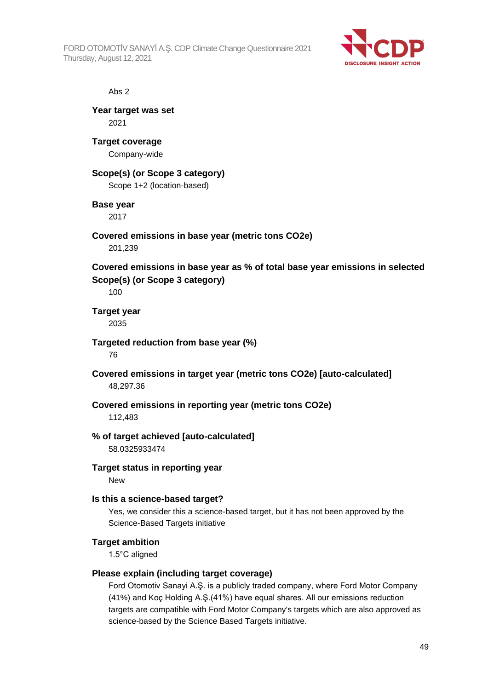FORD OTOMOTİV SANAYİ A.Ş. CDP Climate Change Questionnaire 2021 Thursday, August 12, 2021



#### Abs 2

**Year target was set** 2021

**Target coverage** Company-wide

## **Scope(s) (or Scope 3 category)**

Scope 1+2 (location-based)

### **Base year**

2017

## **Covered emissions in base year (metric tons CO2e)**

201,239

**Covered emissions in base year as % of total base year emissions in selected Scope(s) (or Scope 3 category)**

100

**Target year** 2035

**Targeted reduction from base year (%)** 76

**Covered emissions in target year (metric tons CO2e) [auto-calculated]** 48,297.36

## **Covered emissions in reporting year (metric tons CO2e)**

112,483

#### **% of target achieved [auto-calculated]**

58.0325933474

## **Target status in reporting year**

New

#### **Is this a science-based target?**

Yes, we consider this a science-based target, but it has not been approved by the Science-Based Targets initiative

#### **Target ambition**

1.5°C aligned

#### **Please explain (including target coverage)**

Ford Otomotiv Sanayi A.Ş. is a publicly traded company, where Ford Motor Company (41%) and Koç Holding A.Ş.(41%) have equal shares. All our emissions reduction targets are compatible with Ford Motor Company's targets which are also approved as science-based by the Science Based Targets initiative.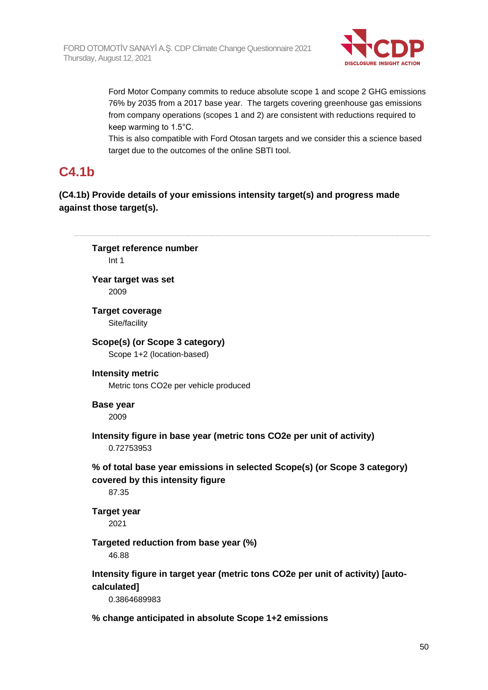

Ford Motor Company commits to reduce absolute scope 1 and scope 2 GHG emissions 76% by 2035 from a 2017 base year. The targets covering greenhouse gas emissions from company operations (scopes 1 and 2) are consistent with reductions required to keep warming to 1.5°C.

This is also compatible with Ford Otosan targets and we consider this a science based target due to the outcomes of the online SBTI tool.

## **C4.1b**

## **(C4.1b) Provide details of your emissions intensity target(s) and progress made against those target(s).**

**Target reference number** Int 1 **Year target was set** 2009 **Target coverage** Site/facility **Scope(s) (or Scope 3 category)** Scope 1+2 (location-based) **Intensity metric** Metric tons CO2e per vehicle produced **Base year** 2009 **Intensity figure in base year (metric tons CO2e per unit of activity)** 0.72753953 **% of total base year emissions in selected Scope(s) (or Scope 3 category) covered by this intensity figure** 87.35 **Target year** 2021 **Targeted reduction from base year (%)** 46.88 **Intensity figure in target year (metric tons CO2e per unit of activity) [autocalculated]** 0.3864689983 **% change anticipated in absolute Scope 1+2 emissions**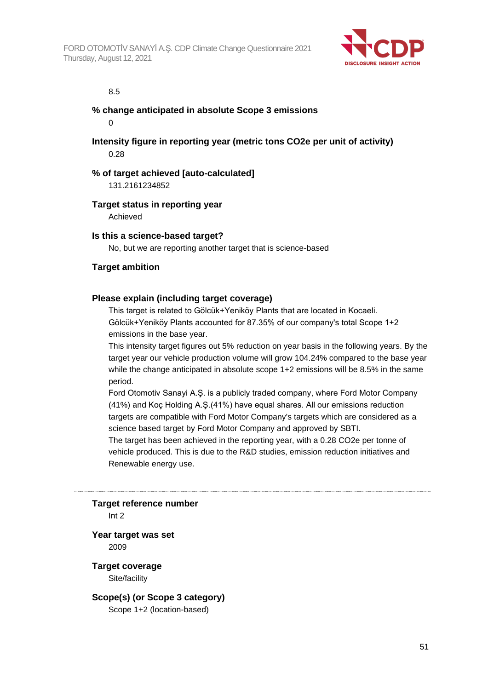

#### 8.5

#### **% change anticipated in absolute Scope 3 emissions**  $\Omega$

**Intensity figure in reporting year (metric tons CO2e per unit of activity)** 0.28

#### **% of target achieved [auto-calculated]**

131.2161234852

### **Target status in reporting year**

Achieved

#### **Is this a science-based target?**

No, but we are reporting another target that is science-based

### **Target ambition**

### **Please explain (including target coverage)**

This target is related to Gölcük+Yeniköy Plants that are located in Kocaeli. Gölcük+Yeniköy Plants accounted for 87.35% of our company's total Scope 1+2 emissions in the base year.

This intensity target figures out 5% reduction on year basis in the following years. By the target year our vehicle production volume will grow 104.24% compared to the base year while the change anticipated in absolute scope 1+2 emissions will be 8.5% in the same period.

Ford Otomotiv Sanayi A.Ş. is a publicly traded company, where Ford Motor Company (41%) and Koç Holding A.Ş.(41%) have equal shares. All our emissions reduction targets are compatible with Ford Motor Company's targets which are considered as a science based target by Ford Motor Company and approved by SBTI.

The target has been achieved in the reporting year, with a 0.28 CO2e per tonne of vehicle produced. This is due to the R&D studies, emission reduction initiatives and Renewable energy use.

**Target reference number**

Int 2

**Year target was set** 2009

**Target coverage** Site/facility

**Scope(s) (or Scope 3 category)** Scope 1+2 (location-based)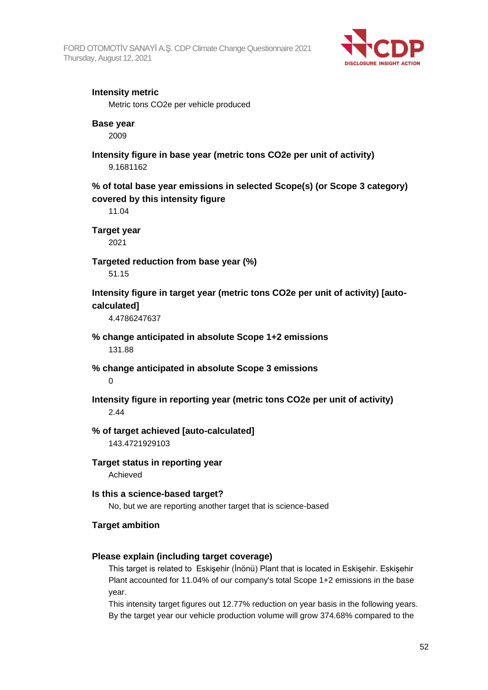

## **Intensity metric**

Metric tons CO2e per vehicle produced

### **Base year**

2009

**Intensity figure in base year (metric tons CO2e per unit of activity)** 9.1681162

**% of total base year emissions in selected Scope(s) (or Scope 3 category) covered by this intensity figure**

11.04

**Target year**

2021

**Targeted reduction from base year (%)**

51.15

**Intensity figure in target year (metric tons CO2e per unit of activity) [autocalculated]**

4.4786247637

**% change anticipated in absolute Scope 1+2 emissions**

131.88

**% change anticipated in absolute Scope 3 emissions**

 $\Omega$ 

**Intensity figure in reporting year (metric tons CO2e per unit of activity)** 2.44

**% of target achieved [auto-calculated]** 143.4721929103

**Target status in reporting year**

Achieved

**Is this a science-based target?** No, but we are reporting another target that is science-based

## **Target ambition**

## **Please explain (including target coverage)**

This target is related to Eskişehir (İnönü) Plant that is located in Eskişehir. Eskişehir Plant accounted for 11.04% of our company's total Scope 1+2 emissions in the base year.

This intensity target figures out 12.77% reduction on year basis in the following years. By the target year our vehicle production volume will grow 374.68% compared to the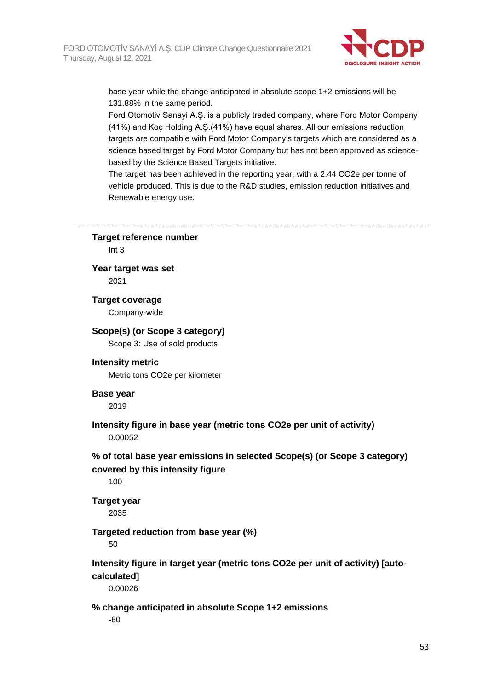

base year while the change anticipated in absolute scope 1+2 emissions will be 131.88% in the same period.

Ford Otomotiv Sanayi A.Ş. is a publicly traded company, where Ford Motor Company (41%) and Koç Holding A.Ş.(41%) have equal shares. All our emissions reduction targets are compatible with Ford Motor Company's targets which are considered as a science based target by Ford Motor Company but has not been approved as sciencebased by the Science Based Targets initiative.

The target has been achieved in the reporting year, with a 2.44 CO2e per tonne of vehicle produced. This is due to the R&D studies, emission reduction initiatives and Renewable energy use.

**Target reference number**

Int 3

**Year target was set** 2021

**Target coverage** Company-wide

#### **Scope(s) (or Scope 3 category)**

Scope 3: Use of sold products

#### **Intensity metric**

Metric tons CO2e per kilometer

#### **Base year**

2019

**Intensity figure in base year (metric tons CO2e per unit of activity)** 0.00052

**% of total base year emissions in selected Scope(s) (or Scope 3 category) covered by this intensity figure**

100

## **Target year**

2035

#### **Targeted reduction from base year (%)**

50

## **Intensity figure in target year (metric tons CO2e per unit of activity) [autocalculated]**

0.00026

## **% change anticipated in absolute Scope 1+2 emissions**

-60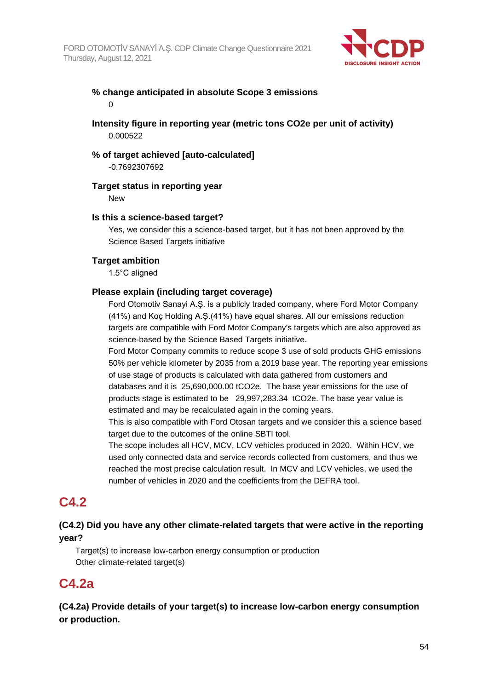

## **% change anticipated in absolute Scope 3 emissions**  $\Omega$

## **Intensity figure in reporting year (metric tons CO2e per unit of activity)** 0.000522

## **% of target achieved [auto-calculated]**

-0.7692307692

## **Target status in reporting year**

New

## **Is this a science-based target?**

Yes, we consider this a science-based target, but it has not been approved by the Science Based Targets initiative

## **Target ambition**

1.5°C aligned

## **Please explain (including target coverage)**

Ford Otomotiv Sanayi A.Ş. is a publicly traded company, where Ford Motor Company (41%) and Koç Holding A.Ş.(41%) have equal shares. All our emissions reduction targets are compatible with Ford Motor Company's targets which are also approved as science-based by the Science Based Targets initiative.

Ford Motor Company commits to reduce scope 3 use of sold products GHG emissions 50% per vehicle kilometer by 2035 from a 2019 base year. The reporting year emissions of use stage of products is calculated with data gathered from customers and databases and it is 25,690,000.00 tCO2e. The base year emissions for the use of products stage is estimated to be 29,997,283.34 tCO2e. The base year value is estimated and may be recalculated again in the coming years.

This is also compatible with Ford Otosan targets and we consider this a science based target due to the outcomes of the online SBTI tool.

The scope includes all HCV, MCV, LCV vehicles produced in 2020. Within HCV, we used only connected data and service records collected from customers, and thus we reached the most precise calculation result. In MCV and LCV vehicles, we used the number of vehicles in 2020 and the coefficients from the DEFRA tool.

## **C4.2**

## **(C4.2) Did you have any other climate-related targets that were active in the reporting year?**

Target(s) to increase low-carbon energy consumption or production Other climate-related target(s)

## **C4.2a**

**(C4.2a) Provide details of your target(s) to increase low-carbon energy consumption or production.**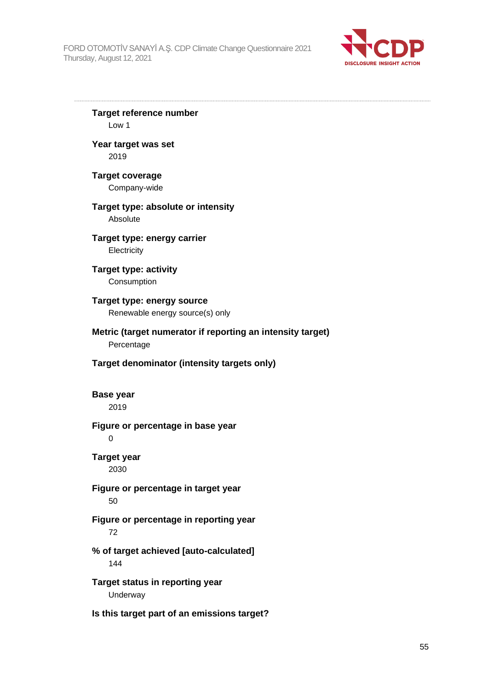

**Target reference number** Low 1 **Year target was set** 2019 **Target coverage** Company-wide **Target type: absolute or intensity** Absolute **Target type: energy carrier Electricity Target type: activity Consumption Target type: energy source** Renewable energy source(s) only **Metric (target numerator if reporting an intensity target)** Percentage **Target denominator (intensity targets only) Base year** 2019 **Figure or percentage in base year**  $\Omega$ **Target year** 2030 **Figure or percentage in target year** 50 **Figure or percentage in reporting year** 72 **% of target achieved [auto-calculated]** 144 **Target status in reporting year** Underway

**Is this target part of an emissions target?**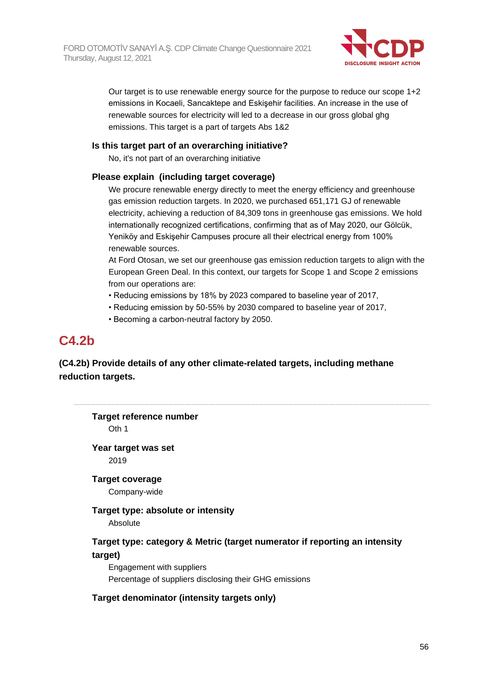

Our target is to use renewable energy source for the purpose to reduce our scope 1+2 emissions in Kocaeli, Sancaktepe and Eskişehir facilities. An increase in the use of renewable sources for electricity will led to a decrease in our gross global ghg emissions. This target is a part of targets Abs 1&2

### **Is this target part of an overarching initiative?**

No, it's not part of an overarching initiative

## **Please explain (including target coverage)**

We procure renewable energy directly to meet the energy efficiency and greenhouse gas emission reduction targets. In 2020, we purchased 651,171 GJ of renewable electricity, achieving a reduction of 84,309 tons in greenhouse gas emissions. We hold internationally recognized certifications, confirming that as of May 2020, our Gölcük, Yeniköy and Eskişehir Campuses procure all their electrical energy from 100% renewable sources.

At Ford Otosan, we set our greenhouse gas emission reduction targets to align with the European Green Deal. In this context, our targets for Scope 1 and Scope 2 emissions from our operations are:

- Reducing emissions by 18% by 2023 compared to baseline year of 2017,
- Reducing emission by 50-55% by 2030 compared to baseline year of 2017,
- Becoming a carbon-neutral factory by 2050.

## **C4.2b**

**(C4.2b) Provide details of any other climate-related targets, including methane reduction targets.**

**Target reference number** Oth 1 **Year target was set** 2019 **Target coverage** Company-wide **Target type: absolute or intensity** Absolute **Target type: category & Metric (target numerator if reporting an intensity target)** Engagement with suppliers Percentage of suppliers disclosing their GHG emissions **Target denominator (intensity targets only)**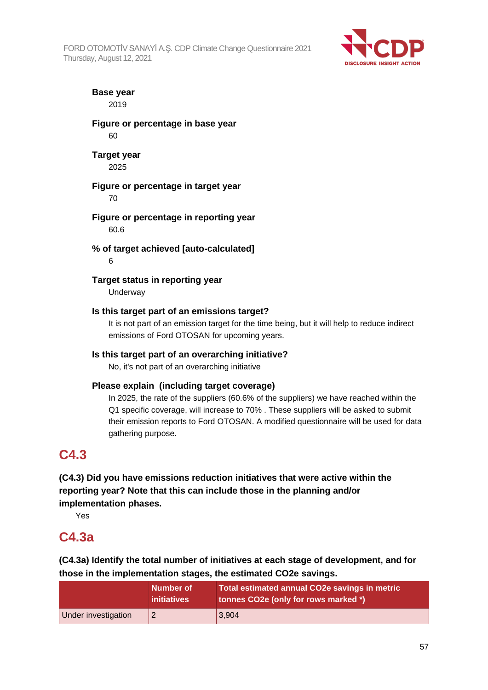FORD OTOMOTİV SANAYİ A.Ş. CDP Climate Change Questionnaire 2021 Thursday, August 12, 2021



**Base year** 2019

**Figure or percentage in base year** 60

**Target year** 2025

**Figure or percentage in target year** 70

**Figure or percentage in reporting year** 60.6

**% of target achieved [auto-calculated]** 6

**Target status in reporting year Underway** 

## **Is this target part of an emissions target?**

It is not part of an emission target for the time being, but it will help to reduce indirect emissions of Ford OTOSAN for upcoming years.

## **Is this target part of an overarching initiative?**

No, it's not part of an overarching initiative

## **Please explain (including target coverage)**

In 2025, the rate of the suppliers (60.6% of the suppliers) we have reached within the Q1 specific coverage, will increase to 70% . These suppliers will be asked to submit their emission reports to Ford OTOSAN. A modified questionnaire will be used for data gathering purpose.

## **C4.3**

**(C4.3) Did you have emissions reduction initiatives that were active within the reporting year? Note that this can include those in the planning and/or implementation phases.**

Yes

## **C4.3a**

**(C4.3a) Identify the total number of initiatives at each stage of development, and for those in the implementation stages, the estimated CO2e savings.**

|                     | Number of<br><i>initiatives</i> | Total estimated annual CO2e savings in metric<br>tonnes CO2e (only for rows marked *) |
|---------------------|---------------------------------|---------------------------------------------------------------------------------------|
| Under investigation |                                 | 3,904                                                                                 |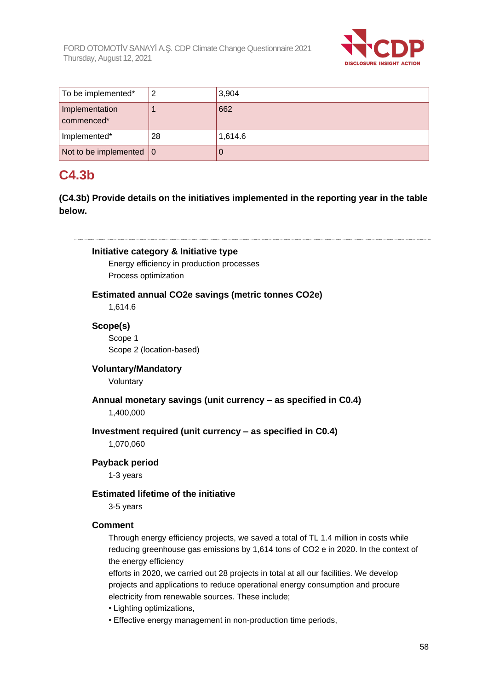

| To be implemented*                | 2  | 3,904   |
|-----------------------------------|----|---------|
| Implementation<br>commenced*      |    | 662     |
| Implemented*                      | 28 | 1,614.6 |
| Not to be implemented $ 0\rangle$ |    |         |

# **C4.3b**

**(C4.3b) Provide details on the initiatives implemented in the reporting year in the table below.**

**Initiative category & Initiative type** Energy efficiency in production processes Process optimization **Estimated annual CO2e savings (metric tonnes CO2e)** 1,614.6 **Scope(s)** Scope 1 Scope 2 (location-based) **Voluntary/Mandatory** Voluntary **Annual monetary savings (unit currency – as specified in C0.4)** 1,400,000 **Investment required (unit currency – as specified in C0.4)**

1,070,060

## **Payback period**

1-3 years

## **Estimated lifetime of the initiative**

3-5 years

## **Comment**

Through energy efficiency projects, we saved a total of TL 1.4 million in costs while reducing greenhouse gas emissions by 1,614 tons of CO2 e in 2020. In the context of the energy efficiency

efforts in 2020, we carried out 28 projects in total at all our facilities. We develop projects and applications to reduce operational energy consumption and procure electricity from renewable sources. These include;

- Lighting optimizations,
- Effective energy management in non-production time periods,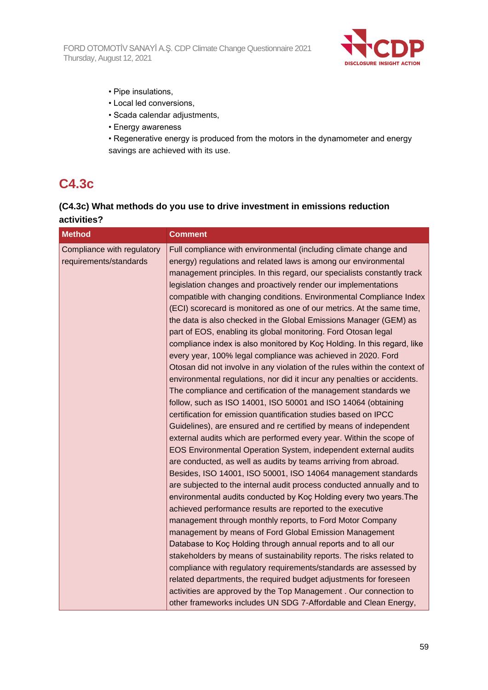FORD OTOMOTİV SANAYİ A.Ş. CDP Climate Change Questionnaire 2021 Thursday, August 12, 2021



- Pipe insulations,
- Local led conversions,
- Scada calendar adjustments,
- Energy awareness
- Regenerative energy is produced from the motors in the dynamometer and energy savings are achieved with its use.

# **C4.3c**

## **(C4.3c) What methods do you use to drive investment in emissions reduction activities?**

| <b>Method</b>                                        | <b>Comment</b>                                                                                                                                                                                                                                                                                                                                                                                                                                                                                                                                                                                                                                                                                                                                                                                                                                                                                                                                                                                                                                                                                                                                                                                                                                                                                                                                                                                                                                                                                                                                                                                                                                                                                                                                                                                                                                                                                                                                                                                                                                                                                                                    |
|------------------------------------------------------|-----------------------------------------------------------------------------------------------------------------------------------------------------------------------------------------------------------------------------------------------------------------------------------------------------------------------------------------------------------------------------------------------------------------------------------------------------------------------------------------------------------------------------------------------------------------------------------------------------------------------------------------------------------------------------------------------------------------------------------------------------------------------------------------------------------------------------------------------------------------------------------------------------------------------------------------------------------------------------------------------------------------------------------------------------------------------------------------------------------------------------------------------------------------------------------------------------------------------------------------------------------------------------------------------------------------------------------------------------------------------------------------------------------------------------------------------------------------------------------------------------------------------------------------------------------------------------------------------------------------------------------------------------------------------------------------------------------------------------------------------------------------------------------------------------------------------------------------------------------------------------------------------------------------------------------------------------------------------------------------------------------------------------------------------------------------------------------------------------------------------------------|
| Compliance with regulatory<br>requirements/standards | Full compliance with environmental (including climate change and<br>energy) regulations and related laws is among our environmental<br>management principles. In this regard, our specialists constantly track<br>legislation changes and proactively render our implementations<br>compatible with changing conditions. Environmental Compliance Index<br>(ECI) scorecard is monitored as one of our metrics. At the same time,<br>the data is also checked in the Global Emissions Manager (GEM) as<br>part of EOS, enabling its global monitoring. Ford Otosan legal<br>compliance index is also monitored by Koç Holding. In this regard, like<br>every year, 100% legal compliance was achieved in 2020. Ford<br>Otosan did not involve in any violation of the rules within the context of<br>environmental regulations, nor did it incur any penalties or accidents.<br>The compliance and certification of the management standards we<br>follow, such as ISO 14001, ISO 50001 and ISO 14064 (obtaining<br>certification for emission quantification studies based on IPCC<br>Guidelines), are ensured and re certified by means of independent<br>external audits which are performed every year. Within the scope of<br>EOS Environmental Operation System, independent external audits<br>are conducted, as well as audits by teams arriving from abroad.<br>Besides, ISO 14001, ISO 50001, ISO 14064 management standards<br>are subjected to the internal audit process conducted annually and to<br>environmental audits conducted by Koç Holding every two years. The<br>achieved performance results are reported to the executive<br>management through monthly reports, to Ford Motor Company<br>management by means of Ford Global Emission Management<br>Database to Koç Holding through annual reports and to all our<br>stakeholders by means of sustainability reports. The risks related to<br>compliance with regulatory requirements/standards are assessed by<br>related departments, the required budget adjustments for foreseen<br>activities are approved by the Top Management. Our connection to |
|                                                      | other frameworks includes UN SDG 7-Affordable and Clean Energy,                                                                                                                                                                                                                                                                                                                                                                                                                                                                                                                                                                                                                                                                                                                                                                                                                                                                                                                                                                                                                                                                                                                                                                                                                                                                                                                                                                                                                                                                                                                                                                                                                                                                                                                                                                                                                                                                                                                                                                                                                                                                   |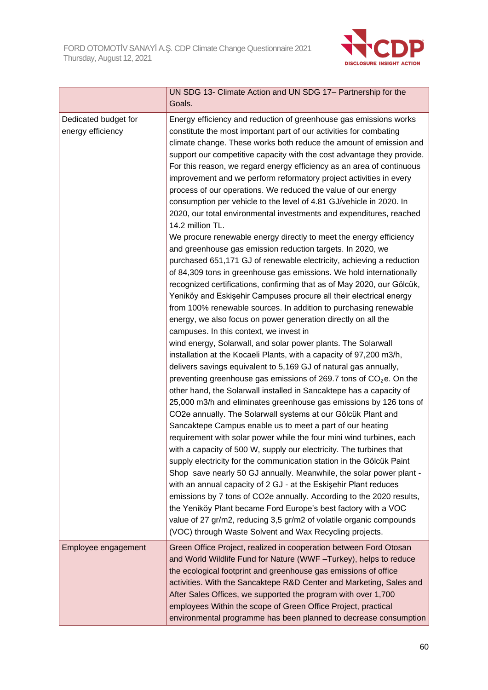

|                      | UN SDG 13- Climate Action and UN SDG 17- Partnership for the                                                                            |
|----------------------|-----------------------------------------------------------------------------------------------------------------------------------------|
|                      | Goals.                                                                                                                                  |
| Dedicated budget for | Energy efficiency and reduction of greenhouse gas emissions works<br>constitute the most important part of our activities for combating |
| energy efficiency    |                                                                                                                                         |
|                      | climate change. These works both reduce the amount of emission and                                                                      |
|                      | support our competitive capacity with the cost advantage they provide.                                                                  |
|                      | For this reason, we regard energy efficiency as an area of continuous                                                                   |
|                      | improvement and we perform reformatory project activities in every                                                                      |
|                      | process of our operations. We reduced the value of our energy                                                                           |
|                      | consumption per vehicle to the level of 4.81 GJ/vehicle in 2020. In                                                                     |
|                      | 2020, our total environmental investments and expenditures, reached<br>14.2 million TL.                                                 |
|                      | We procure renewable energy directly to meet the energy efficiency                                                                      |
|                      | and greenhouse gas emission reduction targets. In 2020, we                                                                              |
|                      | purchased 651,171 GJ of renewable electricity, achieving a reduction                                                                    |
|                      | of 84,309 tons in greenhouse gas emissions. We hold internationally                                                                     |
|                      | recognized certifications, confirming that as of May 2020, our Gölcük,                                                                  |
|                      | Yeniköy and Eskişehir Campuses procure all their electrical energy                                                                      |
|                      | from 100% renewable sources. In addition to purchasing renewable                                                                        |
|                      | energy, we also focus on power generation directly on all the                                                                           |
|                      | campuses. In this context, we invest in                                                                                                 |
|                      | wind energy, Solarwall, and solar power plants. The Solarwall                                                                           |
|                      | installation at the Kocaeli Plants, with a capacity of 97,200 m3/h,                                                                     |
|                      | delivers savings equivalent to 5,169 GJ of natural gas annually,                                                                        |
|                      | preventing greenhouse gas emissions of 269.7 tons of $CO2e$ . On the                                                                    |
|                      | other hand, the Solarwall installed in Sancaktepe has a capacity of                                                                     |
|                      | 25,000 m3/h and eliminates greenhouse gas emissions by 126 tons of                                                                      |
|                      | CO2e annually. The Solarwall systems at our Gölcük Plant and                                                                            |
|                      | Sancaktepe Campus enable us to meet a part of our heating                                                                               |
|                      | requirement with solar power while the four mini wind turbines, each                                                                    |
|                      | with a capacity of 500 W, supply our electricity. The turbines that                                                                     |
|                      | supply electricity for the communication station in the Gölcük Paint                                                                    |
|                      | Shop save nearly 50 GJ annually. Meanwhile, the solar power plant -                                                                     |
|                      | with an annual capacity of 2 GJ - at the Eskişehir Plant reduces                                                                        |
|                      | emissions by 7 tons of CO2e annually. According to the 2020 results,                                                                    |
|                      | the Yeniköy Plant became Ford Europe's best factory with a VOC                                                                          |
|                      | value of 27 gr/m2, reducing 3,5 gr/m2 of volatile organic compounds                                                                     |
|                      | (VOC) through Waste Solvent and Wax Recycling projects.                                                                                 |
| Employee engagement  | Green Office Project, realized in cooperation between Ford Otosan                                                                       |
|                      | and World Wildlife Fund for Nature (WWF - Turkey), helps to reduce                                                                      |
|                      | the ecological footprint and greenhouse gas emissions of office                                                                         |
|                      | activities. With the Sancaktepe R&D Center and Marketing, Sales and                                                                     |
|                      | After Sales Offices, we supported the program with over 1,700                                                                           |
|                      | employees Within the scope of Green Office Project, practical                                                                           |
|                      | environmental programme has been planned to decrease consumption                                                                        |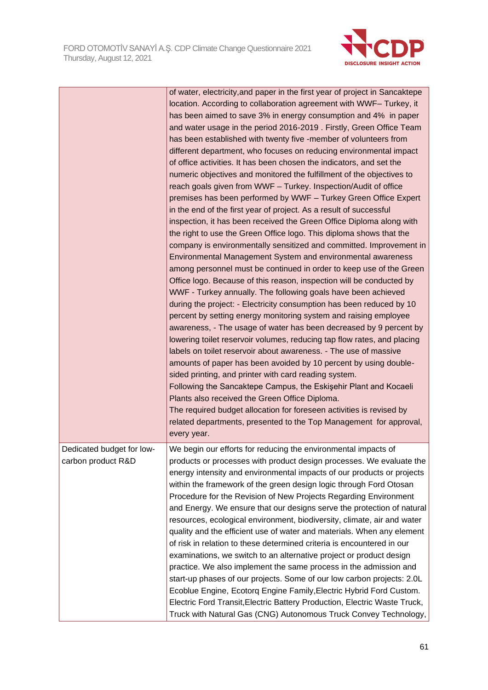

|                           | of water, electricity, and paper in the first year of project in Sancaktepe |
|---------------------------|-----------------------------------------------------------------------------|
|                           | location. According to collaboration agreement with WWF- Turkey, it         |
|                           | has been aimed to save 3% in energy consumption and 4% in paper             |
|                           | and water usage in the period 2016-2019. Firstly, Green Office Team         |
|                           | has been established with twenty five -member of volunteers from            |
|                           | different department, who focuses on reducing environmental impact          |
|                           | of office activities. It has been chosen the indicators, and set the        |
|                           | numeric objectives and monitored the fulfillment of the objectives to       |
|                           | reach goals given from WWF - Turkey. Inspection/Audit of office             |
|                           | premises has been performed by WWF - Turkey Green Office Expert             |
|                           | in the end of the first year of project. As a result of successful          |
|                           | inspection, it has been received the Green Office Diploma along with        |
|                           | the right to use the Green Office logo. This diploma shows that the         |
|                           | company is environmentally sensitized and committed. Improvement in         |
|                           | Environmental Management System and environmental awareness                 |
|                           | among personnel must be continued in order to keep use of the Green         |
|                           | Office logo. Because of this reason, inspection will be conducted by        |
|                           | WWF - Turkey annually. The following goals have been achieved               |
|                           | during the project: - Electricity consumption has been reduced by 10        |
|                           | percent by setting energy monitoring system and raising employee            |
|                           | awareness, - The usage of water has been decreased by 9 percent by          |
|                           | lowering toilet reservoir volumes, reducing tap flow rates, and placing     |
|                           | labels on toilet reservoir about awareness. - The use of massive            |
|                           | amounts of paper has been avoided by 10 percent by using double-            |
|                           | sided printing, and printer with card reading system.                       |
|                           | Following the Sancaktepe Campus, the Eskisehir Plant and Kocaeli            |
|                           | Plants also received the Green Office Diploma.                              |
|                           | The required budget allocation for foreseen activities is revised by        |
|                           | related departments, presented to the Top Management for approval,          |
|                           | every year.                                                                 |
|                           |                                                                             |
| Dedicated budget for low- | We begin our efforts for reducing the environmental impacts of              |
| carbon product R&D        | products or processes with product design processes. We evaluate the        |
|                           | energy intensity and environmental impacts of our products or projects      |
|                           | within the framework of the green design logic through Ford Otosan          |
|                           | Procedure for the Revision of New Projects Regarding Environment            |
|                           | and Energy. We ensure that our designs serve the protection of natural      |
|                           | resources, ecological environment, biodiversity, climate, air and water     |
|                           | quality and the efficient use of water and materials. When any element      |
|                           | of risk in relation to these determined criteria is encountered in our      |
|                           | examinations, we switch to an alternative project or product design         |
|                           | practice. We also implement the same process in the admission and           |
|                           | start-up phases of our projects. Some of our low carbon projects: 2.0L      |
|                           | Ecoblue Engine, Ecotorq Engine Family, Electric Hybrid Ford Custom.         |
|                           | Electric Ford Transit, Electric Battery Production, Electric Waste Truck,   |
|                           | Truck with Natural Gas (CNG) Autonomous Truck Convey Technology,            |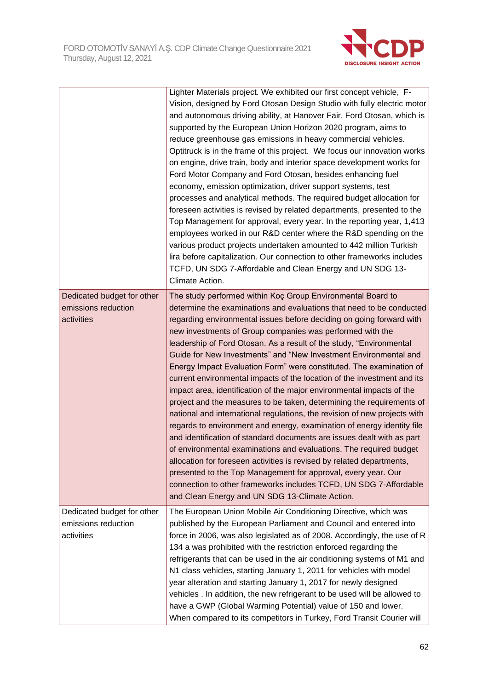

|                                                                 | Lighter Materials project. We exhibited our first concept vehicle, F-<br>Vision, designed by Ford Otosan Design Studio with fully electric motor<br>and autonomous driving ability, at Hanover Fair. Ford Otosan, which is<br>supported by the European Union Horizon 2020 program, aims to<br>reduce greenhouse gas emissions in heavy commercial vehicles.<br>Optitruck is in the frame of this project. We focus our innovation works<br>on engine, drive train, body and interior space development works for<br>Ford Motor Company and Ford Otosan, besides enhancing fuel<br>economy, emission optimization, driver support systems, test<br>processes and analytical methods. The required budget allocation for<br>foreseen activities is revised by related departments, presented to the<br>Top Management for approval, every year. In the reporting year, 1,413<br>employees worked in our R&D center where the R&D spending on the<br>various product projects undertaken amounted to 442 million Turkish<br>lira before capitalization. Our connection to other frameworks includes<br>TCFD, UN SDG 7-Affordable and Clean Energy and UN SDG 13-<br>Climate Action.                                                                                                               |
|-----------------------------------------------------------------|-------------------------------------------------------------------------------------------------------------------------------------------------------------------------------------------------------------------------------------------------------------------------------------------------------------------------------------------------------------------------------------------------------------------------------------------------------------------------------------------------------------------------------------------------------------------------------------------------------------------------------------------------------------------------------------------------------------------------------------------------------------------------------------------------------------------------------------------------------------------------------------------------------------------------------------------------------------------------------------------------------------------------------------------------------------------------------------------------------------------------------------------------------------------------------------------------------------------------------------------------------------------------------------------------|
| Dedicated budget for other<br>emissions reduction<br>activities | The study performed within Koç Group Environmental Board to<br>determine the examinations and evaluations that need to be conducted<br>regarding environmental issues before deciding on going forward with<br>new investments of Group companies was performed with the<br>leadership of Ford Otosan. As a result of the study, "Environmental<br>Guide for New Investments" and "New Investment Environmental and<br>Energy Impact Evaluation Form" were constituted. The examination of<br>current environmental impacts of the location of the investment and its<br>impact area, identification of the major environmental impacts of the<br>project and the measures to be taken, determining the requirements of<br>national and international regulations, the revision of new projects with<br>regards to environment and energy, examination of energy identity file<br>and identification of standard documents are issues dealt with as part<br>of environmental examinations and evaluations. The required budget<br>allocation for foreseen activities is revised by related departments,<br>presented to the Top Management for approval, every year. Our<br>connection to other frameworks includes TCFD, UN SDG 7-Affordable<br>and Clean Energy and UN SDG 13-Climate Action. |
| Dedicated budget for other<br>emissions reduction<br>activities | The European Union Mobile Air Conditioning Directive, which was<br>published by the European Parliament and Council and entered into<br>force in 2006, was also legislated as of 2008. Accordingly, the use of R<br>134 a was prohibited with the restriction enforced regarding the<br>refrigerants that can be used in the air conditioning systems of M1 and<br>N1 class vehicles, starting January 1, 2011 for vehicles with model<br>year alteration and starting January 1, 2017 for newly designed<br>vehicles . In addition, the new refrigerant to be used will be allowed to<br>have a GWP (Global Warming Potential) value of 150 and lower.<br>When compared to its competitors in Turkey, Ford Transit Courier will                                                                                                                                                                                                                                                                                                                                                                                                                                                                                                                                                                |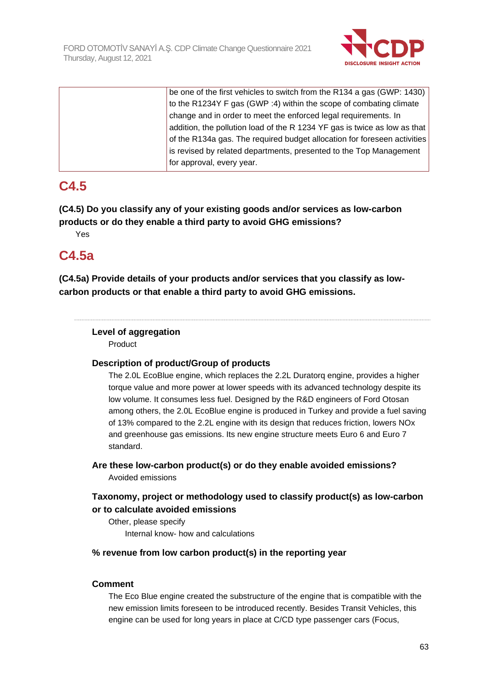

| be one of the first vehicles to switch from the R134 a gas (GWP: 1430)    |
|---------------------------------------------------------------------------|
| to the R1234Y F gas (GWP :4) within the scope of combating climate        |
| change and in order to meet the enforced legal requirements. In           |
| addition, the pollution load of the R 1234 YF gas is twice as low as that |
| of the R134a gas. The required budget allocation for foreseen activities  |
| is revised by related departments, presented to the Top Management        |
| for approval, every year.                                                 |

# **C4.5**

**(C4.5) Do you classify any of your existing goods and/or services as low-carbon products or do they enable a third party to avoid GHG emissions?**

Yes

# **C4.5a**

**(C4.5a) Provide details of your products and/or services that you classify as lowcarbon products or that enable a third party to avoid GHG emissions.**

## **Level of aggregation**

Product

## **Description of product/Group of products**

The 2.0L EcoBlue engine, which replaces the 2.2L Duratorq engine, provides a higher torque value and more power at lower speeds with its advanced technology despite its low volume. It consumes less fuel. Designed by the R&D engineers of Ford Otosan among others, the 2.0L EcoBlue engine is produced in Turkey and provide a fuel saving of 13% compared to the 2.2L engine with its design that reduces friction, lowers NOx and greenhouse gas emissions. Its new engine structure meets Euro 6 and Euro 7 standard.

**Are these low-carbon product(s) or do they enable avoided emissions?** Avoided emissions

## **Taxonomy, project or methodology used to classify product(s) as low-carbon or to calculate avoided emissions**

Other, please specify Internal know- how and calculations

## **% revenue from low carbon product(s) in the reporting year**

## **Comment**

The Eco Blue engine created the substructure of the engine that is compatible with the new emission limits foreseen to be introduced recently. Besides Transit Vehicles, this engine can be used for long years in place at C/CD type passenger cars (Focus,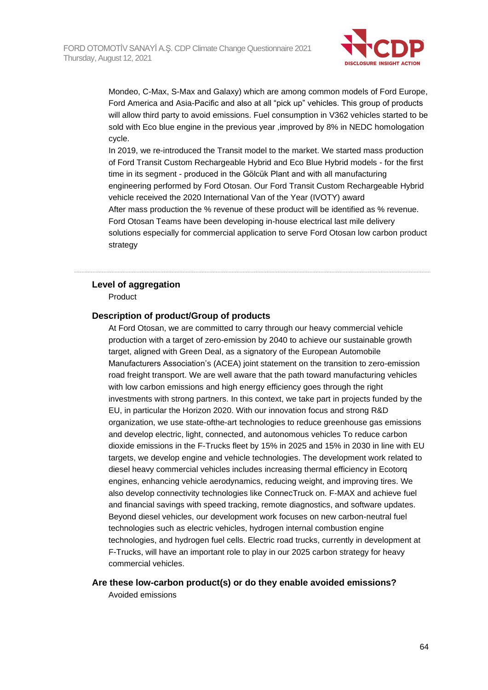

Mondeo, C-Max, S-Max and Galaxy) which are among common models of Ford Europe, Ford America and Asia-Pacific and also at all "pick up" vehicles. This group of products will allow third party to avoid emissions. Fuel consumption in V362 vehicles started to be sold with Eco blue engine in the previous year ,improved by 8% in NEDC homologation cycle.

In 2019, we re-introduced the Transit model to the market. We started mass production of Ford Transit Custom Rechargeable Hybrid and Eco Blue Hybrid models - for the first time in its segment - produced in the Gölcük Plant and with all manufacturing engineering performed by Ford Otosan. Our Ford Transit Custom Rechargeable Hybrid vehicle received the 2020 International Van of the Year (IVOTY) award After mass production the % revenue of these product will be identified as % revenue. Ford Otosan Teams have been developing in-house electrical last mile delivery solutions especially for commercial application to serve Ford Otosan low carbon product strategy

#### **Level of aggregation**

Product

#### **Description of product/Group of products**

At Ford Otosan, we are committed to carry through our heavy commercial vehicle production with a target of zero-emission by 2040 to achieve our sustainable growth target, aligned with Green Deal, as a signatory of the European Automobile Manufacturers Association's (ACEA) joint statement on the transition to zero-emission road freight transport. We are well aware that the path toward manufacturing vehicles with low carbon emissions and high energy efficiency goes through the right investments with strong partners. In this context, we take part in projects funded by the EU, in particular the Horizon 2020. With our innovation focus and strong R&D organization, we use state-ofthe-art technologies to reduce greenhouse gas emissions and develop electric, light, connected, and autonomous vehicles To reduce carbon dioxide emissions in the F-Trucks fleet by 15% in 2025 and 15% in 2030 in line with EU targets, we develop engine and vehicle technologies. The development work related to diesel heavy commercial vehicles includes increasing thermal efficiency in Ecotorq engines, enhancing vehicle aerodynamics, reducing weight, and improving tires. We also develop connectivity technologies like ConnecTruck on. F-MAX and achieve fuel and financial savings with speed tracking, remote diagnostics, and software updates. Beyond diesel vehicles, our development work focuses on new carbon-neutral fuel technologies such as electric vehicles, hydrogen internal combustion engine technologies, and hydrogen fuel cells. Electric road trucks, currently in development at F-Trucks, will have an important role to play in our 2025 carbon strategy for heavy commercial vehicles.

## **Are these low-carbon product(s) or do they enable avoided emissions?**

Avoided emissions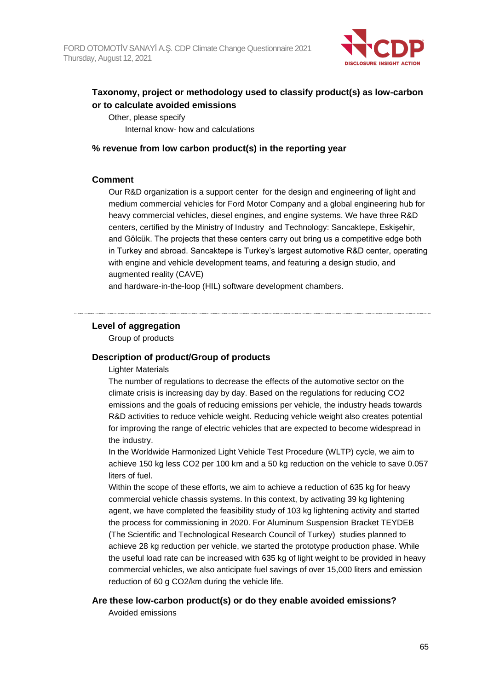

## **Taxonomy, project or methodology used to classify product(s) as low-carbon or to calculate avoided emissions**

Other, please specify Internal know- how and calculations

#### **% revenue from low carbon product(s) in the reporting year**

### **Comment**

Our R&D organization is a support center for the design and engineering of light and medium commercial vehicles for Ford Motor Company and a global engineering hub for heavy commercial vehicles, diesel engines, and engine systems. We have three R&D centers, certified by the Ministry of Industry and Technology: Sancaktepe, Eskişehir, and Gölcük. The projects that these centers carry out bring us a competitive edge both in Turkey and abroad. Sancaktepe is Turkey's largest automotive R&D center, operating with engine and vehicle development teams, and featuring a design studio, and augmented reality (CAVE)

and hardware-in-the-loop (HIL) software development chambers.

## **Level of aggregation**

Group of products

## **Description of product/Group of products**

Lighter Materials

The number of regulations to decrease the effects of the automotive sector on the climate crisis is increasing day by day. Based on the regulations for reducing CO2 emissions and the goals of reducing emissions per vehicle, the industry heads towards R&D activities to reduce vehicle weight. Reducing vehicle weight also creates potential for improving the range of electric vehicles that are expected to become widespread in the industry.

In the Worldwide Harmonized Light Vehicle Test Procedure (WLTP) cycle, we aim to achieve 150 kg less CO2 per 100 km and a 50 kg reduction on the vehicle to save 0.057 liters of fuel.

Within the scope of these efforts, we aim to achieve a reduction of 635 kg for heavy commercial vehicle chassis systems. In this context, by activating 39 kg lightening agent, we have completed the feasibility study of 103 kg lightening activity and started the process for commissioning in 2020. For Aluminum Suspension Bracket TEYDEB (The Scientific and Technological Research Council of Turkey) studies planned to achieve 28 kg reduction per vehicle, we started the prototype production phase. While the useful load rate can be increased with 635 kg of light weight to be provided in heavy commercial vehicles, we also anticipate fuel savings of over 15,000 liters and emission reduction of 60 g CO2/km during the vehicle life.

## **Are these low-carbon product(s) or do they enable avoided emissions?**

Avoided emissions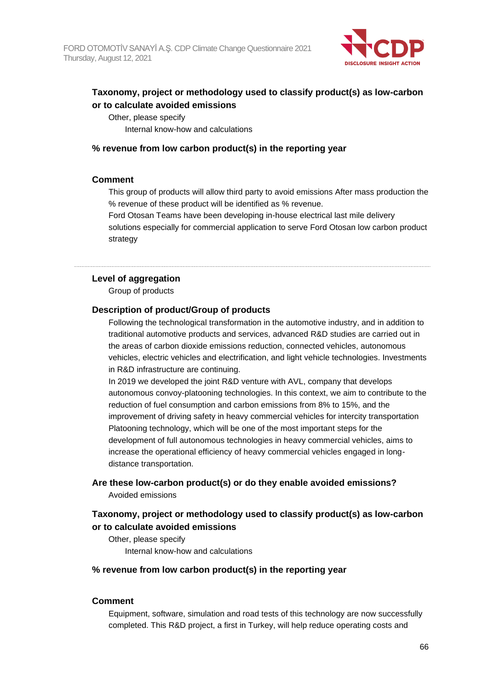

## **Taxonomy, project or methodology used to classify product(s) as low-carbon or to calculate avoided emissions**

Other, please specify Internal know-how and calculations

#### **% revenue from low carbon product(s) in the reporting year**

### **Comment**

This group of products will allow third party to avoid emissions After mass production the % revenue of these product will be identified as % revenue.

Ford Otosan Teams have been developing in-house electrical last mile delivery solutions especially for commercial application to serve Ford Otosan low carbon product strategy

#### **Level of aggregation**

Group of products

### **Description of product/Group of products**

Following the technological transformation in the automotive industry, and in addition to traditional automotive products and services, advanced R&D studies are carried out in the areas of carbon dioxide emissions reduction, connected vehicles, autonomous vehicles, electric vehicles and electrification, and light vehicle technologies. Investments in R&D infrastructure are continuing.

In 2019 we developed the joint R&D venture with AVL, company that develops autonomous convoy-platooning technologies. In this context, we aim to contribute to the reduction of fuel consumption and carbon emissions from 8% to 15%, and the improvement of driving safety in heavy commercial vehicles for intercity transportation Platooning technology, which will be one of the most important steps for the development of full autonomous technologies in heavy commercial vehicles, aims to increase the operational efficiency of heavy commercial vehicles engaged in longdistance transportation.

## **Are these low-carbon product(s) or do they enable avoided emissions?** Avoided emissions

## **Taxonomy, project or methodology used to classify product(s) as low-carbon or to calculate avoided emissions**

Other, please specify Internal know-how and calculations

#### **% revenue from low carbon product(s) in the reporting year**

## **Comment**

Equipment, software, simulation and road tests of this technology are now successfully completed. This R&D project, a first in Turkey, will help reduce operating costs and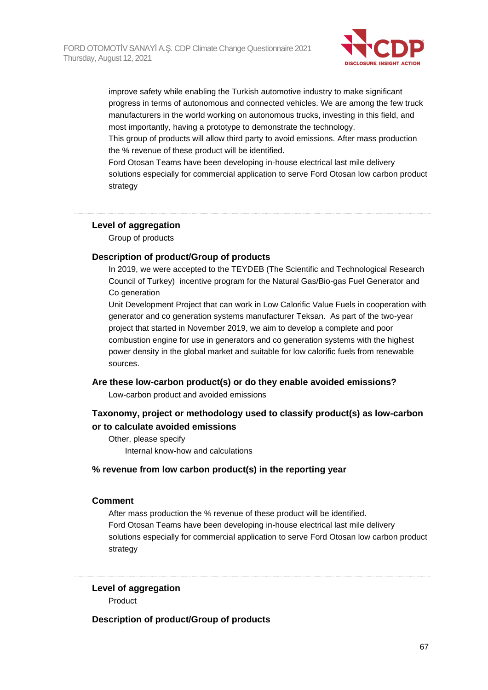

improve safety while enabling the Turkish automotive industry to make significant progress in terms of autonomous and connected vehicles. We are among the few truck manufacturers in the world working on autonomous trucks, investing in this field, and most importantly, having a prototype to demonstrate the technology.

This group of products will allow third party to avoid emissions. After mass production the % revenue of these product will be identified.

Ford Otosan Teams have been developing in-house electrical last mile delivery solutions especially for commercial application to serve Ford Otosan low carbon product strategy

## **Level of aggregation**

Group of products

### **Description of product/Group of products**

In 2019, we were accepted to the TEYDEB (The Scientific and Technological Research Council of Turkey) incentive program for the Natural Gas/Bio-gas Fuel Generator and Co generation

Unit Development Project that can work in Low Calorific Value Fuels in cooperation with generator and co generation systems manufacturer Teksan. As part of the two-year project that started in November 2019, we aim to develop a complete and poor combustion engine for use in generators and co generation systems with the highest power density in the global market and suitable for low calorific fuels from renewable sources.

#### **Are these low-carbon product(s) or do they enable avoided emissions?**

Low-carbon product and avoided emissions

## **Taxonomy, project or methodology used to classify product(s) as low-carbon or to calculate avoided emissions**

Other, please specify Internal know-how and calculations

## **% revenue from low carbon product(s) in the reporting year**

#### **Comment**

After mass production the % revenue of these product will be identified. Ford Otosan Teams have been developing in-house electrical last mile delivery solutions especially for commercial application to serve Ford Otosan low carbon product strategy

**Level of aggregation** Product

**Description of product/Group of products**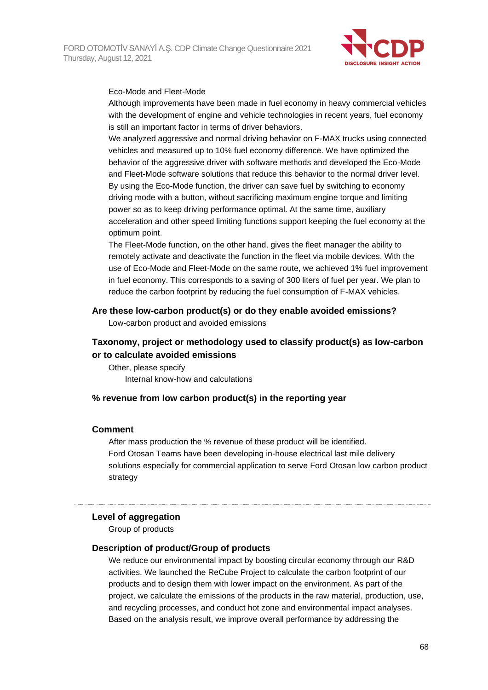

#### Eco-Mode and Fleet-Mode

Although improvements have been made in fuel economy in heavy commercial vehicles with the development of engine and vehicle technologies in recent years, fuel economy is still an important factor in terms of driver behaviors.

We analyzed aggressive and normal driving behavior on F-MAX trucks using connected vehicles and measured up to 10% fuel economy difference. We have optimized the behavior of the aggressive driver with software methods and developed the Eco-Mode and Fleet-Mode software solutions that reduce this behavior to the normal driver level. By using the Eco-Mode function, the driver can save fuel by switching to economy driving mode with a button, without sacrificing maximum engine torque and limiting power so as to keep driving performance optimal. At the same time, auxiliary acceleration and other speed limiting functions support keeping the fuel economy at the optimum point.

The Fleet-Mode function, on the other hand, gives the fleet manager the ability to remotely activate and deactivate the function in the fleet via mobile devices. With the use of Eco-Mode and Fleet-Mode on the same route, we achieved 1% fuel improvement in fuel economy. This corresponds to a saving of 300 liters of fuel per year. We plan to reduce the carbon footprint by reducing the fuel consumption of F-MAX vehicles.

### **Are these low-carbon product(s) or do they enable avoided emissions?**

Low-carbon product and avoided emissions

## **Taxonomy, project or methodology used to classify product(s) as low-carbon or to calculate avoided emissions**

Other, please specify Internal know-how and calculations

## **% revenue from low carbon product(s) in the reporting year**

#### **Comment**

After mass production the % revenue of these product will be identified. Ford Otosan Teams have been developing in-house electrical last mile delivery solutions especially for commercial application to serve Ford Otosan low carbon product strategy

#### **Level of aggregation**

Group of products

#### **Description of product/Group of products**

We reduce our environmental impact by boosting circular economy through our R&D activities. We launched the ReCube Project to calculate the carbon footprint of our products and to design them with lower impact on the environment. As part of the project, we calculate the emissions of the products in the raw material, production, use, and recycling processes, and conduct hot zone and environmental impact analyses. Based on the analysis result, we improve overall performance by addressing the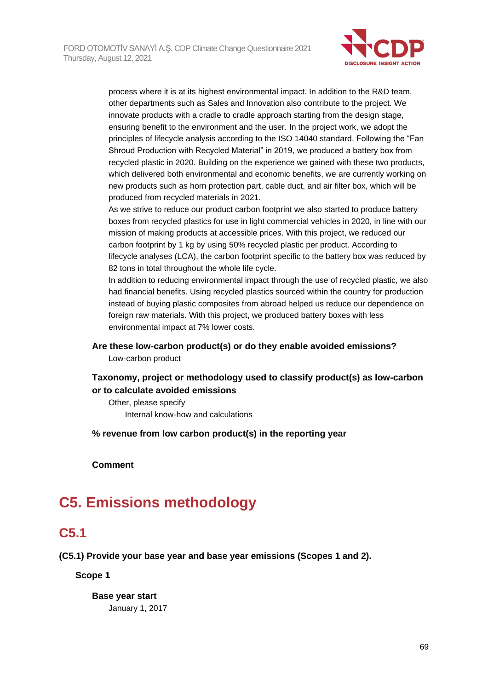

process where it is at its highest environmental impact. In addition to the R&D team, other departments such as Sales and Innovation also contribute to the project. We innovate products with a cradle to cradle approach starting from the design stage, ensuring benefit to the environment and the user. In the project work, we adopt the principles of lifecycle analysis according to the ISO 14040 standard. Following the "Fan Shroud Production with Recycled Material" in 2019, we produced a battery box from recycled plastic in 2020. Building on the experience we gained with these two products, which delivered both environmental and economic benefits, we are currently working on new products such as horn protection part, cable duct, and air filter box, which will be produced from recycled materials in 2021.

As we strive to reduce our product carbon footprint we also started to produce battery boxes from recycled plastics for use in light commercial vehicles in 2020, in line with our mission of making products at accessible prices. With this project, we reduced our carbon footprint by 1 kg by using 50% recycled plastic per product. According to lifecycle analyses (LCA), the carbon footprint specific to the battery box was reduced by 82 tons in total throughout the whole life cycle.

In addition to reducing environmental impact through the use of recycled plastic, we also had financial benefits. Using recycled plastics sourced within the country for production instead of buying plastic composites from abroad helped us reduce our dependence on foreign raw materials. With this project, we produced battery boxes with less environmental impact at 7% lower costs.

# **Are these low-carbon product(s) or do they enable avoided emissions?**

Low-carbon product

## **Taxonomy, project or methodology used to classify product(s) as low-carbon or to calculate avoided emissions**

Other, please specify Internal know-how and calculations

**% revenue from low carbon product(s) in the reporting year**

**Comment**

# **C5. Emissions methodology**

## **C5.1**

**(C5.1) Provide your base year and base year emissions (Scopes 1 and 2).**

**Scope 1**

**Base year start** January 1, 2017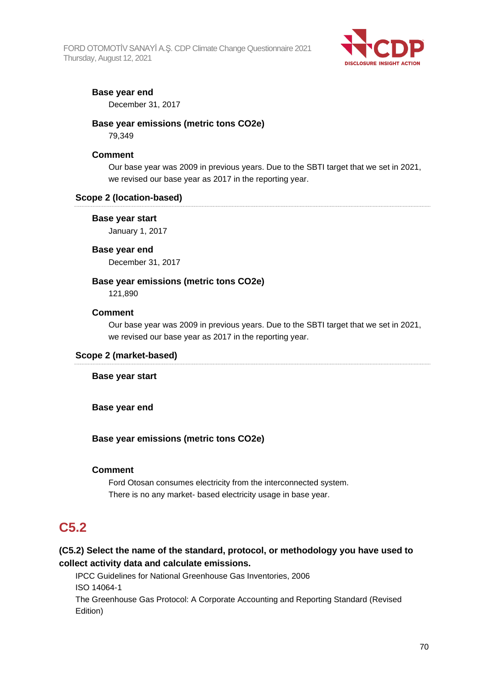FORD OTOMOTİV SANAYİ A.Ş. CDP Climate Change Questionnaire 2021 Thursday, August 12, 2021



## **Base year end**

December 31, 2017

## **Base year emissions (metric tons CO2e)**

79,349

### **Comment**

Our base year was 2009 in previous years. Due to the SBTI target that we set in 2021, we revised our base year as 2017 in the reporting year.

### **Scope 2 (location-based)**

#### **Base year start**

January 1, 2017

### **Base year end**

December 31, 2017

## **Base year emissions (metric tons CO2e)**

121,890

#### **Comment**

Our base year was 2009 in previous years. Due to the SBTI target that we set in 2021, we revised our base year as 2017 in the reporting year.

#### **Scope 2 (market-based)**

#### **Base year start**

**Base year end**

## **Base year emissions (metric tons CO2e)**

#### **Comment**

Ford Otosan consumes electricity from the interconnected system. There is no any market- based electricity usage in base year.

## **C5.2**

## **(C5.2) Select the name of the standard, protocol, or methodology you have used to collect activity data and calculate emissions.**

IPCC Guidelines for National Greenhouse Gas Inventories, 2006 ISO 14064-1 The Greenhouse Gas Protocol: A Corporate Accounting and Reporting Standard (Revised Edition)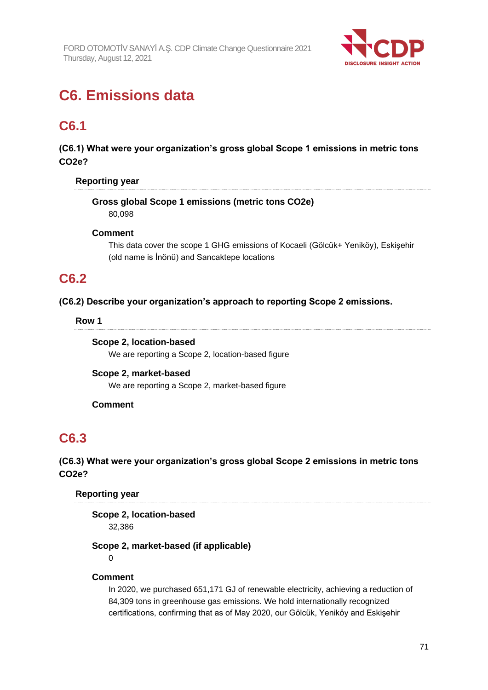

# **C6. Emissions data**

# **C6.1**

**(C6.1) What were your organization's gross global Scope 1 emissions in metric tons CO2e?**

## **Reporting year**

**Gross global Scope 1 emissions (metric tons CO2e)** 80,098

## **Comment**

This data cover the scope 1 GHG emissions of Kocaeli (Gölcük+ Yeniköy), Eskişehir (old name is İnönü) and Sancaktepe locations

## **C6.2**

**(C6.2) Describe your organization's approach to reporting Scope 2 emissions.**

## **Row 1**

**Scope 2, location-based** We are reporting a Scope 2, location-based figure

## **Scope 2, market-based** We are reporting a Scope 2, market-based figure

## **Comment**

# **C6.3**

## **(C6.3) What were your organization's gross global Scope 2 emissions in metric tons CO2e?**

## **Reporting year**

**Scope 2, location-based**

32,386

## **Scope 2, market-based (if applicable)**

 $\Omega$ 

## **Comment**

In 2020, we purchased 651,171 GJ of renewable electricity, achieving a reduction of 84,309 tons in greenhouse gas emissions. We hold internationally recognized certifications, confirming that as of May 2020, our Gölcük, Yeniköy and Eskişehir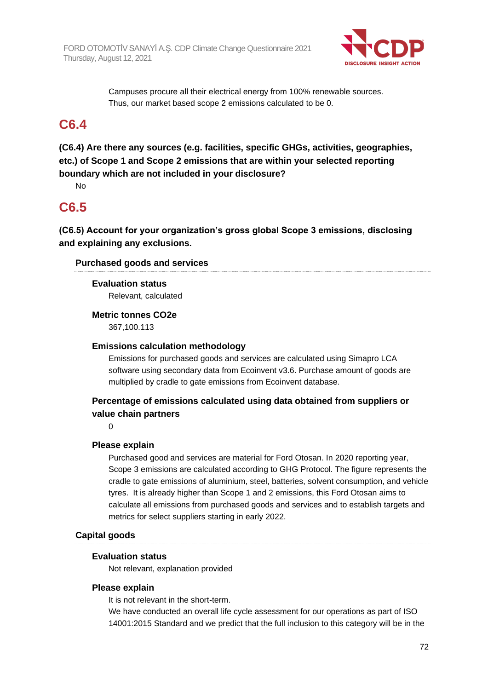

Campuses procure all their electrical energy from 100% renewable sources. Thus, our market based scope 2 emissions calculated to be 0.

## **C6.4**

**(C6.4) Are there any sources (e.g. facilities, specific GHGs, activities, geographies, etc.) of Scope 1 and Scope 2 emissions that are within your selected reporting boundary which are not included in your disclosure?**

No

## **C6.5**

**(C6.5) Account for your organization's gross global Scope 3 emissions, disclosing and explaining any exclusions.**

## **Purchased goods and services**

## **Evaluation status**

Relevant, calculated

## **Metric tonnes CO2e**

367,100.113

## **Emissions calculation methodology**

Emissions for purchased goods and services are calculated using Simapro LCA software using secondary data from Ecoinvent v3.6. Purchase amount of goods are multiplied by cradle to gate emissions from Ecoinvent database.

## **Percentage of emissions calculated using data obtained from suppliers or value chain partners**

 $\Omega$ 

## **Please explain**

Purchased good and services are material for Ford Otosan. In 2020 reporting year, Scope 3 emissions are calculated according to GHG Protocol. The figure represents the cradle to gate emissions of aluminium, steel, batteries, solvent consumption, and vehicle tyres. It is already higher than Scope 1 and 2 emissions, this Ford Otosan aims to calculate all emissions from purchased goods and services and to establish targets and metrics for select suppliers starting in early 2022.

## **Capital goods**

## **Evaluation status**

Not relevant, explanation provided

## **Please explain**

It is not relevant in the short-term.

We have conducted an overall life cycle assessment for our operations as part of ISO 14001:2015 Standard and we predict that the full inclusion to this category will be in the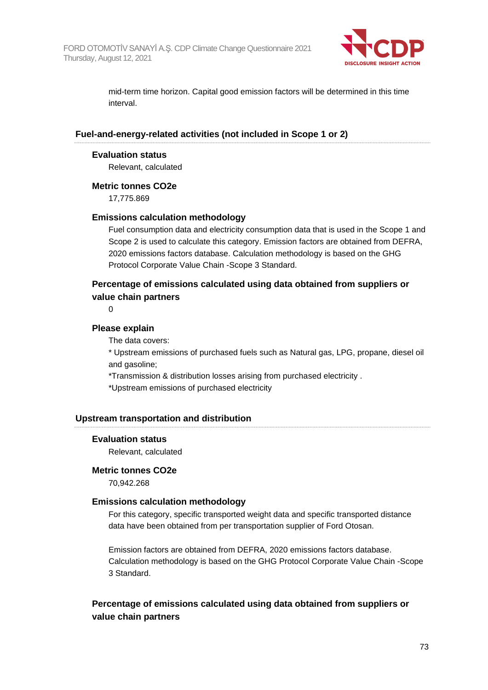

mid-term time horizon. Capital good emission factors will be determined in this time interval.

#### **Fuel-and-energy-related activities (not included in Scope 1 or 2)**

#### **Evaluation status**

Relevant, calculated

#### **Metric tonnes CO2e**

17,775.869

#### **Emissions calculation methodology**

Fuel consumption data and electricity consumption data that is used in the Scope 1 and Scope 2 is used to calculate this category. Emission factors are obtained from DEFRA, 2020 emissions factors database. Calculation methodology is based on the GHG Protocol Corporate Value Chain -Scope 3 Standard.

### **Percentage of emissions calculated using data obtained from suppliers or value chain partners**

 $\Omega$ 

#### **Please explain**

The data covers:

\* Upstream emissions of purchased fuels such as Natural gas, LPG, propane, diesel oil and gasoline;

\*Transmission & distribution losses arising from purchased electricity .

\*Upstream emissions of purchased electricity

#### **Upstream transportation and distribution**

#### **Evaluation status**

Relevant, calculated

#### **Metric tonnes CO2e**

70,942.268

#### **Emissions calculation methodology**

For this category, specific transported weight data and specific transported distance data have been obtained from per transportation supplier of Ford Otosan.

Emission factors are obtained from DEFRA, 2020 emissions factors database. Calculation methodology is based on the GHG Protocol Corporate Value Chain -Scope 3 Standard.

### **Percentage of emissions calculated using data obtained from suppliers or value chain partners**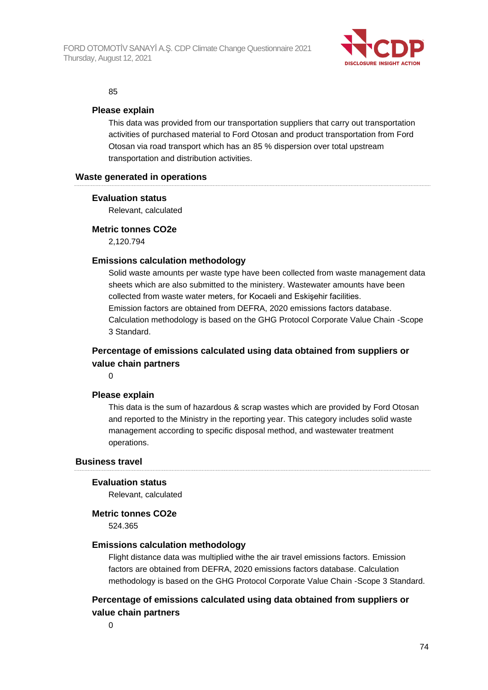

#### 85

#### **Please explain**

This data was provided from our transportation suppliers that carry out transportation activities of purchased material to Ford Otosan and product transportation from Ford Otosan via road transport which has an 85 % dispersion over total upstream transportation and distribution activities.

#### **Waste generated in operations**

#### **Evaluation status**

Relevant, calculated

#### **Metric tonnes CO2e**

2,120.794

#### **Emissions calculation methodology**

Solid waste amounts per waste type have been collected from waste management data sheets which are also submitted to the ministery. Wastewater amounts have been collected from waste water meters, for Kocaeli and Eskişehir facilities. Emission factors are obtained from DEFRA, 2020 emissions factors database. Calculation methodology is based on the GHG Protocol Corporate Value Chain -Scope 3 Standard.

### **Percentage of emissions calculated using data obtained from suppliers or value chain partners**

 $\Omega$ 

#### **Please explain**

This data is the sum of hazardous & scrap wastes which are provided by Ford Otosan and reported to the Ministry in the reporting year. This category includes solid waste management according to specific disposal method, and wastewater treatment operations.

#### **Business travel**

#### **Evaluation status**

Relevant, calculated

#### **Metric tonnes CO2e**

524.365

#### **Emissions calculation methodology**

Flight distance data was multiplied withe the air travel emissions factors. Emission factors are obtained from DEFRA, 2020 emissions factors database. Calculation methodology is based on the GHG Protocol Corporate Value Chain -Scope 3 Standard.

### **Percentage of emissions calculated using data obtained from suppliers or value chain partners**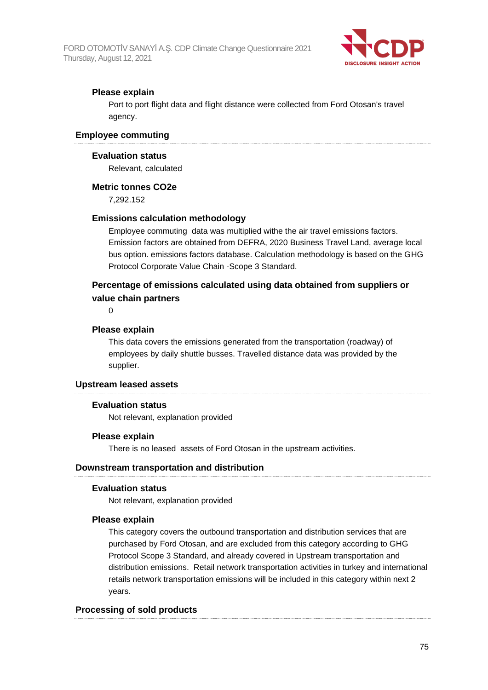

### **Please explain**

Port to port flight data and flight distance were collected from Ford Otosan's travel agency.

#### **Employee commuting**

#### **Evaluation status**

Relevant, calculated

#### **Metric tonnes CO2e**

7,292.152

#### **Emissions calculation methodology**

Employee commuting data was multiplied withe the air travel emissions factors. Emission factors are obtained from DEFRA, 2020 Business Travel Land, average local bus option. emissions factors database. Calculation methodology is based on the GHG Protocol Corporate Value Chain -Scope 3 Standard.

### **Percentage of emissions calculated using data obtained from suppliers or value chain partners**

0

#### **Please explain**

This data covers the emissions generated from the transportation (roadway) of employees by daily shuttle busses. Travelled distance data was provided by the supplier.

#### **Upstream leased assets**

#### **Evaluation status**

Not relevant, explanation provided

#### **Please explain**

There is no leased assets of Ford Otosan in the upstream activities.

#### **Downstream transportation and distribution**

#### **Evaluation status**

Not relevant, explanation provided

#### **Please explain**

This category covers the outbound transportation and distribution services that are purchased by Ford Otosan, and are excluded from this category according to GHG Protocol Scope 3 Standard, and already covered in Upstream transportation and distribution emissions. Retail network transportation activities in turkey and international retails network transportation emissions will be included in this category within next 2 years.

#### **Processing of sold products**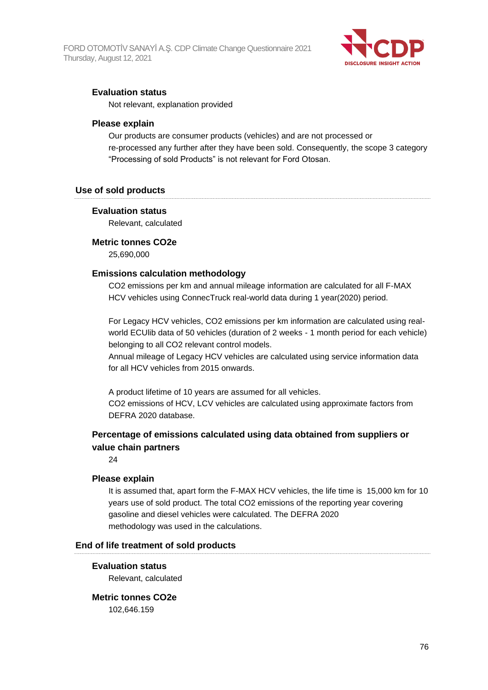

#### **Evaluation status**

Not relevant, explanation provided

#### **Please explain**

Our products are consumer products (vehicles) and are not processed or re-processed any further after they have been sold. Consequently, the scope 3 category "Processing of sold Products" is not relevant for Ford Otosan.

#### **Use of sold products**

#### **Evaluation status**

Relevant, calculated

#### **Metric tonnes CO2e**

25,690,000

#### **Emissions calculation methodology**

CO2 emissions per km and annual mileage information are calculated for all F-MAX HCV vehicles using ConnecTruck real-world data during 1 year(2020) period.

For Legacy HCV vehicles, CO2 emissions per km information are calculated using realworld ECUlib data of 50 vehicles (duration of 2 weeks - 1 month period for each vehicle) belonging to all CO2 relevant control models.

Annual mileage of Legacy HCV vehicles are calculated using service information data for all HCV vehicles from 2015 onwards.

A product lifetime of 10 years are assumed for all vehicles. CO2 emissions of HCV, LCV vehicles are calculated using approximate factors from DEFRA 2020 database.

### **Percentage of emissions calculated using data obtained from suppliers or value chain partners**

24

#### **Please explain**

It is assumed that, apart form the F-MAX HCV vehicles, the life time is 15,000 km for 10 years use of sold product. The total CO2 emissions of the reporting year covering gasoline and diesel vehicles were calculated. The DEFRA 2020 methodology was used in the calculations.

#### **End of life treatment of sold products**

#### **Evaluation status**

Relevant, calculated

#### **Metric tonnes CO2e**

102,646.159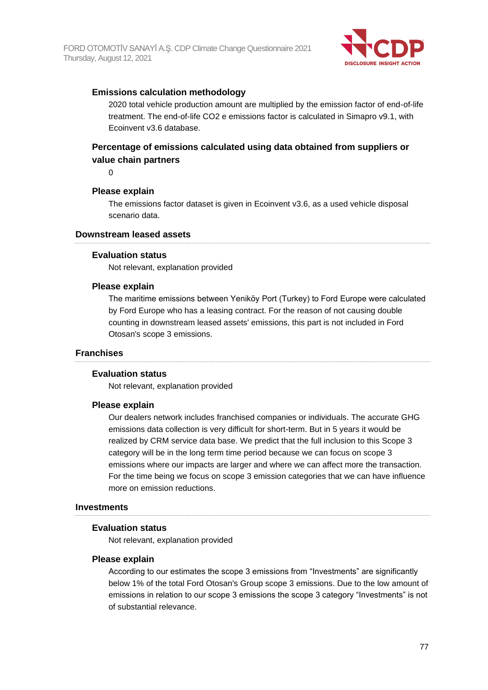

### **Emissions calculation methodology**

2020 total vehicle production amount are multiplied by the emission factor of end-of-life treatment. The end-of-life CO2 e emissions factor is calculated in Simapro v9.1, with Ecoinvent v3.6 database.

## **Percentage of emissions calculated using data obtained from suppliers or value chain partners**

 $\Omega$ 

#### **Please explain**

The emissions factor dataset is given in Ecoinvent v3.6, as a used vehicle disposal scenario data.

#### **Downstream leased assets**

#### **Evaluation status**

Not relevant, explanation provided

#### **Please explain**

The maritime emissions between Yeniköy Port (Turkey) to Ford Europe were calculated by Ford Europe who has a leasing contract. For the reason of not causing double counting in downstream leased assets' emissions, this part is not included in Ford Otosan's scope 3 emissions.

#### **Franchises**

#### **Evaluation status**

Not relevant, explanation provided

#### **Please explain**

Our dealers network includes franchised companies or individuals. The accurate GHG emissions data collection is very difficult for short-term. But in 5 years it would be realized by CRM service data base. We predict that the full inclusion to this Scope 3 category will be in the long term time period because we can focus on scope 3 emissions where our impacts are larger and where we can affect more the transaction. For the time being we focus on scope 3 emission categories that we can have influence more on emission reductions.

#### **Investments**

#### **Evaluation status**

Not relevant, explanation provided

#### **Please explain**

According to our estimates the scope 3 emissions from "Investments" are significantly below 1% of the total Ford Otosan's Group scope 3 emissions. Due to the low amount of emissions in relation to our scope 3 emissions the scope 3 category "Investments" is not of substantial relevance.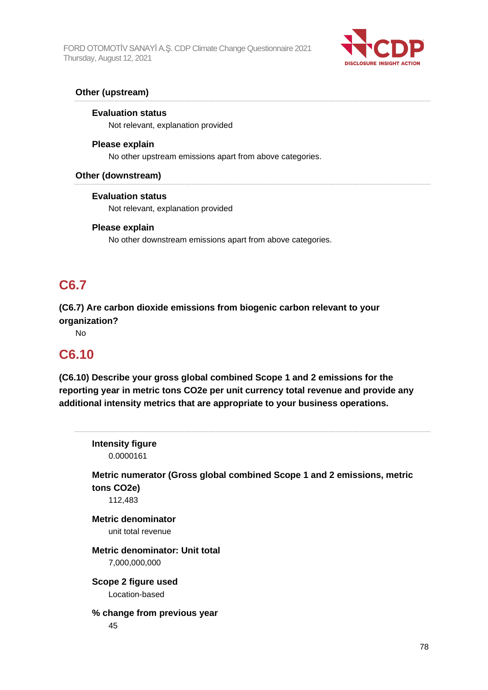

### **Other (upstream)**

#### **Evaluation status**

Not relevant, explanation provided

#### **Please explain**

No other upstream emissions apart from above categories.

#### **Other (downstream)**

#### **Evaluation status**

Not relevant, explanation provided

#### **Please explain**

No other downstream emissions apart from above categories.

## **C6.7**

**(C6.7) Are carbon dioxide emissions from biogenic carbon relevant to your organization?**

No

## **C6.10**

**(C6.10) Describe your gross global combined Scope 1 and 2 emissions for the reporting year in metric tons CO2e per unit currency total revenue and provide any additional intensity metrics that are appropriate to your business operations.**

| <b>Intensity figure</b><br>0.0000161                                                             |    |
|--------------------------------------------------------------------------------------------------|----|
| Metric numerator (Gross global combined Scope 1 and 2 emissions, metric<br>tons CO2e)<br>112,483 |    |
| <b>Metric denominator</b><br>unit total revenue                                                  |    |
| Metric denominator: Unit total<br>7,000,000,000                                                  |    |
| Scope 2 figure used<br>Location-based                                                            |    |
| % change from previous year<br>45                                                                |    |
|                                                                                                  | 7Ω |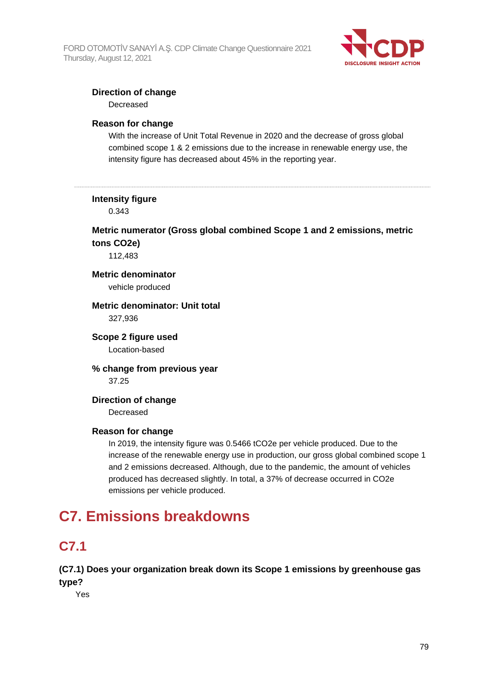

### **Direction of change**

Decreased

#### **Reason for change**

With the increase of Unit Total Revenue in 2020 and the decrease of gross global combined scope 1 & 2 emissions due to the increase in renewable energy use, the intensity figure has decreased about 45% in the reporting year.

#### **Intensity figure**

0.343

## **Metric numerator (Gross global combined Scope 1 and 2 emissions, metric tons CO2e)**

112,483

## **Metric denominator**

vehicle produced

#### **Metric denominator: Unit total** 327,936

#### **Scope 2 figure used** Location-based

**% change from previous year** 37.25

### **Direction of change** Decreased

#### **Reason for change**

In 2019, the intensity figure was 0.5466 tCO2e per vehicle produced. Due to the increase of the renewable energy use in production, our gross global combined scope 1 and 2 emissions decreased. Although, due to the pandemic, the amount of vehicles produced has decreased slightly. In total, a 37% of decrease occurred in CO2e emissions per vehicle produced.

# **C7. Emissions breakdowns**

## **C7.1**

### **(C7.1) Does your organization break down its Scope 1 emissions by greenhouse gas type?**

Yes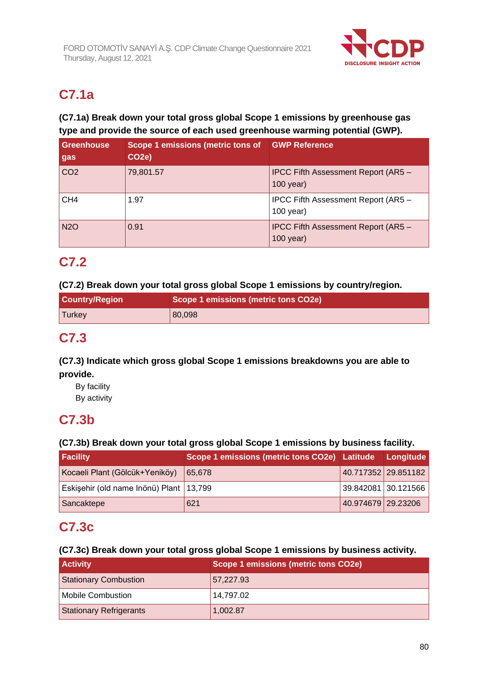

# **C7.1a**

## **(C7.1a) Break down your total gross global Scope 1 emissions by greenhouse gas type and provide the source of each used greenhouse warming potential (GWP).**

| <b>Greenhouse</b><br>gas | Scope 1 emissions (metric tons of<br>CO <sub>2e</sub> ) | <b>GWP Reference</b>                               |
|--------------------------|---------------------------------------------------------|----------------------------------------------------|
| CO <sub>2</sub>          | 79,801.57                                               | IPCC Fifth Assessment Report (AR5 -<br>$100$ year) |
| CH <sub>4</sub>          | 1.97                                                    | IPCC Fifth Assessment Report (AR5 -<br>$100$ year) |
| <b>N2O</b>               | 0.91                                                    | IPCC Fifth Assessment Report (AR5 -<br>$100$ year) |

## **C7.2**

### **(C7.2) Break down your total gross global Scope 1 emissions by country/region.**

| <b>Country/Region</b> | Scope 1 emissions (metric tons CO2e) |  |  |
|-----------------------|--------------------------------------|--|--|
| 'Turkey               | 80,098                               |  |  |

## **C7.3**

## **(C7.3) Indicate which gross global Scope 1 emissions breakdowns you are able to provide.**

By facility

By activity

## **C7.3b**

## **(C7.3b) Break down your total gross global Scope 1 emissions by business facility.**

| <b>Facility</b>                         | Scope 1 emissions (metric tons CO2e) Latitude Longitude |                       |                     |
|-----------------------------------------|---------------------------------------------------------|-----------------------|---------------------|
| Kocaeli Plant (Gölcük+Yeniköy)          | 65,678                                                  |                       | 40.717352 29.851182 |
| Eskişehir (old name Inönü) Plant 13,799 |                                                         | 39.842081   30.121566 |                     |
| Sancaktepe                              | 621                                                     | 40.974679 29.23206    |                     |

## **C7.3c**

## **(C7.3c) Break down your total gross global Scope 1 emissions by business activity.**

| <b>Activity</b>                | Scope 1 emissions (metric tons CO2e) |
|--------------------------------|--------------------------------------|
| <b>Stationary Combustion</b>   | 57,227.93                            |
| <b>Mobile Combustion</b>       | 14,797.02                            |
| <b>Stationary Refrigerants</b> | 1,002.87                             |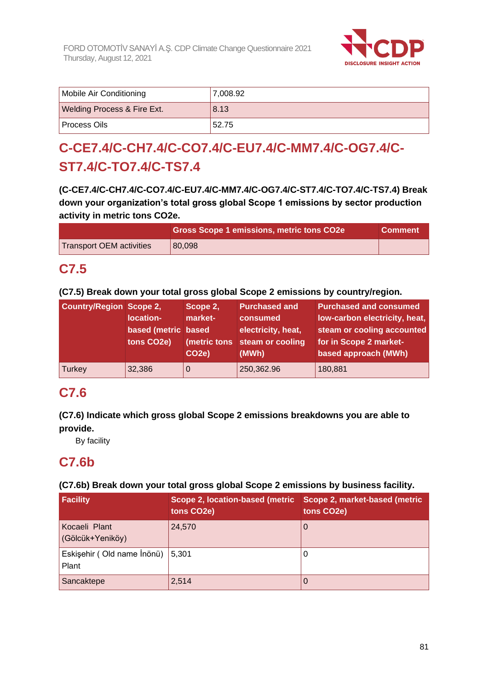

| Mobile Air Conditioning                | 7,008.92 |
|----------------------------------------|----------|
| <b>Welding Process &amp; Fire Ext.</b> | 8.13     |
| l Process Oils                         | 52.75    |

# **C-CE7.4/C-CH7.4/C-CO7.4/C-EU7.4/C-MM7.4/C-OG7.4/C-ST7.4/C-TO7.4/C-TS7.4**

**(C-CE7.4/C-CH7.4/C-CO7.4/C-EU7.4/C-MM7.4/C-OG7.4/C-ST7.4/C-TO7.4/C-TS7.4) Break down your organization's total gross global Scope 1 emissions by sector production activity in metric tons CO2e.**

|                          | <b>Gross Scope 1 emissions, metric tons CO2e</b> | <b>Comment</b> |
|--------------------------|--------------------------------------------------|----------------|
| Transport OEM activities | 80.098                                           |                |

## **C7.5**

**(C7.5) Break down your total gross global Scope 2 emissions by country/region.**

| <b>Country/Region Scope 2,</b> | location-<br>based (metric based<br>tons CO2e) | Scope 2,<br>market-<br>CO <sub>2e</sub> ) | <b>Purchased and</b><br>consumed<br>electricity, heat,<br>(metric tons steam or cooling<br>(MWh) | <b>Purchased and consumed</b><br>low-carbon electricity, heat,<br>steam or cooling accounted<br>for in Scope 2 market-<br>based approach (MWh) |
|--------------------------------|------------------------------------------------|-------------------------------------------|--------------------------------------------------------------------------------------------------|------------------------------------------------------------------------------------------------------------------------------------------------|
| Turkey                         | 32,386                                         | 0                                         | 250,362.96                                                                                       | 180,881                                                                                                                                        |

## **C7.6**

## **(C7.6) Indicate which gross global Scope 2 emissions breakdowns you are able to provide.**

By facility

## **C7.6b**

## **(C7.6b) Break down your total gross global Scope 2 emissions by business facility.**

| Facility                                  | Scope 2, location-based (metric<br>tons CO2e) | Scope 2, market-based (metric<br>tons CO2e) |
|-------------------------------------------|-----------------------------------------------|---------------------------------------------|
| Kocaeli Plant<br>(Gölcük+Yeniköy)         | 24,570                                        |                                             |
| Eskişehir (Old name İnönü) 5,301<br>Plant |                                               |                                             |
| Sancaktepe                                | 2,514                                         |                                             |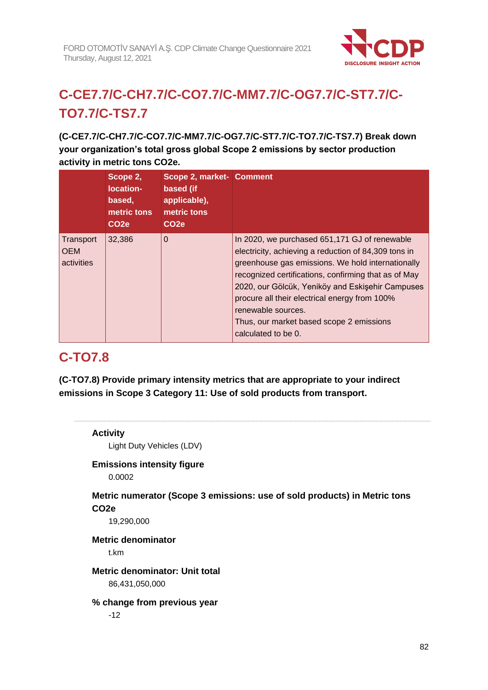

# **C-CE7.7/C-CH7.7/C-CO7.7/C-MM7.7/C-OG7.7/C-ST7.7/C-TO7.7/C-TS7.7**

**(C-CE7.7/C-CH7.7/C-CO7.7/C-MM7.7/C-OG7.7/C-ST7.7/C-TO7.7/C-TS7.7) Break down your organization's total gross global Scope 2 emissions by sector production activity in metric tons CO2e.**

|                                       | Scope 2,<br>location-<br>based,<br>metric tons<br>CO <sub>2e</sub> | Scope 2, market- Comment<br>based (if<br>applicable),<br>metric tons<br>CO <sub>2e</sub> |                                                                                                                                                                                                                                                                                                                                                                                                                  |
|---------------------------------------|--------------------------------------------------------------------|------------------------------------------------------------------------------------------|------------------------------------------------------------------------------------------------------------------------------------------------------------------------------------------------------------------------------------------------------------------------------------------------------------------------------------------------------------------------------------------------------------------|
| Transport<br><b>OEM</b><br>activities | 32,386                                                             | $\Omega$                                                                                 | In 2020, we purchased 651,171 GJ of renewable<br>electricity, achieving a reduction of 84,309 tons in<br>greenhouse gas emissions. We hold internationally<br>recognized certifications, confirming that as of May<br>2020, our Gölcük, Yeniköy and Eskişehir Campuses<br>procure all their electrical energy from 100%<br>renewable sources.<br>Thus, our market based scope 2 emissions<br>calculated to be 0. |

## **C-TO7.8**

**(C-TO7.8) Provide primary intensity metrics that are appropriate to your indirect emissions in Scope 3 Category 11: Use of sold products from transport.**

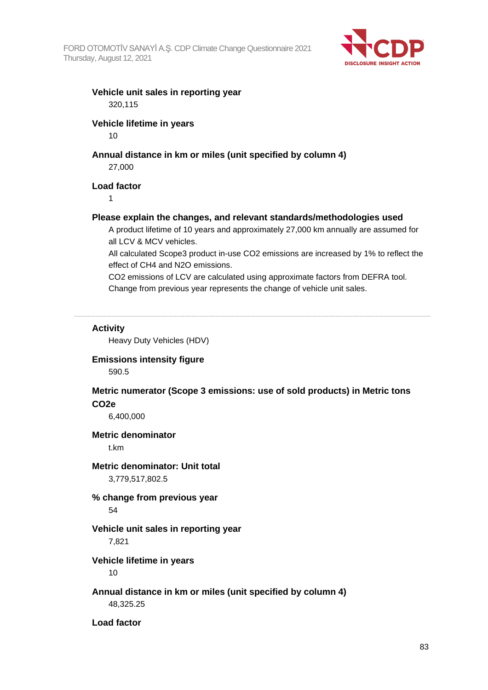

#### **Vehicle unit sales in reporting year** 320,115

#### **Vehicle lifetime in years**

10

### **Annual distance in km or miles (unit specified by column 4)**

27,000

#### **Load factor**

1

#### **Please explain the changes, and relevant standards/methodologies used**

A product lifetime of 10 years and approximately 27,000 km annually are assumed for all LCV & MCV vehicles.

All calculated Scope3 product in-use CO2 emissions are increased by 1% to reflect the effect of CH4 and N2O emissions.

CO2 emissions of LCV are calculated using approximate factors from DEFRA tool. Change from previous year represents the change of vehicle unit sales.

#### **Activity**

Heavy Duty Vehicles (HDV)

#### **Emissions intensity figure**

590.5

#### **Metric numerator (Scope 3 emissions: use of sold products) in Metric tons CO2e**

6,400,000

#### **Metric denominator**

t.km

#### **Metric denominator: Unit total**

3,779,517,802.5

### **% change from previous year**

54

#### **Vehicle unit sales in reporting year**

7,821

#### **Vehicle lifetime in years**

10

#### **Annual distance in km or miles (unit specified by column 4)** 48,325.25

**Load factor**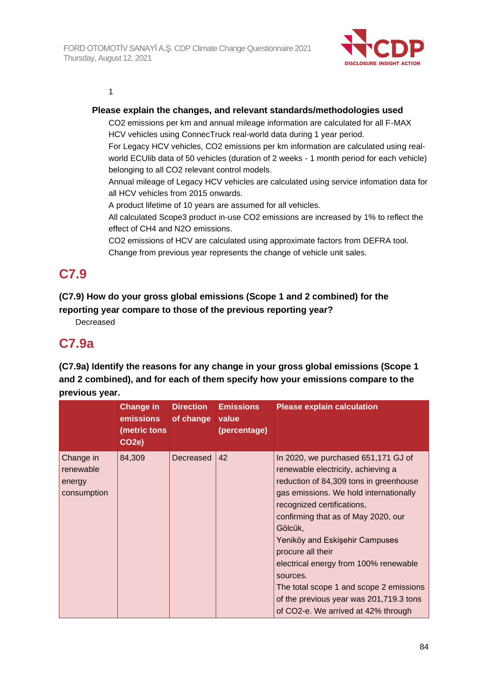

1

#### **Please explain the changes, and relevant standards/methodologies used**

CO2 emissions per km and annual mileage information are calculated for all F-MAX HCV vehicles using ConnecTruck real-world data during 1 year period.

For Legacy HCV vehicles, CO2 emissions per km information are calculated using realworld ECUlib data of 50 vehicles (duration of 2 weeks - 1 month period for each vehicle) belonging to all CO2 relevant control models.

Annual mileage of Legacy HCV vehicles are calculated using service infomation data for all HCV vehicles from 2015 onwards.

A product lifetime of 10 years are assumed for all vehicles.

All calculated Scope3 product in-use CO2 emissions are increased by 1% to reflect the effect of CH4 and N2O emissions.

CO2 emissions of HCV are calculated using approximate factors from DEFRA tool. Change from previous year represents the change of vehicle unit sales.

## **C7.9**

## **(C7.9) How do your gross global emissions (Scope 1 and 2 combined) for the reporting year compare to those of the previous reporting year?**

Decreased

## **C7.9a**

**(C7.9a) Identify the reasons for any change in your gross global emissions (Scope 1 and 2 combined), and for each of them specify how your emissions compare to the previous year.**

|                                                 | <b>Change in</b><br>emissions<br>(metric tons<br>CO <sub>2</sub> e) | <b>Direction</b><br>of change | <b>Emissions</b><br>value<br>(percentage) | <b>Please explain calculation</b>                                                                                                                                                                                                                                                                                                                                                                                                                                                      |
|-------------------------------------------------|---------------------------------------------------------------------|-------------------------------|-------------------------------------------|----------------------------------------------------------------------------------------------------------------------------------------------------------------------------------------------------------------------------------------------------------------------------------------------------------------------------------------------------------------------------------------------------------------------------------------------------------------------------------------|
| Change in<br>renewable<br>energy<br>consumption | 84,309                                                              | Decreased                     | 42                                        | In 2020, we purchased 651,171 GJ of<br>renewable electricity, achieving a<br>reduction of 84,309 tons in greenhouse<br>gas emissions. We hold internationally<br>recognized certifications,<br>confirming that as of May 2020, our<br>Gölcük,<br>Yeniköy and Eskişehir Campuses<br>procure all their<br>electrical energy from 100% renewable<br>sources.<br>The total scope 1 and scope 2 emissions<br>of the previous year was 201,719.3 tons<br>of CO2-e. We arrived at 42% through |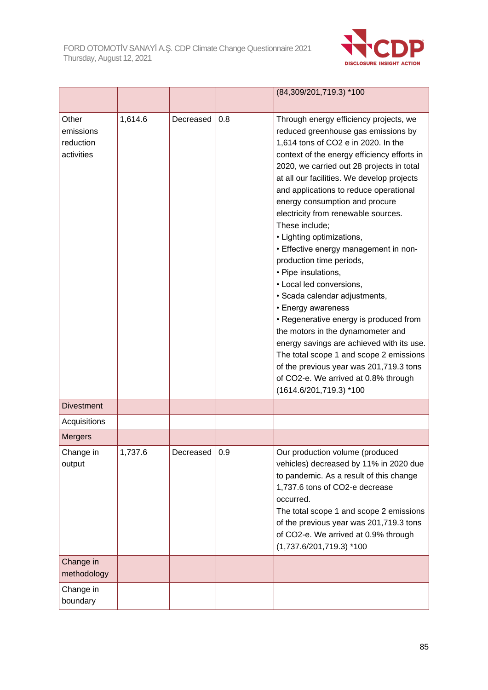

|                                               |         |           |     | (84,309/201,719.3) *100                                                                                                                                                                                                                                                                                                                                                                                                                                                                                                                                                                                                                                                                                                                                                                                                                                                                              |
|-----------------------------------------------|---------|-----------|-----|------------------------------------------------------------------------------------------------------------------------------------------------------------------------------------------------------------------------------------------------------------------------------------------------------------------------------------------------------------------------------------------------------------------------------------------------------------------------------------------------------------------------------------------------------------------------------------------------------------------------------------------------------------------------------------------------------------------------------------------------------------------------------------------------------------------------------------------------------------------------------------------------------|
| Other<br>emissions<br>reduction<br>activities | 1,614.6 | Decreased | 0.8 | Through energy efficiency projects, we<br>reduced greenhouse gas emissions by<br>1,614 tons of CO2 e in 2020. In the<br>context of the energy efficiency efforts in<br>2020, we carried out 28 projects in total<br>at all our facilities. We develop projects<br>and applications to reduce operational<br>energy consumption and procure<br>electricity from renewable sources.<br>These include;<br>• Lighting optimizations,<br>• Effective energy management in non-<br>production time periods,<br>• Pipe insulations,<br>• Local led conversions,<br>· Scada calendar adjustments,<br>• Energy awareness<br>• Regenerative energy is produced from<br>the motors in the dynamometer and<br>energy savings are achieved with its use.<br>The total scope 1 and scope 2 emissions<br>of the previous year was 201,719.3 tons<br>of CO2-e. We arrived at 0.8% through<br>(1614.6/201,719.3) *100 |
| <b>Divestment</b>                             |         |           |     |                                                                                                                                                                                                                                                                                                                                                                                                                                                                                                                                                                                                                                                                                                                                                                                                                                                                                                      |
| Acquisitions                                  |         |           |     |                                                                                                                                                                                                                                                                                                                                                                                                                                                                                                                                                                                                                                                                                                                                                                                                                                                                                                      |
| <b>Mergers</b>                                |         |           |     |                                                                                                                                                                                                                                                                                                                                                                                                                                                                                                                                                                                                                                                                                                                                                                                                                                                                                                      |
| Change in<br>output                           | 1,737.6 | Decreased | 0.9 | Our production volume (produced<br>vehicles) decreased by 11% in 2020 due<br>to pandemic. As a result of this change<br>1,737.6 tons of CO2-e decrease<br>occurred.<br>The total scope 1 and scope 2 emissions<br>of the previous year was 201,719.3 tons<br>of CO2-e. We arrived at 0.9% through<br>$(1,737.6/201,719.3)$ *100                                                                                                                                                                                                                                                                                                                                                                                                                                                                                                                                                                      |
| Change in<br>methodology                      |         |           |     |                                                                                                                                                                                                                                                                                                                                                                                                                                                                                                                                                                                                                                                                                                                                                                                                                                                                                                      |
| Change in<br>boundary                         |         |           |     |                                                                                                                                                                                                                                                                                                                                                                                                                                                                                                                                                                                                                                                                                                                                                                                                                                                                                                      |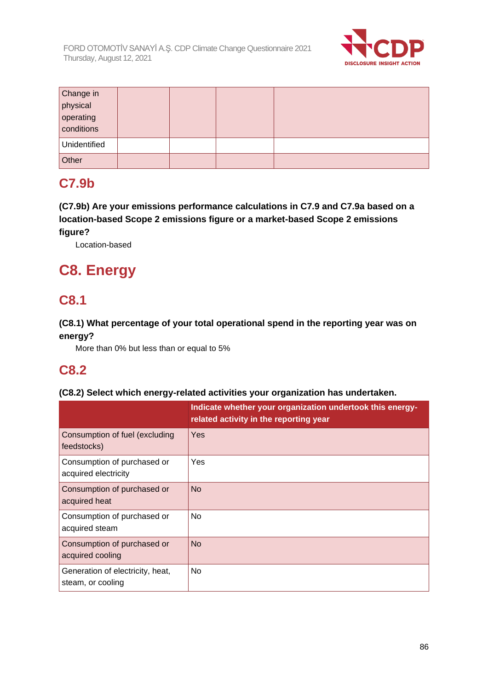

| Change in    |  |  |
|--------------|--|--|
| physical     |  |  |
| operating    |  |  |
| conditions   |  |  |
| Unidentified |  |  |
| Other        |  |  |

## **C7.9b**

**(C7.9b) Are your emissions performance calculations in C7.9 and C7.9a based on a location-based Scope 2 emissions figure or a market-based Scope 2 emissions figure?**

Location-based

# **C8. Energy**

## **C8.1**

## **(C8.1) What percentage of your total operational spend in the reporting year was on energy?**

More than 0% but less than or equal to 5%

## **C8.2**

### **(C8.2) Select which energy-related activities your organization has undertaken.**

|                                                       | Indicate whether your organization undertook this energy-<br>related activity in the reporting year |
|-------------------------------------------------------|-----------------------------------------------------------------------------------------------------|
| Consumption of fuel (excluding<br>feedstocks)         | Yes                                                                                                 |
| Consumption of purchased or<br>acquired electricity   | <b>Yes</b>                                                                                          |
| Consumption of purchased or<br>acquired heat          | <b>No</b>                                                                                           |
| Consumption of purchased or<br>acquired steam         | N <sub>o</sub>                                                                                      |
| Consumption of purchased or<br>acquired cooling       | <b>No</b>                                                                                           |
| Generation of electricity, heat,<br>steam, or cooling | <b>No</b>                                                                                           |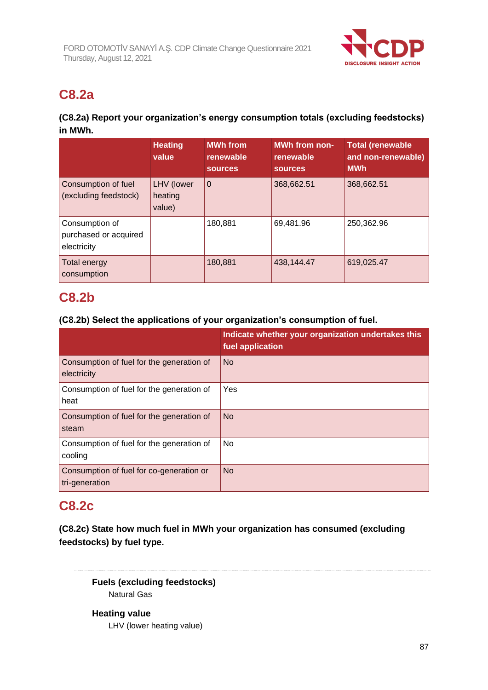

## **C8.2a**

## **(C8.2a) Report your organization's energy consumption totals (excluding feedstocks) in MWh.**

|                                                        | <b>Heating</b><br>value         | <b>MWh from</b><br>renewable<br><b>sources</b> | <b>MWh from non-</b><br>renewable<br><b>sources</b> | <b>Total (renewable</b><br>and non-renewable)<br><b>MWh</b> |
|--------------------------------------------------------|---------------------------------|------------------------------------------------|-----------------------------------------------------|-------------------------------------------------------------|
| Consumption of fuel<br>(excluding feedstock)           | LHV (lower<br>heating<br>value) | $\overline{0}$                                 | 368,662.51                                          | 368,662.51                                                  |
| Consumption of<br>purchased or acquired<br>electricity |                                 | 180,881                                        | 69,481.96                                           | 250,362.96                                                  |
| Total energy<br>consumption                            |                                 | 180,881                                        | 438,144.47                                          | 619.025.47                                                  |

## **C8.2b**

### **(C8.2b) Select the applications of your organization's consumption of fuel.**

|                                                            | Indicate whether your organization undertakes this<br>fuel application |
|------------------------------------------------------------|------------------------------------------------------------------------|
| Consumption of fuel for the generation of<br>electricity   | <b>No</b>                                                              |
| Consumption of fuel for the generation of<br>heat          | Yes                                                                    |
| Consumption of fuel for the generation of<br>steam         | <b>No</b>                                                              |
| Consumption of fuel for the generation of<br>cooling       | No                                                                     |
| Consumption of fuel for co-generation or<br>tri-generation | <b>No</b>                                                              |

## **C8.2c**

**(C8.2c) State how much fuel in MWh your organization has consumed (excluding feedstocks) by fuel type.**

**Fuels (excluding feedstocks)** Natural Gas

**Heating value** LHV (lower heating value)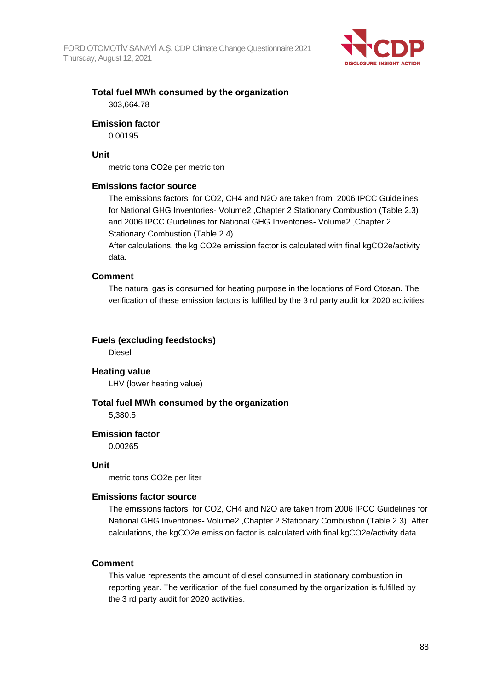

### **Total fuel MWh consumed by the organization** 303,664.78

#### **Emission factor**

0.00195

#### **Unit**

metric tons CO2e per metric ton

#### **Emissions factor source**

The emissions factors for CO2, CH4 and N2O are taken from 2006 IPCC Guidelines for National GHG Inventories- Volume2 ,Chapter 2 Stationary Combustion (Table 2.3) and 2006 IPCC Guidelines for National GHG Inventories- Volume2 ,Chapter 2 Stationary Combustion (Table 2.4).

After calculations, the kg CO2e emission factor is calculated with final kgCO2e/activity data.

#### **Comment**

The natural gas is consumed for heating purpose in the locations of Ford Otosan. The verification of these emission factors is fulfilled by the 3 rd party audit for 2020 activities

**Fuels (excluding feedstocks)**

Diesel

#### **Heating value**

LHV (lower heating value)

#### **Total fuel MWh consumed by the organization**

5,380.5

#### **Emission factor**

0.00265

#### **Unit**

metric tons CO2e per liter

#### **Emissions factor source**

The emissions factors for CO2, CH4 and N2O are taken from 2006 IPCC Guidelines for National GHG Inventories- Volume2 ,Chapter 2 Stationary Combustion (Table 2.3). After calculations, the kgCO2e emission factor is calculated with final kgCO2e/activity data.

#### **Comment**

This value represents the amount of diesel consumed in stationary combustion in reporting year. The verification of the fuel consumed by the organization is fulfilled by the 3 rd party audit for 2020 activities.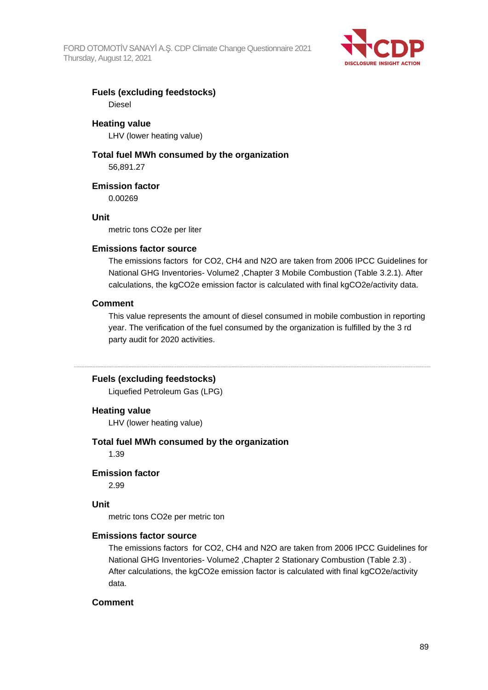

#### **Fuels (excluding feedstocks)** Diesel

**Heating value**

LHV (lower heating value)

## **Total fuel MWh consumed by the organization**

56,891.27

#### **Emission factor**

0.00269

#### **Unit**

metric tons CO2e per liter

#### **Emissions factor source**

The emissions factors for CO2, CH4 and N2O are taken from 2006 IPCC Guidelines for National GHG Inventories- Volume2 ,Chapter 3 Mobile Combustion (Table 3.2.1). After calculations, the kgCO2e emission factor is calculated with final kgCO2e/activity data.

#### **Comment**

This value represents the amount of diesel consumed in mobile combustion in reporting year. The verification of the fuel consumed by the organization is fulfilled by the 3 rd party audit for 2020 activities.

#### **Fuels (excluding feedstocks)**

Liquefied Petroleum Gas (LPG)

#### **Heating value**

LHV (lower heating value)

#### **Total fuel MWh consumed by the organization**

1.39

#### **Emission factor**

2.99

#### **Unit**

metric tons CO2e per metric ton

#### **Emissions factor source**

The emissions factors for CO2, CH4 and N2O are taken from 2006 IPCC Guidelines for National GHG Inventories- Volume2 ,Chapter 2 Stationary Combustion (Table 2.3) . After calculations, the kgCO2e emission factor is calculated with final kgCO2e/activity data.

#### **Comment**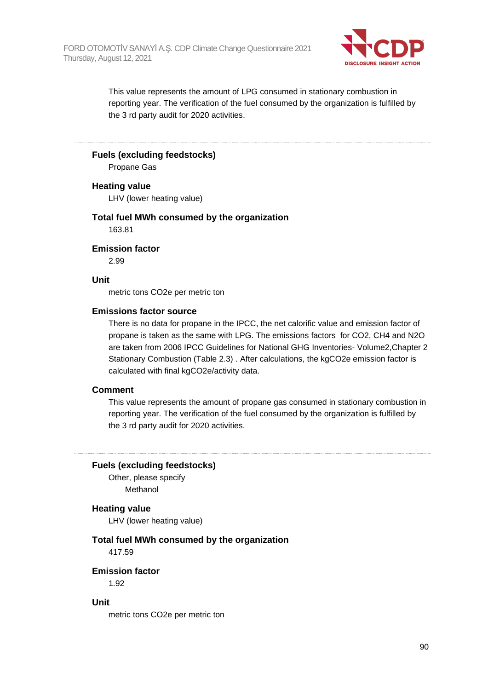

This value represents the amount of LPG consumed in stationary combustion in reporting year. The verification of the fuel consumed by the organization is fulfilled by the 3 rd party audit for 2020 activities.

#### **Fuels (excluding feedstocks)**

Propane Gas

#### **Heating value**

LHV (lower heating value)

#### **Total fuel MWh consumed by the organization**

163.81

#### **Emission factor**

2.99

#### **Unit**

metric tons CO2e per metric ton

#### **Emissions factor source**

There is no data for propane in the IPCC, the net calorific value and emission factor of propane is taken as the same with LPG. The emissions factors for CO2, CH4 and N2O are taken from 2006 IPCC Guidelines for National GHG Inventories- Volume2,Chapter 2 Stationary Combustion (Table 2.3) . After calculations, the kgCO2e emission factor is calculated with final kgCO2e/activity data.

#### **Comment**

This value represents the amount of propane gas consumed in stationary combustion in reporting year. The verification of the fuel consumed by the organization is fulfilled by the 3 rd party audit for 2020 activities.

#### **Fuels (excluding feedstocks)**

Other, please specify Methanol

#### **Heating value**

LHV (lower heating value)

### **Total fuel MWh consumed by the organization**

417.59

#### **Emission factor**

1.92

#### **Unit**

metric tons CO2e per metric ton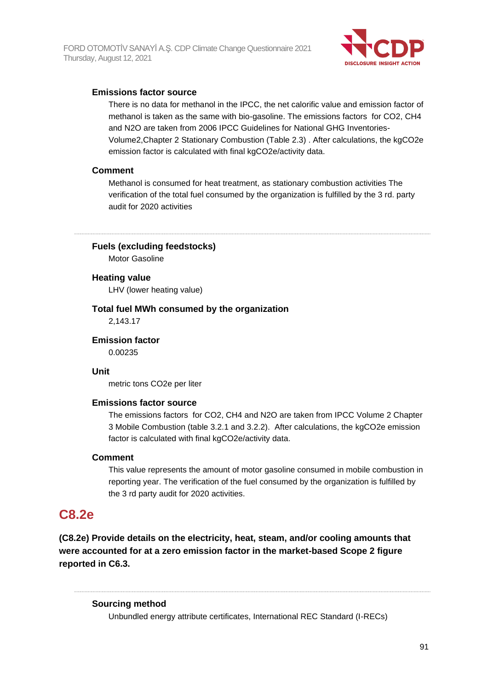

#### **Emissions factor source**

There is no data for methanol in the IPCC, the net calorific value and emission factor of methanol is taken as the same with bio-gasoline. The emissions factors for CO2, CH4 and N2O are taken from 2006 IPCC Guidelines for National GHG Inventories-Volume2,Chapter 2 Stationary Combustion (Table 2.3) . After calculations, the kgCO2e emission factor is calculated with final kgCO2e/activity data.

#### **Comment**

Methanol is consumed for heat treatment, as stationary combustion activities The verification of the total fuel consumed by the organization is fulfilled by the 3 rd. party audit for 2020 activities

**Fuels (excluding feedstocks)**

Motor Gasoline

#### **Heating value**

LHV (lower heating value)

## **Total fuel MWh consumed by the organization**

2,143.17

**Emission factor**

0.00235

### **Unit**

metric tons CO2e per liter

#### **Emissions factor source**

The emissions factors for CO2, CH4 and N2O are taken from IPCC Volume 2 Chapter 3 Mobile Combustion (table 3.2.1 and 3.2.2). After calculations, the kgCO2e emission factor is calculated with final kgCO2e/activity data.

#### **Comment**

This value represents the amount of motor gasoline consumed in mobile combustion in reporting year. The verification of the fuel consumed by the organization is fulfilled by the 3 rd party audit for 2020 activities.

## **C8.2e**

**(C8.2e) Provide details on the electricity, heat, steam, and/or cooling amounts that were accounted for at a zero emission factor in the market-based Scope 2 figure reported in C6.3.**

#### **Sourcing method**

Unbundled energy attribute certificates, International REC Standard (I-RECs)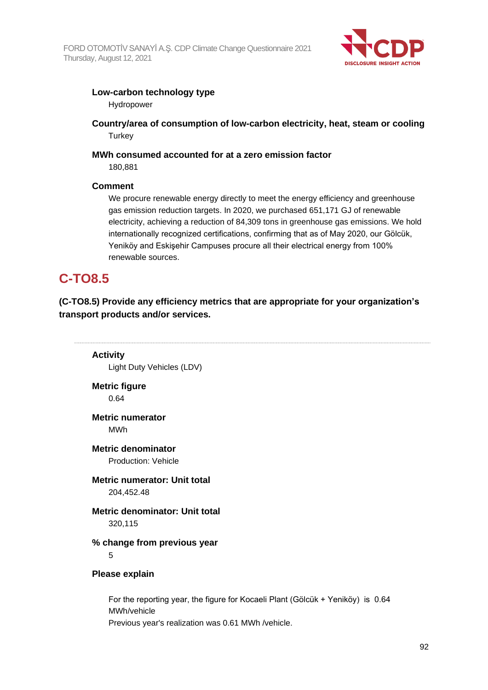

#### **Low-carbon technology type**

Hydropower

**Country/area of consumption of low-carbon electricity, heat, steam or cooling Turkey** 

## **MWh consumed accounted for at a zero emission factor**

180,881

### **Comment**

We procure renewable energy directly to meet the energy efficiency and greenhouse gas emission reduction targets. In 2020, we purchased 651,171 GJ of renewable electricity, achieving a reduction of 84,309 tons in greenhouse gas emissions. We hold internationally recognized certifications, confirming that as of May 2020, our Gölcük, Yeniköy and Eskişehir Campuses procure all their electrical energy from 100% renewable sources.

## **C-TO8.5**

**(C-TO8.5) Provide any efficiency metrics that are appropriate for your organization's transport products and/or services.**

**Activity** Light Duty Vehicles (LDV)

**Metric figure** 0.64

**Metric numerator** MWh

**Metric denominator** Production: Vehicle

**Metric numerator: Unit total** 204,452.48

**Metric denominator: Unit total** 320,115

## **% change from previous year**

5

#### **Please explain**

For the reporting year, the figure for Kocaeli Plant (Gölcük + Yeniköy) is 0.64 MWh/vehicle Previous year's realization was 0.61 MWh /vehicle.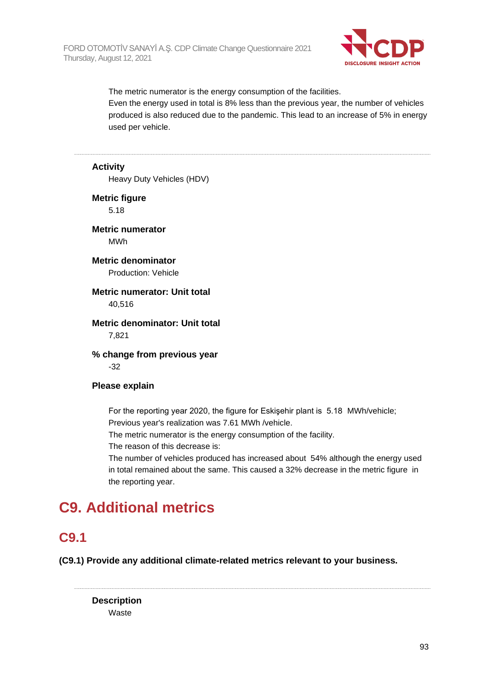

The metric numerator is the energy consumption of the facilities. Even the energy used in total is 8% less than the previous year, the number of vehicles produced is also reduced due to the pandemic. This lead to an increase of 5% in energy used per vehicle.

#### **Activity**

Heavy Duty Vehicles (HDV)

**Metric figure** 5.18

**Metric numerator** MWh

**Metric denominator** Production: Vehicle

#### **Metric numerator: Unit total** 40,516

#### **Metric denominator: Unit total** 7,821

**% change from previous year** -32

#### **Please explain**

For the reporting year 2020, the figure for Eskişehir plant is 5.18 MWh/vehicle; Previous year's realization was 7.61 MWh /vehicle.

The metric numerator is the energy consumption of the facility.

The reason of this decrease is:

The number of vehicles produced has increased about 54% although the energy used in total remained about the same. This caused a 32% decrease in the metric figure in the reporting year.

# **C9. Additional metrics**

## **C9.1**

**(C9.1) Provide any additional climate-related metrics relevant to your business.**

**Description Waste**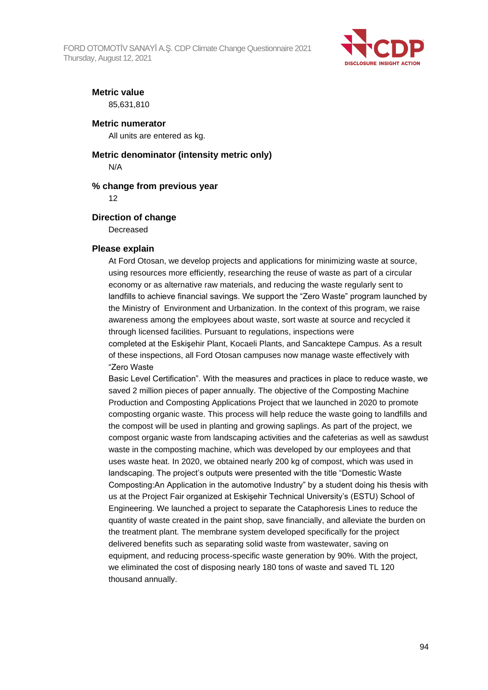

#### **Metric value**

85,631,810

#### **Metric numerator**

All units are entered as kg.

#### **Metric denominator (intensity metric only)**

N/A

#### **% change from previous year**

12

#### **Direction of change**

Decreased

#### **Please explain**

At Ford Otosan, we develop projects and applications for minimizing waste at source, using resources more efficiently, researching the reuse of waste as part of a circular economy or as alternative raw materials, and reducing the waste regularly sent to landfills to achieve financial savings. We support the "Zero Waste" program launched by the Ministry of Environment and Urbanization. In the context of this program, we raise awareness among the employees about waste, sort waste at source and recycled it through licensed facilities. Pursuant to regulations, inspections were completed at the Eskişehir Plant, Kocaeli Plants, and Sancaktepe Campus. As a result of these inspections, all Ford Otosan campuses now manage waste effectively with "Zero Waste

Basic Level Certification". With the measures and practices in place to reduce waste, we saved 2 million pieces of paper annually. The objective of the Composting Machine Production and Composting Applications Project that we launched in 2020 to promote composting organic waste. This process will help reduce the waste going to landfills and the compost will be used in planting and growing saplings. As part of the project, we compost organic waste from landscaping activities and the cafeterias as well as sawdust waste in the composting machine, which was developed by our employees and that uses waste heat. In 2020, we obtained nearly 200 kg of compost, which was used in landscaping. The project's outputs were presented with the title "Domestic Waste Composting:An Application in the automotive Industry" by a student doing his thesis with us at the Project Fair organized at Eskişehir Technical University's (ESTU) School of Engineering. We launched a project to separate the Cataphoresis Lines to reduce the quantity of waste created in the paint shop, save financially, and alleviate the burden on the treatment plant. The membrane system developed specifically for the project delivered benefits such as separating solid waste from wastewater, saving on equipment, and reducing process-specific waste generation by 90%. With the project, we eliminated the cost of disposing nearly 180 tons of waste and saved TL 120 thousand annually.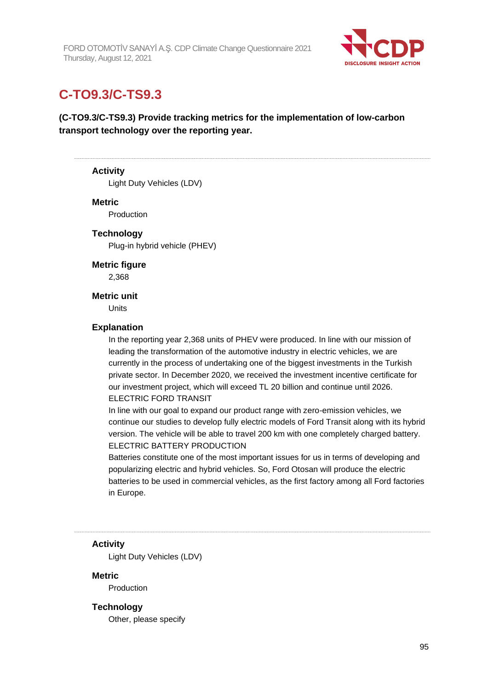

## **C-TO9.3/C-TS9.3**

**(C-TO9.3/C-TS9.3) Provide tracking metrics for the implementation of low-carbon transport technology over the reporting year.**

#### **Activity**

Light Duty Vehicles (LDV)

#### **Metric**

Production

#### **Technology**

Plug-in hybrid vehicle (PHEV)

**Metric figure**

2,368

#### **Metric unit**

Units

#### **Explanation**

In the reporting year 2,368 units of PHEV were produced. In line with our mission of leading the transformation of the automotive industry in electric vehicles, we are currently in the process of undertaking one of the biggest investments in the Turkish private sector. In December 2020, we received the investment incentive certificate for our investment project, which will exceed TL 20 billion and continue until 2026. ELECTRIC FORD TRANSIT

In line with our goal to expand our product range with zero-emission vehicles, we continue our studies to develop fully electric models of Ford Transit along with its hybrid version. The vehicle will be able to travel 200 km with one completely charged battery. ELECTRIC BATTERY PRODUCTION

Batteries constitute one of the most important issues for us in terms of developing and popularizing electric and hybrid vehicles. So, Ford Otosan will produce the electric batteries to be used in commercial vehicles, as the first factory among all Ford factories in Europe.

#### **Activity**

Light Duty Vehicles (LDV)

**Metric**

Production

#### **Technology**

Other, please specify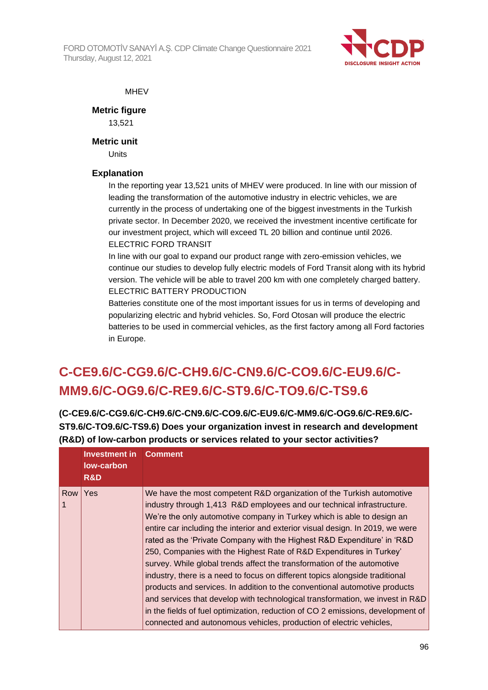

#### **MHEV**

**Metric figure**

13,521

**Metric unit**

Units

### **Explanation**

In the reporting year 13,521 units of MHEV were produced. In line with our mission of leading the transformation of the automotive industry in electric vehicles, we are currently in the process of undertaking one of the biggest investments in the Turkish private sector. In December 2020, we received the investment incentive certificate for our investment project, which will exceed TL 20 billion and continue until 2026. ELECTRIC FORD TRANSIT

In line with our goal to expand our product range with zero-emission vehicles, we continue our studies to develop fully electric models of Ford Transit along with its hybrid version. The vehicle will be able to travel 200 km with one completely charged battery. ELECTRIC BATTERY PRODUCTION

Batteries constitute one of the most important issues for us in terms of developing and popularizing electric and hybrid vehicles. So, Ford Otosan will produce the electric batteries to be used in commercial vehicles, as the first factory among all Ford factories in Europe.

# **C-CE9.6/C-CG9.6/C-CH9.6/C-CN9.6/C-CO9.6/C-EU9.6/C-MM9.6/C-OG9.6/C-RE9.6/C-ST9.6/C-TO9.6/C-TS9.6**

**(C-CE9.6/C-CG9.6/C-CH9.6/C-CN9.6/C-CO9.6/C-EU9.6/C-MM9.6/C-OG9.6/C-RE9.6/C-ST9.6/C-TO9.6/C-TS9.6) Does your organization invest in research and development (R&D) of low-carbon products or services related to your sector activities?**

|                 | <b>Investment in</b><br>low-carbon<br>R&D | <b>Comment</b>                                                                                                                                                                                                                                                                                                                                                                                                                                                                                                                                                                                                                                                                                                                                                                                                                                                                                                                                    |
|-----------------|-------------------------------------------|---------------------------------------------------------------------------------------------------------------------------------------------------------------------------------------------------------------------------------------------------------------------------------------------------------------------------------------------------------------------------------------------------------------------------------------------------------------------------------------------------------------------------------------------------------------------------------------------------------------------------------------------------------------------------------------------------------------------------------------------------------------------------------------------------------------------------------------------------------------------------------------------------------------------------------------------------|
| <b>Row</b><br>1 | Yes                                       | We have the most competent R&D organization of the Turkish automotive<br>industry through 1,413 R&D employees and our technical infrastructure.<br>We're the only automotive company in Turkey which is able to design an<br>entire car including the interior and exterior visual design. In 2019, we were<br>rated as the 'Private Company with the Highest R&D Expenditure' in 'R&D<br>250, Companies with the Highest Rate of R&D Expenditures in Turkey'<br>survey. While global trends affect the transformation of the automotive<br>industry, there is a need to focus on different topics alongside traditional<br>products and services. In addition to the conventional automotive products<br>and services that develop with technological transformation, we invest in R&D<br>in the fields of fuel optimization, reduction of CO 2 emissions, development of<br>connected and autonomous vehicles, production of electric vehicles, |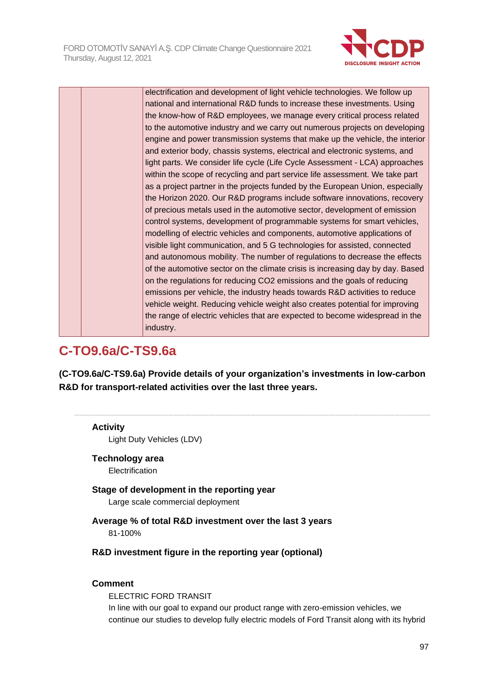

electrification and development of light vehicle technologies. We follow up national and international R&D funds to increase these investments. Using the know-how of R&D employees, we manage every critical process related to the automotive industry and we carry out numerous projects on developing engine and power transmission systems that make up the vehicle, the interior and exterior body, chassis systems, electrical and electronic systems, and light parts. We consider life cycle (Life Cycle Assessment - LCA) approaches within the scope of recycling and part service life assessment. We take part as a project partner in the projects funded by the European Union, especially the Horizon 2020. Our R&D programs include software innovations, recovery of precious metals used in the automotive sector, development of emission control systems, development of programmable systems for smart vehicles, modelling of electric vehicles and components, automotive applications of visible light communication, and 5 G technologies for assisted, connected and autonomous mobility. The number of regulations to decrease the effects of the automotive sector on the climate crisis is increasing day by day. Based on the regulations for reducing CO2 emissions and the goals of reducing emissions per vehicle, the industry heads towards R&D activities to reduce vehicle weight. Reducing vehicle weight also creates potential for improving the range of electric vehicles that are expected to become widespread in the industry.

## **C-TO9.6a/C-TS9.6a**

**(C-TO9.6a/C-TS9.6a) Provide details of your organization's investments in low-carbon R&D for transport-related activities over the last three years.**

#### **Activity**

Light Duty Vehicles (LDV)

#### **Technology area**

Electrification

## **Stage of development in the reporting year**

Large scale commercial deployment

**Average % of total R&D investment over the last 3 years** 81-100%

#### **R&D investment figure in the reporting year (optional)**

#### **Comment**

ELECTRIC FORD TRANSIT In line with our goal to expand our product range with zero-emission vehicles, we continue our studies to develop fully electric models of Ford Transit along with its hybrid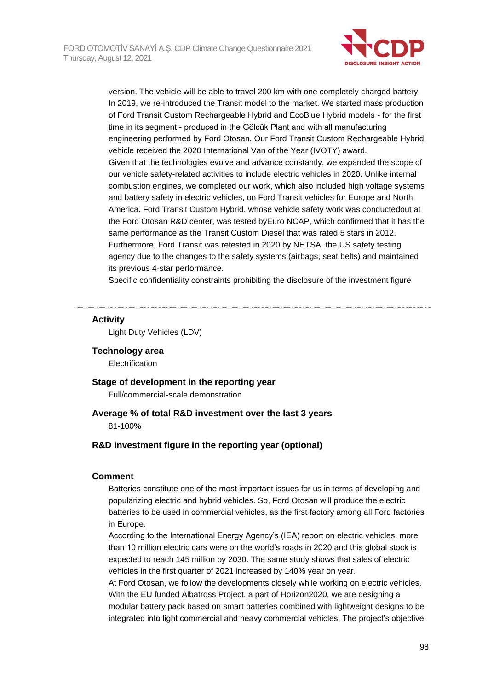

version. The vehicle will be able to travel 200 km with one completely charged battery. In 2019, we re-introduced the Transit model to the market. We started mass production of Ford Transit Custom Rechargeable Hybrid and EcoBlue Hybrid models - for the first time in its segment - produced in the Gölcük Plant and with all manufacturing engineering performed by Ford Otosan. Our Ford Transit Custom Rechargeable Hybrid vehicle received the 2020 International Van of the Year (IVOTY) award. Given that the technologies evolve and advance constantly, we expanded the scope of our vehicle safety-related activities to include electric vehicles in 2020. Unlike internal combustion engines, we completed our work, which also included high voltage systems and battery safety in electric vehicles, on Ford Transit vehicles for Europe and North America. Ford Transit Custom Hybrid, whose vehicle safety work was conductedout at the Ford Otosan R&D center, was tested byEuro NCAP, which confirmed that it has the same performance as the Transit Custom Diesel that was rated 5 stars in 2012. Furthermore, Ford Transit was retested in 2020 by NHTSA, the US safety testing agency due to the changes to the safety systems (airbags, seat belts) and maintained its previous 4-star performance.

Specific confidentiality constraints prohibiting the disclosure of the investment figure

#### **Activity**

Light Duty Vehicles (LDV)

#### **Technology area**

**Electrification** 

#### **Stage of development in the reporting year**

Full/commercial-scale demonstration

#### **Average % of total R&D investment over the last 3 years** 81-100%

#### **R&D investment figure in the reporting year (optional)**

#### **Comment**

Batteries constitute one of the most important issues for us in terms of developing and popularizing electric and hybrid vehicles. So, Ford Otosan will produce the electric batteries to be used in commercial vehicles, as the first factory among all Ford factories in Europe.

According to the International Energy Agency's (IEA) report on electric vehicles, more than 10 million electric cars were on the world's roads in 2020 and this global stock is expected to reach 145 million by 2030. The same study shows that sales of electric vehicles in the first quarter of 2021 increased by 140% year on year.

At Ford Otosan, we follow the developments closely while working on electric vehicles. With the EU funded Albatross Project, a part of Horizon2020, we are designing a modular battery pack based on smart batteries combined with lightweight designs to be integrated into light commercial and heavy commercial vehicles. The project's objective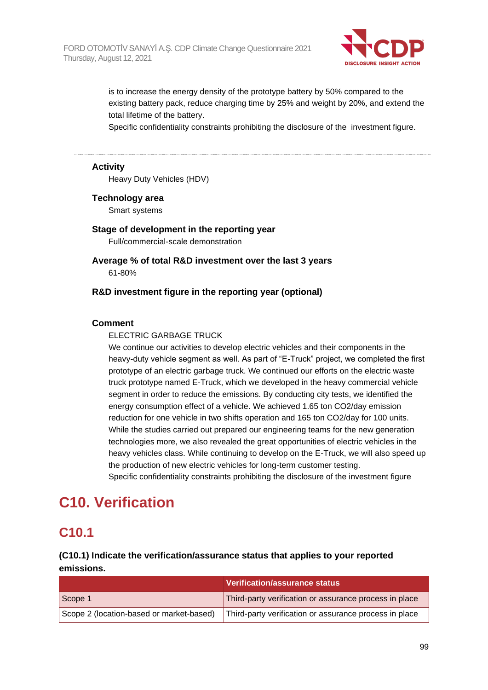

is to increase the energy density of the prototype battery by 50% compared to the existing battery pack, reduce charging time by 25% and weight by 20%, and extend the total lifetime of the battery.

Specific confidentiality constraints prohibiting the disclosure of the investment figure.

#### **Activity**

Heavy Duty Vehicles (HDV)

#### **Technology area**

Smart systems

**Stage of development in the reporting year** Full/commercial-scale demonstration

**Average % of total R&D investment over the last 3 years** 61-80%

#### **R&D investment figure in the reporting year (optional)**

#### **Comment**

#### ELECTRIC GARBAGE TRUCK

We continue our activities to develop electric vehicles and their components in the heavy-duty vehicle segment as well. As part of "E-Truck" project, we completed the first prototype of an electric garbage truck. We continued our efforts on the electric waste truck prototype named E-Truck, which we developed in the heavy commercial vehicle segment in order to reduce the emissions. By conducting city tests, we identified the energy consumption effect of a vehicle. We achieved 1.65 ton CO2/day emission reduction for one vehicle in two shifts operation and 165 ton CO2/day for 100 units. While the studies carried out prepared our engineering teams for the new generation technologies more, we also revealed the great opportunities of electric vehicles in the heavy vehicles class. While continuing to develop on the E-Truck, we will also speed up the production of new electric vehicles for long-term customer testing. Specific confidentiality constraints prohibiting the disclosure of the investment figure

# **C10. Verification**

## **C10.1**

### **(C10.1) Indicate the verification/assurance status that applies to your reported emissions.**

|                                          | Verification/assurance status                          |
|------------------------------------------|--------------------------------------------------------|
| Scope 1                                  | Third-party verification or assurance process in place |
| Scope 2 (location-based or market-based) | Third-party verification or assurance process in place |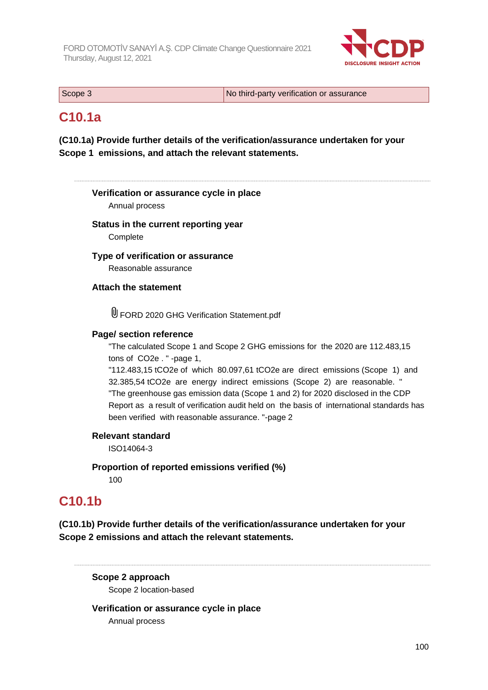

| Scope 3 | No third-party verification or assurance |
|---------|------------------------------------------|
|         |                                          |

## **C10.1a**

**(C10.1a) Provide further details of the verification/assurance undertaken for your Scope 1 emissions, and attach the relevant statements.**

**Verification or assurance cycle in place** Annual process **Status in the current reporting year Complete Type of verification or assurance** Reasonable assurance **Attach the statement** FORD 2020 GHG Verification Statement.pdf **Page/ section reference** "The calculated Scope 1 and Scope 2 GHG emissions for the 2020 are 112.483,15 tons of CO2e . " -page 1, "112.483,15 tCO2e of which 80.097,61 tCO2e are direct emissions (Scope 1) and 32.385,54 tCO2e are energy indirect emissions (Scope 2) are reasonable. " "The greenhouse gas emission data (Scope 1 and 2) for 2020 disclosed in the CDP Report as a result of verification audit held on the basis of international standards has been verified with reasonable assurance. "-page 2 **Relevant standard** ISO14064-3 **Proportion of reported emissions verified (%)** 100

## **C10.1b**

**(C10.1b) Provide further details of the verification/assurance undertaken for your Scope 2 emissions and attach the relevant statements.**

#### **Scope 2 approach**

Scope 2 location-based

**Verification or assurance cycle in place** Annual process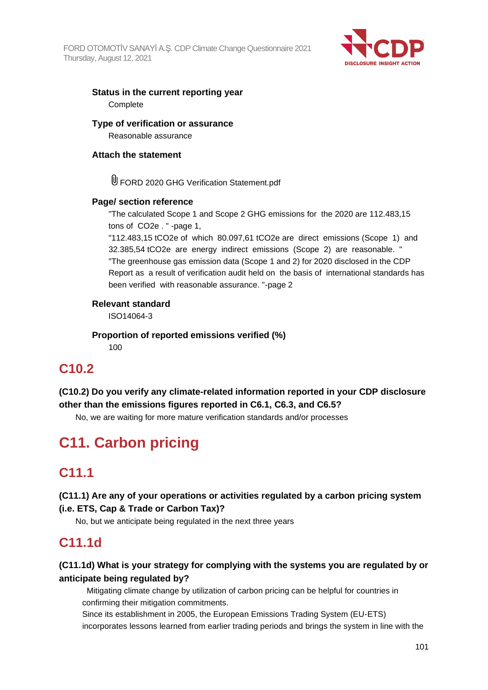

### **Status in the current reporting year Complete**

**Type of verification or assurance**

Reasonable assurance

### **Attach the statement**

U FORD 2020 GHG Verification Statement.pdf

### **Page/ section reference**

"The calculated Scope 1 and Scope 2 GHG emissions for the 2020 are 112.483,15 tons of CO2e . " -page 1,

"112.483,15 tCO2e of which 80.097,61 tCO2e are direct emissions (Scope 1) and 32.385,54 tCO2e are energy indirect emissions (Scope 2) are reasonable. " "The greenhouse gas emission data (Scope 1 and 2) for 2020 disclosed in the CDP Report as a result of verification audit held on the basis of international standards has been verified with reasonable assurance. "-page 2

### **Relevant standard**

ISO14064-3

**Proportion of reported emissions verified (%)**

100

## **C10.2**

**(C10.2) Do you verify any climate-related information reported in your CDP disclosure other than the emissions figures reported in C6.1, C6.3, and C6.5?**

No, we are waiting for more mature verification standards and/or processes

# **C11. Carbon pricing**

## **C11.1**

**(C11.1) Are any of your operations or activities regulated by a carbon pricing system (i.e. ETS, Cap & Trade or Carbon Tax)?**

No, but we anticipate being regulated in the next three years

## **C11.1d**

## **(C11.1d) What is your strategy for complying with the systems you are regulated by or anticipate being regulated by?**

 Mitigating climate change by utilization of carbon pricing can be helpful for countries in confirming their mitigation commitments.

Since its establishment in 2005, the European Emissions Trading System (EU-ETS) incorporates lessons learned from earlier trading periods and brings the system in line with the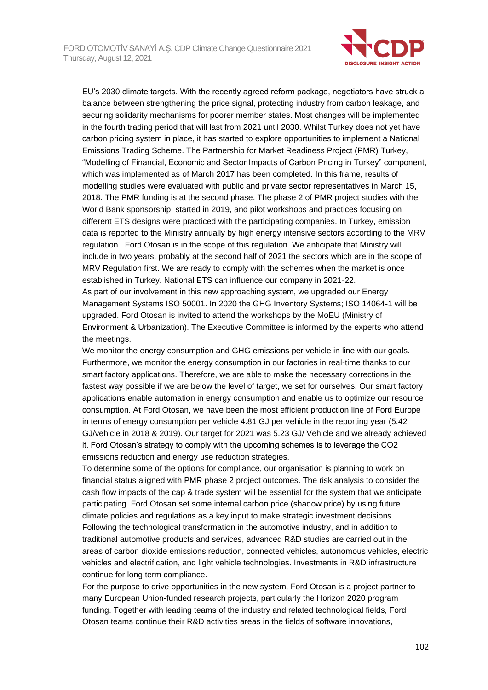

EU's 2030 climate targets. With the recently agreed reform package, negotiators have struck a balance between strengthening the price signal, protecting industry from carbon leakage, and securing solidarity mechanisms for poorer member states. Most changes will be implemented in the fourth trading period that will last from 2021 until 2030. Whilst Turkey does not yet have carbon pricing system in place, it has started to explore opportunities to implement a National Emissions Trading Scheme. The Partnership for Market Readiness Project (PMR) Turkey, "Modelling of Financial, Economic and Sector Impacts of Carbon Pricing in Turkey" component, which was implemented as of March 2017 has been completed. In this frame, results of modelling studies were evaluated with public and private sector representatives in March 15, 2018. The PMR funding is at the second phase. The phase 2 of PMR project studies with the World Bank sponsorship, started in 2019, and pilot workshops and practices focusing on different ETS designs were practiced with the participating companies. In Turkey, emission data is reported to the Ministry annually by high energy intensive sectors according to the MRV regulation. Ford Otosan is in the scope of this regulation. We anticipate that Ministry will include in two years, probably at the second half of 2021 the sectors which are in the scope of MRV Regulation first. We are ready to comply with the schemes when the market is once established in Turkey. National ETS can influence our company in 2021-22. As part of our involvement in this new approaching system, we upgraded our Energy Management Systems ISO 50001. In 2020 the GHG Inventory Systems; ISO 14064-1 will be upgraded. Ford Otosan is invited to attend the workshops by the MoEU (Ministry of Environment & Urbanization). The Executive Committee is informed by the experts who attend

the meetings.

We monitor the energy consumption and GHG emissions per vehicle in line with our goals. Furthermore, we monitor the energy consumption in our factories in real-time thanks to our smart factory applications. Therefore, we are able to make the necessary corrections in the fastest way possible if we are below the level of target, we set for ourselves. Our smart factory applications enable automation in energy consumption and enable us to optimize our resource consumption. At Ford Otosan, we have been the most efficient production line of Ford Europe in terms of energy consumption per vehicle 4.81 GJ per vehicle in the reporting year (5.42 GJ/vehicle in 2018 & 2019). Our target for 2021 was 5.23 GJ/ Vehicle and we already achieved it. Ford Otosan's strategy to comply with the upcoming schemes is to leverage the CO2 emissions reduction and energy use reduction strategies.

To determine some of the options for compliance, our organisation is planning to work on financial status aligned with PMR phase 2 project outcomes. The risk analysis to consider the cash flow impacts of the cap & trade system will be essential for the system that we anticipate participating. Ford Otosan set some internal carbon price (shadow price) by using future climate policies and regulations as a key input to make strategic investment decisions . Following the technological transformation in the automotive industry, and in addition to traditional automotive products and services, advanced R&D studies are carried out in the areas of carbon dioxide emissions reduction, connected vehicles, autonomous vehicles, electric vehicles and electrification, and light vehicle technologies. Investments in R&D infrastructure continue for long term compliance.

For the purpose to drive opportunities in the new system, Ford Otosan is a project partner to many European Union-funded research projects, particularly the Horizon 2020 program funding. Together with leading teams of the industry and related technological fields, Ford Otosan teams continue their R&D activities areas in the fields of software innovations,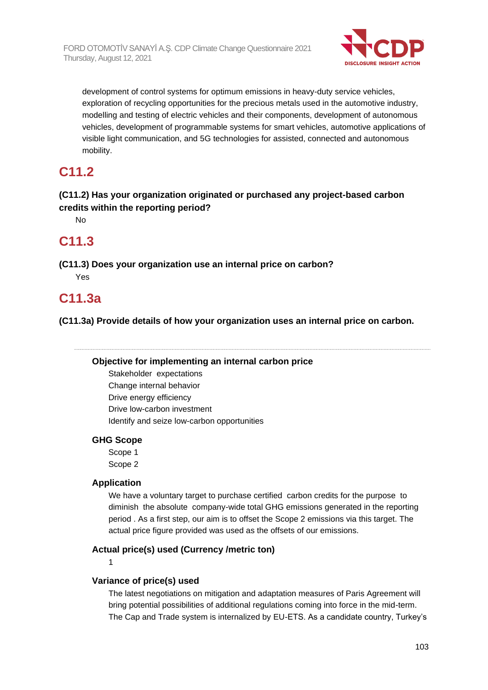

development of control systems for optimum emissions in heavy-duty service vehicles, exploration of recycling opportunities for the precious metals used in the automotive industry, modelling and testing of electric vehicles and their components, development of autonomous vehicles, development of programmable systems for smart vehicles, automotive applications of visible light communication, and 5G technologies for assisted, connected and autonomous mobility.

## **C11.2**

### **(C11.2) Has your organization originated or purchased any project-based carbon credits within the reporting period?**

No

## **C11.3**

**(C11.3) Does your organization use an internal price on carbon?** Yes

## **C11.3a**

**(C11.3a) Provide details of how your organization uses an internal price on carbon.**

#### **Objective for implementing an internal carbon price**

Stakeholder expectations Change internal behavior Drive energy efficiency Drive low-carbon investment Identify and seize low-carbon opportunities

#### **GHG Scope**

Scope 1 Scope 2

#### **Application**

We have a voluntary target to purchase certified carbon credits for the purpose to diminish the absolute company-wide total GHG emissions generated in the reporting period . As a first step, our aim is to offset the Scope 2 emissions via this target. The actual price figure provided was used as the offsets of our emissions.

#### **Actual price(s) used (Currency /metric ton)**

1

### **Variance of price(s) used**

The latest negotiations on mitigation and adaptation measures of Paris Agreement will bring potential possibilities of additional regulations coming into force in the mid-term. The Cap and Trade system is internalized by EU-ETS. As a candidate country, Turkey's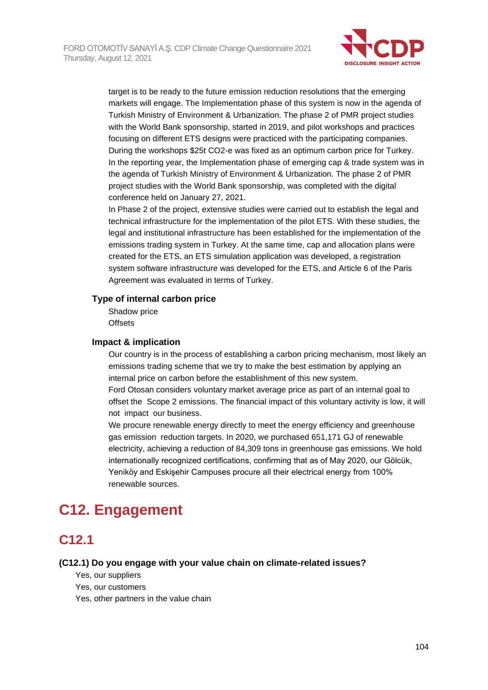

target is to be ready to the future emission reduction resolutions that the emerging markets will engage. The Implementation phase of this system is now in the agenda of Turkish Ministry of Environment & Urbanization. The phase 2 of PMR project studies with the World Bank sponsorship, started in 2019, and pilot workshops and practices focusing on different ETS designs were practiced with the participating companies. During the workshops \$25t CO2-e was fixed as an optimum carbon price for Turkey. In the reporting year, the Implementation phase of emerging cap & trade system was in the agenda of Turkish Ministry of Environment & Urbanization. The phase 2 of PMR project studies with the World Bank sponsorship, was completed with the digital conference held on January 27, 2021.

In Phase 2 of the project, extensive studies were carried out to establish the legal and technical infrastructure for the implementation of the pilot ETS. With these studies, the legal and institutional infrastructure has been established for the implementation of the emissions trading system in Turkey. At the same time, cap and allocation plans were created for the ETS, an ETS simulation application was developed, a registration system software infrastructure was developed for the ETS, and Article 6 of the Paris Agreement was evaluated in terms of Turkey.

#### **Type of internal carbon price**

Shadow price **Offsets** 

#### **Impact & implication**

Our country is in the process of establishing a carbon pricing mechanism, most likely an emissions trading scheme that we try to make the best estimation by applying an internal price on carbon before the establishment of this new system. Ford Otosan considers voluntary market average price as part of an internal goal to offset the Scope 2 emissions. The financial impact of this voluntary activity is low, it will not impact our business.

We procure renewable energy directly to meet the energy efficiency and greenhouse gas emission reduction targets. In 2020, we purchased 651,171 GJ of renewable electricity, achieving a reduction of 84,309 tons in greenhouse gas emissions. We hold internationally recognized certifications, confirming that as of May 2020, our Gölcük, Yeniköy and Eskisehir Campuses procure all their electrical energy from 100% renewable sources.

# **C12. Engagement**

## **C12.1**

#### **(C12.1) Do you engage with your value chain on climate-related issues?**

- Yes, our suppliers
- Yes, our customers
- Yes, other partners in the value chain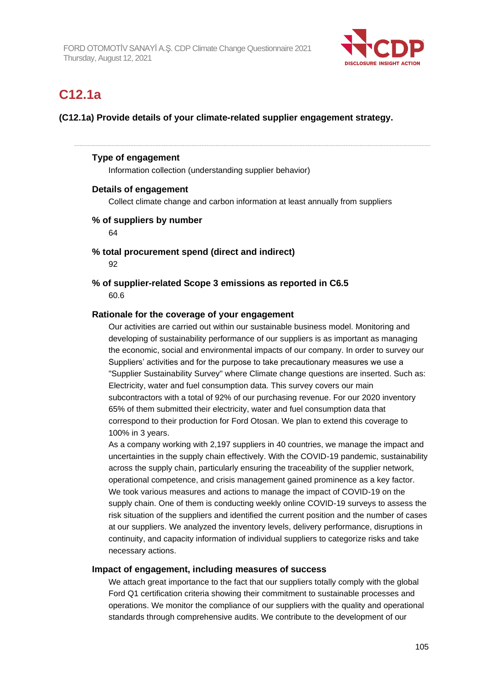

## **C12.1a**

### **(C12.1a) Provide details of your climate-related supplier engagement strategy.**

#### **Type of engagement**

Information collection (understanding supplier behavior)

#### **Details of engagement**

Collect climate change and carbon information at least annually from suppliers

#### **% of suppliers by number**

64

#### **% total procurement spend (direct and indirect)**

92

#### **% of supplier-related Scope 3 emissions as reported in C6.5** 60.6

#### **Rationale for the coverage of your engagement**

Our activities are carried out within our sustainable business model. Monitoring and developing of sustainability performance of our suppliers is as important as managing the economic, social and environmental impacts of our company. In order to survey our Suppliers' activities and for the purpose to take precautionary measures we use a "Supplier Sustainability Survey" where Climate change questions are inserted. Such as: Electricity, water and fuel consumption data. This survey covers our main subcontractors with a total of 92% of our purchasing revenue. For our 2020 inventory 65% of them submitted their electricity, water and fuel consumption data that correspond to their production for Ford Otosan. We plan to extend this coverage to 100% in 3 years.

As a company working with 2,197 suppliers in 40 countries, we manage the impact and uncertainties in the supply chain effectively. With the COVID-19 pandemic, sustainability across the supply chain, particularly ensuring the traceability of the supplier network, operational competence, and crisis management gained prominence as a key factor. We took various measures and actions to manage the impact of COVID-19 on the supply chain. One of them is conducting weekly online COVID-19 surveys to assess the risk situation of the suppliers and identified the current position and the number of cases at our suppliers. We analyzed the inventory levels, delivery performance, disruptions in continuity, and capacity information of individual suppliers to categorize risks and take necessary actions.

#### **Impact of engagement, including measures of success**

We attach great importance to the fact that our suppliers totally comply with the global Ford Q1 certification criteria showing their commitment to sustainable processes and operations. We monitor the compliance of our suppliers with the quality and operational standards through comprehensive audits. We contribute to the development of our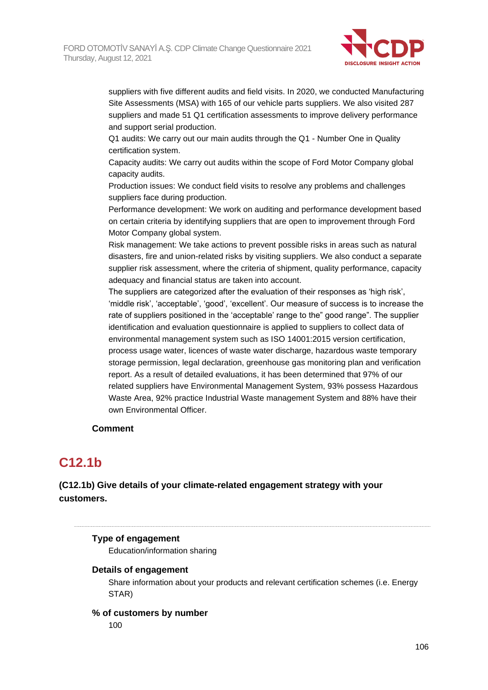

suppliers with five different audits and field visits. In 2020, we conducted Manufacturing Site Assessments (MSA) with 165 of our vehicle parts suppliers. We also visited 287 suppliers and made 51 Q1 certification assessments to improve delivery performance and support serial production.

Q1 audits: We carry out our main audits through the Q1 - Number One in Quality certification system.

Capacity audits: We carry out audits within the scope of Ford Motor Company global capacity audits.

Production issues: We conduct field visits to resolve any problems and challenges suppliers face during production.

Performance development: We work on auditing and performance development based on certain criteria by identifying suppliers that are open to improvement through Ford Motor Company global system.

Risk management: We take actions to prevent possible risks in areas such as natural disasters, fire and union-related risks by visiting suppliers. We also conduct a separate supplier risk assessment, where the criteria of shipment, quality performance, capacity adequacy and financial status are taken into account.

The suppliers are categorized after the evaluation of their responses as 'high risk', 'middle risk', 'acceptable', 'good', 'excellent'. Our measure of success is to increase the rate of suppliers positioned in the 'acceptable' range to the" good range". The supplier identification and evaluation questionnaire is applied to suppliers to collect data of environmental management system such as ISO 14001:2015 version certification, process usage water, licences of waste water discharge, hazardous waste temporary storage permission, legal declaration, greenhouse gas monitoring plan and verification report. As a result of detailed evaluations, it has been determined that 97% of our related suppliers have Environmental Management System, 93% possess Hazardous Waste Area, 92% practice Industrial Waste management System and 88% have their own Environmental Officer.

#### **Comment**

## **C12.1b**

**(C12.1b) Give details of your climate-related engagement strategy with your customers.**

### **Type of engagement**

Education/information sharing

#### **Details of engagement**

Share information about your products and relevant certification schemes (i.e. Energy STAR)

#### **% of customers by number** 100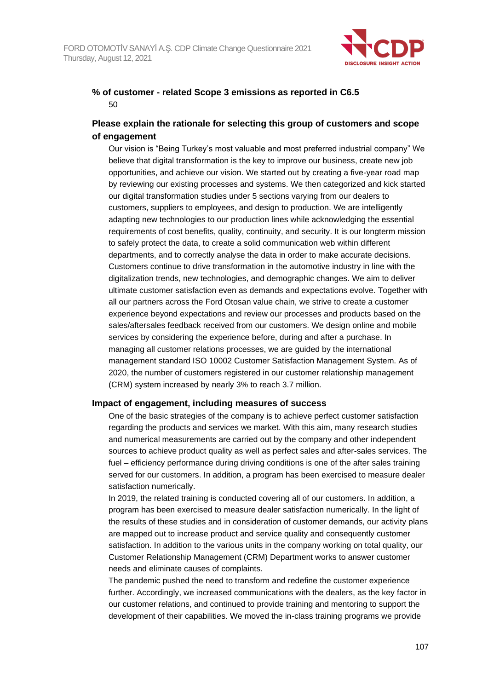

### **% of customer - related Scope 3 emissions as reported in C6.5** 50

### **Please explain the rationale for selecting this group of customers and scope of engagement**

Our vision is "Being Turkey's most valuable and most preferred industrial company" We believe that digital transformation is the key to improve our business, create new job opportunities, and achieve our vision. We started out by creating a five-year road map by reviewing our existing processes and systems. We then categorized and kick started our digital transformation studies under 5 sections varying from our dealers to customers, suppliers to employees, and design to production. We are intelligently adapting new technologies to our production lines while acknowledging the essential requirements of cost benefits, quality, continuity, and security. It is our longterm mission to safely protect the data, to create a solid communication web within different departments, and to correctly analyse the data in order to make accurate decisions. Customers continue to drive transformation in the automotive industry in line with the digitalization trends, new technologies, and demographic changes. We aim to deliver ultimate customer satisfaction even as demands and expectations evolve. Together with all our partners across the Ford Otosan value chain, we strive to create a customer experience beyond expectations and review our processes and products based on the sales/aftersales feedback received from our customers. We design online and mobile services by considering the experience before, during and after a purchase. In managing all customer relations processes, we are guided by the international management standard ISO 10002 Customer Satisfaction Management System. As of 2020, the number of customers registered in our customer relationship management (CRM) system increased by nearly 3% to reach 3.7 million.

#### **Impact of engagement, including measures of success**

One of the basic strategies of the company is to achieve perfect customer satisfaction regarding the products and services we market. With this aim, many research studies and numerical measurements are carried out by the company and other independent sources to achieve product quality as well as perfect sales and after-sales services. The fuel – efficiency performance during driving conditions is one of the after sales training served for our customers. In addition, a program has been exercised to measure dealer satisfaction numerically.

In 2019, the related training is conducted covering all of our customers. In addition, a program has been exercised to measure dealer satisfaction numerically. In the light of the results of these studies and in consideration of customer demands, our activity plans are mapped out to increase product and service quality and consequently customer satisfaction. In addition to the various units in the company working on total quality, our Customer Relationship Management (CRM) Department works to answer customer needs and eliminate causes of complaints.

The pandemic pushed the need to transform and redefine the customer experience further. Accordingly, we increased communications with the dealers, as the key factor in our customer relations, and continued to provide training and mentoring to support the development of their capabilities. We moved the in-class training programs we provide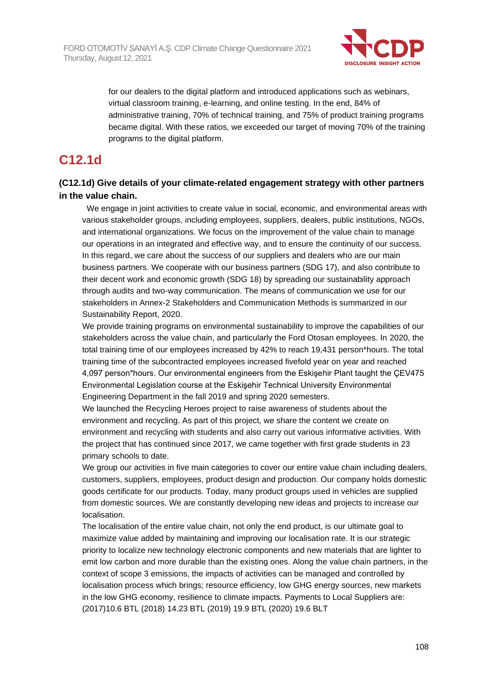

for our dealers to the digital platform and introduced applications such as webinars, virtual classroom training, e-learning, and online testing. In the end, 84% of administrative training, 70% of technical training, and 75% of product training programs became digital. With these ratios, we exceeded our target of moving 70% of the training programs to the digital platform.

## **C12.1d**

### **(C12.1d) Give details of your climate-related engagement strategy with other partners in the value chain.**

 We engage in joint activities to create value in social, economic, and environmental areas with various stakeholder groups, including employees, suppliers, dealers, public institutions, NGOs, and international organizations. We focus on the improvement of the value chain to manage our operations in an integrated and effective way, and to ensure the continuity of our success. In this regard, we care about the success of our suppliers and dealers who are our main business partners. We cooperate with our business partners (SDG 17), and also contribute to their decent work and economic growth (SDG 18) by spreading our sustainability approach through audits and two-way communication. The means of communication we use for our stakeholders in Annex-2 Stakeholders and Communication Methods is summarized in our Sustainability Report, 2020.

We provide training programs on environmental sustainability to improve the capabilities of our stakeholders across the value chain, and particularly the Ford Otosan employees. In 2020, the total training time of our employees increased by 42% to reach 19,431 person\*hours. The total training time of the subcontracted employees increased fivefold year on year and reached 4,097 person\*hours. Our environmental engineers from the Eskişehir Plant taught the ÇEV475 Environmental Legislation course at the Eskişehir Technical University Environmental Engineering Department in the fall 2019 and spring 2020 semesters.

We launched the Recycling Heroes project to raise awareness of students about the environment and recycling. As part of this project, we share the content we create on environment and recycling with students and also carry out various informative activities. With the project that has continued since 2017, we came together with first grade students in 23 primary schools to date.

We group our activities in five main categories to cover our entire value chain including dealers, customers, suppliers, employees, product design and production. Our company holds domestic goods certificate for our products. Today, many product groups used in vehicles are supplied from domestic sources. We are constantly developing new ideas and projects to increase our localisation.

The localisation of the entire value chain, not only the end product, is our ultimate goal to maximize value added by maintaining and improving our localisation rate. It is our strategic priority to localize new technology electronic components and new materials that are lighter to emit low carbon and more durable than the existing ones. Along the value chain partners, in the context of scope 3 emissions, the impacts of activities can be managed and controlled by localisation process which brings; resource efficiency, low GHG energy sources, new markets in the low GHG economy, resilience to climate impacts. Payments to Local Suppliers are: (2017)10.6 BTL (2018) 14.23 BTL (2019) 19.9 BTL (2020) 19.6 BLT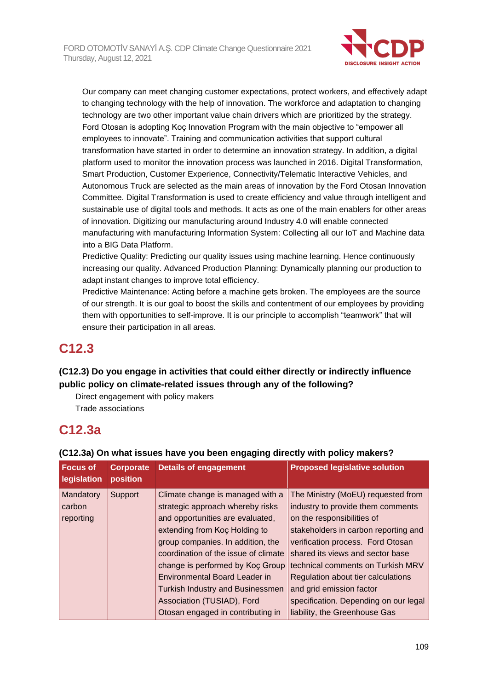

Our company can meet changing customer expectations, protect workers, and effectively adapt to changing technology with the help of innovation. The workforce and adaptation to changing technology are two other important value chain drivers which are prioritized by the strategy. Ford Otosan is adopting Koç Innovation Program with the main objective to "empower all employees to innovate". Training and communication activities that support cultural transformation have started in order to determine an innovation strategy. In addition, a digital platform used to monitor the innovation process was launched in 2016. Digital Transformation, Smart Production, Customer Experience, Connectivity/Telematic Interactive Vehicles, and Autonomous Truck are selected as the main areas of innovation by the Ford Otosan Innovation Committee. Digital Transformation is used to create efficiency and value through intelligent and sustainable use of digital tools and methods. It acts as one of the main enablers for other areas of innovation. Digitizing our manufacturing around Industry 4.0 will enable connected manufacturing with manufacturing Information System: Collecting all our IoT and Machine data into a BIG Data Platform.

Predictive Quality: Predicting our quality issues using machine learning. Hence continuously increasing our quality. Advanced Production Planning: Dynamically planning our production to adapt instant changes to improve total efficiency.

Predictive Maintenance: Acting before a machine gets broken. The employees are the source of our strength. It is our goal to boost the skills and contentment of our employees by providing them with opportunities to self-improve. It is our principle to accomplish "teamwork" that will ensure their participation in all areas.

# **C12.3**

# **(C12.3) Do you engage in activities that could either directly or indirectly influence public policy on climate-related issues through any of the following?**

Direct engagement with policy makers Trade associations

# **C12.3a**

| <b>Focus of</b><br>legislation | <b>Corporate</b><br>position | <b>Details of engagement</b>            | <b>Proposed legislative solution</b>  |
|--------------------------------|------------------------------|-----------------------------------------|---------------------------------------|
| Mandatory                      | Support                      | Climate change is managed with a        | The Ministry (MoEU) requested from    |
| carbon                         |                              | strategic approach whereby risks        | industry to provide them comments     |
| reporting                      |                              | and opportunities are evaluated,        | on the responsibilities of            |
|                                |                              | extending from Koc Holding to           | stakeholders in carbon reporting and  |
|                                |                              | group companies. In addition, the       | verification process. Ford Otosan     |
|                                |                              | coordination of the issue of climate    | shared its views and sector base      |
|                                |                              | change is performed by Koç Group        | technical comments on Turkish MRV     |
|                                |                              | Environmental Board Leader in           | Regulation about tier calculations    |
|                                |                              | <b>Turkish Industry and Businessmen</b> | and grid emission factor              |
|                                |                              | Association (TUSIAD), Ford              | specification. Depending on our legal |
|                                |                              | Otosan engaged in contributing in       | liability, the Greenhouse Gas         |

## **(C12.3a) On what issues have you been engaging directly with policy makers?**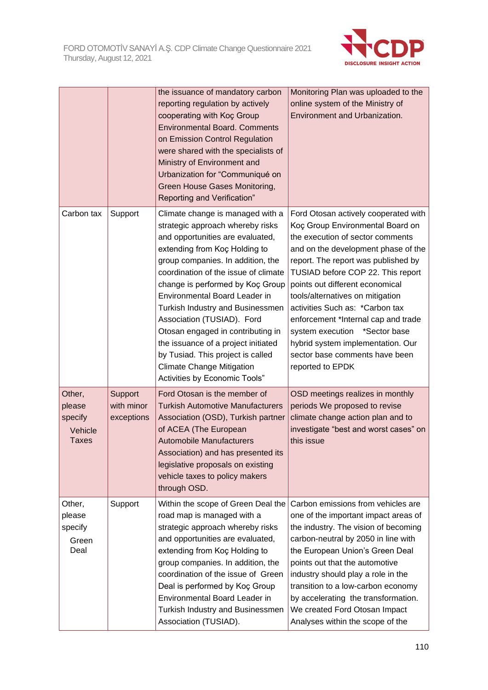

|                                                        |                                     | the issuance of mandatory carbon<br>reporting regulation by actively<br>cooperating with Koç Group<br><b>Environmental Board. Comments</b><br>on Emission Control Regulation<br>were shared with the specialists of<br>Ministry of Environment and<br>Urbanization for "Communiqué on<br>Green House Gases Monitoring,<br>Reporting and Verification"                                                                                                                                                                                               | Monitoring Plan was uploaded to the<br>online system of the Ministry of<br>Environment and Urbanization.                                                                                                                                                                                                                                                                                                                                                                                                     |
|--------------------------------------------------------|-------------------------------------|-----------------------------------------------------------------------------------------------------------------------------------------------------------------------------------------------------------------------------------------------------------------------------------------------------------------------------------------------------------------------------------------------------------------------------------------------------------------------------------------------------------------------------------------------------|--------------------------------------------------------------------------------------------------------------------------------------------------------------------------------------------------------------------------------------------------------------------------------------------------------------------------------------------------------------------------------------------------------------------------------------------------------------------------------------------------------------|
| Carbon tax                                             | Support                             | Climate change is managed with a<br>strategic approach whereby risks<br>and opportunities are evaluated,<br>extending from Koç Holding to<br>group companies. In addition, the<br>coordination of the issue of climate<br>change is performed by Koç Group<br>Environmental Board Leader in<br>Turkish Industry and Businessmen<br>Association (TUSIAD). Ford<br>Otosan engaged in contributing in<br>the issuance of a project initiated<br>by Tusiad. This project is called<br><b>Climate Change Mitigation</b><br>Activities by Economic Tools" | Ford Otosan actively cooperated with<br>Koç Group Environmental Board on<br>the execution of sector comments<br>and on the development phase of the<br>report. The report was published by<br>TUSIAD before COP 22. This report<br>points out different economical<br>tools/alternatives on mitigation<br>activities Such as: *Carbon tax<br>enforcement *Internal cap and trade<br>system execution *Sector base<br>hybrid system implementation. Our<br>sector base comments have been<br>reported to EPDK |
| Other,<br>please<br>specify<br>Vehicle<br><b>Taxes</b> | Support<br>with minor<br>exceptions | Ford Otosan is the member of<br><b>Turkish Automotive Manufacturers</b><br>Association (OSD), Turkish partner<br>of ACEA (The European<br>Automobile Manufacturers<br>Association) and has presented its<br>legislative proposals on existing<br>vehicle taxes to policy makers<br>through OSD.                                                                                                                                                                                                                                                     | OSD meetings realizes in monthly<br>periods We proposed to revise<br>climate change action plan and to<br>investigate "best and worst cases" on<br>this issue                                                                                                                                                                                                                                                                                                                                                |
| Other,<br>please<br>specify<br>Green<br>Deal           | Support                             | Within the scope of Green Deal the<br>road map is managed with a<br>strategic approach whereby risks<br>and opportunities are evaluated,<br>extending from Koç Holding to<br>group companies. In addition, the<br>coordination of the issue of Green<br>Deal is performed by Koç Group<br>Environmental Board Leader in<br>Turkish Industry and Businessmen<br>Association (TUSIAD).                                                                                                                                                                | Carbon emissions from vehicles are<br>one of the important impact areas of<br>the industry. The vision of becoming<br>carbon-neutral by 2050 in line with<br>the European Union's Green Deal<br>points out that the automotive<br>industry should play a role in the<br>transition to a low-carbon economy<br>by accelerating the transformation.<br>We created Ford Otosan Impact<br>Analyses within the scope of the                                                                                       |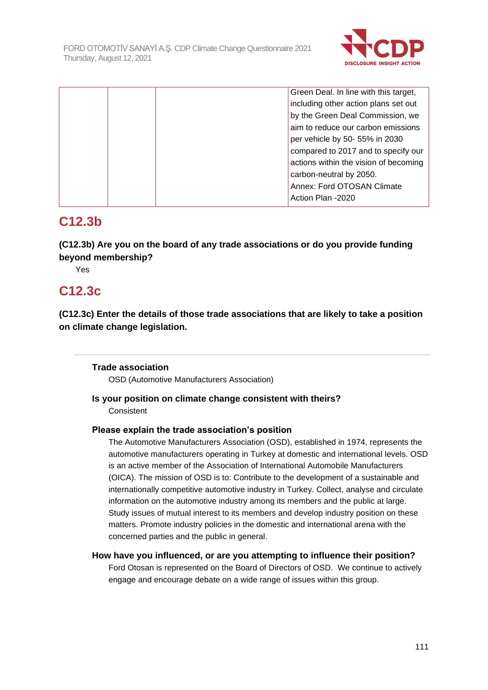

| Green Deal. In line with this target, |
|---------------------------------------|
| including other action plans set out  |
| by the Green Deal Commission, we      |
| aim to reduce our carbon emissions    |
| per vehicle by 50- 55% in 2030        |
| compared to 2017 and to specify our   |
| actions within the vision of becoming |
| carbon-neutral by 2050.               |
| Annex: Ford OTOSAN Climate            |
| Action Plan -2020                     |
|                                       |

# **C12.3b**

**(C12.3b) Are you on the board of any trade associations or do you provide funding beyond membership?**

Yes

# **C12.3c**

**(C12.3c) Enter the details of those trade associations that are likely to take a position on climate change legislation.**

## **Trade association**

OSD (Automotive Manufacturers Association)

### **Is your position on climate change consistent with theirs? Consistent**

## **Please explain the trade association's position**

The Automotive Manufacturers Association (OSD), established in 1974, represents the automotive manufacturers operating in Turkey at domestic and international levels. OSD is an active member of the Association of International Automobile Manufacturers (OICA). The mission of OSD is to: Contribute to the development of a sustainable and internationally competitive automotive industry in Turkey. Collect, analyse and circulate information on the automotive industry among its members and the public at large. Study issues of mutual interest to its members and develop industry position on these matters. Promote industry policies in the domestic and international arena with the concerned parties and the public in general.

## **How have you influenced, or are you attempting to influence their position?**

Ford Otosan is represented on the Board of Directors of OSD. We continue to actively engage and encourage debate on a wide range of issues within this group.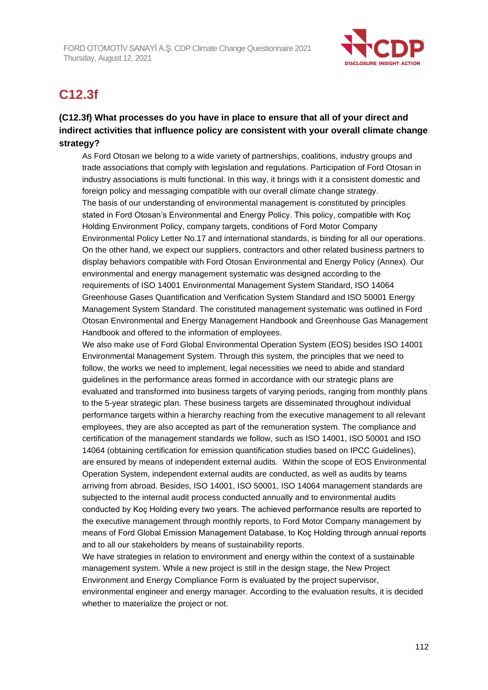

# **C12.3f**

# **(C12.3f) What processes do you have in place to ensure that all of your direct and indirect activities that influence policy are consistent with your overall climate change strategy?**

As Ford Otosan we belong to a wide variety of partnerships, coalitions, industry groups and trade associations that comply with legislation and regulations. Participation of Ford Otosan in industry associations is multi functional. In this way, it brings with it a consistent domestic and foreign policy and messaging compatible with our overall climate change strategy. The basis of our understanding of environmental management is constituted by principles stated in Ford Otosan's Environmental and Energy Policy. This policy, compatible with Koç Holding Environment Policy, company targets, conditions of Ford Motor Company Environmental Policy Letter No.17 and international standards, is binding for all our operations. On the other hand, we expect our suppliers, contractors and other related business partners to display behaviors compatible with Ford Otosan Environmental and Energy Policy (Annex). Our environmental and energy management systematic was designed according to the requirements of ISO 14001 Environmental Management System Standard, ISO 14064 Greenhouse Gases Quantification and Verification System Standard and ISO 50001 Energy Management System Standard. The constituted management systematic was outlined in Ford Otosan Environmental and Energy Management Handbook and Greenhouse Gas Management Handbook and offered to the information of employees.

We also make use of Ford Global Environmental Operation System (EOS) besides ISO 14001 Environmental Management System. Through this system, the principles that we need to follow, the works we need to implement, legal necessities we need to abide and standard guidelines in the performance areas formed in accordance with our strategic plans are evaluated and transformed into business targets of varying periods, ranging from monthly plans to the 5-year strategic plan. These business targets are disseminated throughout individual performance targets within a hierarchy reaching from the executive management to all relevant employees, they are also accepted as part of the remuneration system. The compliance and certification of the management standards we follow, such as ISO 14001, ISO 50001 and ISO 14064 (obtaining certification for emission quantification studies based on IPCC Guidelines), are ensured by means of independent external audits. Within the scope of EOS Environmental Operation System, independent external audits are conducted, as well as audits by teams arriving from abroad. Besides, ISO 14001, ISO 50001, ISO 14064 management standards are subjected to the internal audit process conducted annually and to environmental audits conducted by Koç Holding every two years. The achieved performance results are reported to the executive management through monthly reports, to Ford Motor Company management by means of Ford Global Emission Management Database, to Koç Holding through annual reports and to all our stakeholders by means of sustainability reports.

We have strategies in relation to environment and energy within the context of a sustainable management system. While a new project is still in the design stage, the New Project Environment and Energy Compliance Form is evaluated by the project supervisor, environmental engineer and energy manager. According to the evaluation results, it is decided whether to materialize the project or not.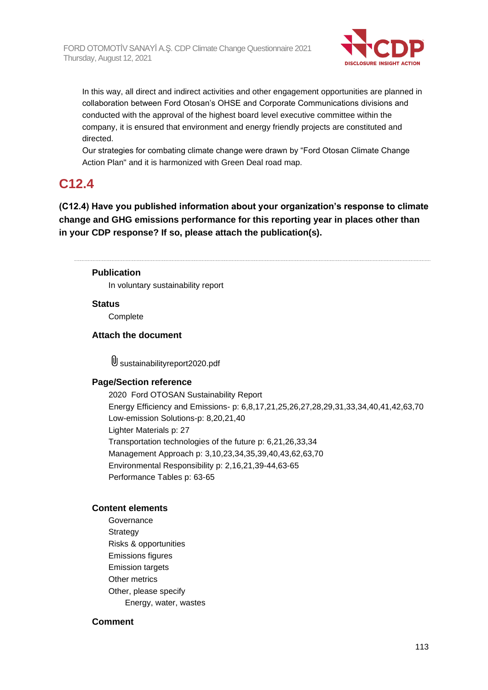

In this way, all direct and indirect activities and other engagement opportunities are planned in collaboration between Ford Otosan's OHSE and Corporate Communications divisions and conducted with the approval of the highest board level executive committee within the company, it is ensured that environment and energy friendly projects are constituted and directed.

Our strategies for combating climate change were drawn by "Ford Otosan Climate Change Action Plan" and it is harmonized with Green Deal road map.

# **C12.4**

**(C12.4) Have you published information about your organization's response to climate change and GHG emissions performance for this reporting year in places other than in your CDP response? If so, please attach the publication(s).**

### **Publication**

In voluntary sustainability report

#### **Status**

**Complete** 

#### **Attach the document**

sustainabilityreport2020.pdf

#### **Page/Section reference**

2020 Ford OTOSAN Sustainability Report Energy Efficiency and Emissions- p: 6,8,17,21,25,26,27,28,29,31,33,34,40,41,42,63,70 Low-emission Solutions-p: 8,20,21,40 Lighter Materials p: 27 Transportation technologies of the future p: 6,21,26,33,34 Management Approach p: 3,10,23,34,35,39,40,43,62,63,70 Environmental Responsibility p: 2,16,21,39-44,63-65 Performance Tables p: 63-65

#### **Content elements**

Governance Strategy Risks & opportunities Emissions figures Emission targets Other metrics Other, please specify Energy, water, wastes

#### **Comment**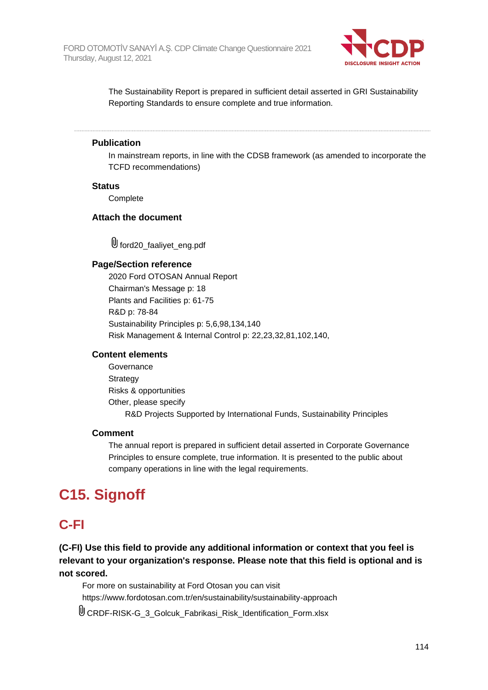

The Sustainability Report is prepared in sufficient detail asserted in GRI Sustainability Reporting Standards to ensure complete and true information.

#### **Publication**

In mainstream reports, in line with the CDSB framework (as amended to incorporate the TCFD recommendations)

#### **Status**

**Complete** 

#### **Attach the document**

U ford20\_faaliyet\_eng.pdf

#### **Page/Section reference**

2020 Ford OTOSAN Annual Report Chairman's Message p: 18 Plants and Facilities p: 61-75 R&D p: 78-84 Sustainability Principles p: 5,6,98,134,140 Risk Management & Internal Control p: 22,23,32,81,102,140,

#### **Content elements**

Governance **Strategy** Risks & opportunities Other, please specify R&D Projects Supported by International Funds, Sustainability Principles

### **Comment**

The annual report is prepared in sufficient detail asserted in Corporate Governance Principles to ensure complete, true information. It is presented to the public about company operations in line with the legal requirements.

# **C15. Signoff**

# **C-FI**

**(C-FI) Use this field to provide any additional information or context that you feel is relevant to your organization's response. Please note that this field is optional and is not scored.**

For more on sustainability at Ford Otosan you can visit https://www.fordotosan.com.tr/en/sustainability/sustainability-approach

CRDF-RISK-G\_3\_Golcuk\_Fabrikasi\_Risk\_Identification\_Form.xlsx